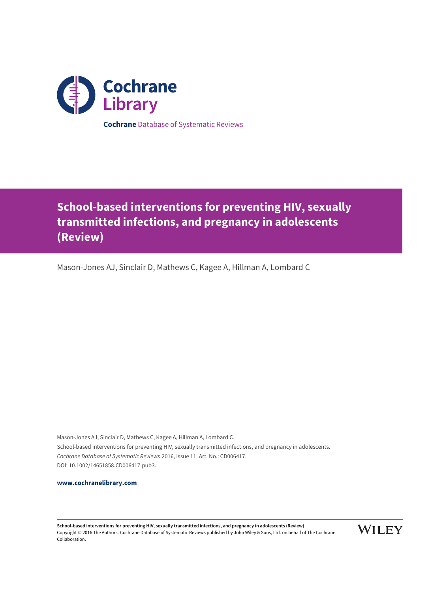

**Cochrane** Database of Systematic Reviews

# **School-based interventions for preventing HIV, sexually transmitted infections, and pregnancy in adolescents (Review)**

Mason-Jones AJ, Sinclair D, Mathews C, Kagee A, Hillman A, Lombard C

Mason-Jones AJ, Sinclair D, Mathews C, Kagee A, Hillman A, Lombard C. School-based interventions for preventing HIV, sexually transmitted infections, and pregnancy in adolescents. Cochrane Database of Systematic Reviews 2016, Issue 11. Art. No.: CD006417. DOI: 10.1002/14651858.CD006417.pub3.

**[www.cochranelibrary.com](http://www.cochranelibrary.com)**

**School-based interventions for preventing HIV, sexually transmitted infections, and pregnancy in adolescents (Review)** Copyright © 2016 The Authors. Cochrane Database of Systematic Reviews published by John Wiley & Sons, Ltd. on behalf of The Cochrane Collaboration.

**WILEY**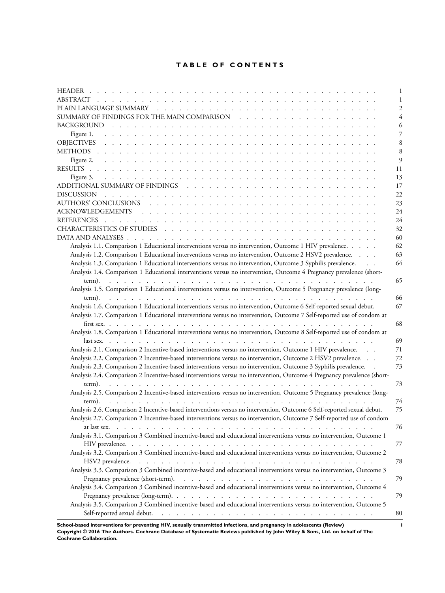# **TABLE OF CONTENTS**

|                                                                                                                                                                                                                                                           | 1              |
|-----------------------------------------------------------------------------------------------------------------------------------------------------------------------------------------------------------------------------------------------------------|----------------|
| ABSTRACT<br>والمتحاوية والمتحاوية والمتحاوية والمتحاوية والمتحاوية والمتحاوية والمتحاوية والمتحاوية والمتحاوية والمتحاوية                                                                                                                                 | 1              |
|                                                                                                                                                                                                                                                           | $\overline{2}$ |
|                                                                                                                                                                                                                                                           | 4              |
|                                                                                                                                                                                                                                                           | 6              |
|                                                                                                                                                                                                                                                           | 7              |
|                                                                                                                                                                                                                                                           | 8              |
|                                                                                                                                                                                                                                                           | 8              |
|                                                                                                                                                                                                                                                           | 9              |
|                                                                                                                                                                                                                                                           | 11             |
|                                                                                                                                                                                                                                                           | 13             |
|                                                                                                                                                                                                                                                           | 17             |
| <b>DISCUSSION</b><br><u>. In the second property of the second property of the second property of the second property of the second property of the second property of the second property of the second property of the second property of the secon</u> | 22             |
|                                                                                                                                                                                                                                                           | 23             |
|                                                                                                                                                                                                                                                           | 24             |
|                                                                                                                                                                                                                                                           | 24             |
|                                                                                                                                                                                                                                                           | 32             |
|                                                                                                                                                                                                                                                           | 60             |
| Analysis 1.1. Comparison 1 Educational interventions versus no intervention, Outcome 1 HIV prevalence.                                                                                                                                                    | 62             |
| Analysis 1.2. Comparison 1 Educational interventions versus no intervention, Outcome 2 HSV2 prevalence.                                                                                                                                                   | 63             |
| Analysis 1.3. Comparison 1 Educational interventions versus no intervention, Outcome 3 Syphilis prevalence.                                                                                                                                               | 64             |
| Analysis 1.4. Comparison 1 Educational interventions versus no intervention, Outcome 4 Pregnancy prevalence (short-                                                                                                                                       |                |
|                                                                                                                                                                                                                                                           | 65             |
| Analysis 1.5. Comparison 1 Educational interventions versus no intervention, Outcome 5 Pregnancy prevalence (long-                                                                                                                                        |                |
|                                                                                                                                                                                                                                                           | 66             |
| Analysis 1.6. Comparison 1 Educational interventions versus no intervention, Outcome 6 Self-reported sexual debut.                                                                                                                                        | 67             |
| Analysis 1.7. Comparison 1 Educational interventions versus no intervention, Outcome 7 Self-reported use of condom at                                                                                                                                     |                |
|                                                                                                                                                                                                                                                           | 68             |
| Analysis 1.8. Comparison 1 Educational interventions versus no intervention, Outcome 8 Self-reported use of condom at                                                                                                                                     |                |
|                                                                                                                                                                                                                                                           | 69             |
| Analysis 2.1. Comparison 2 Incentive-based interventions versus no intervention, Outcome 1 HIV prevalence.                                                                                                                                                | 71             |
| Analysis 2.2. Comparison 2 Incentive-based interventions versus no intervention, Outcome 2 HSV2 prevalence.                                                                                                                                               | 72             |
| Analysis 2.3. Comparison 2 Incentive-based interventions versus no intervention, Outcome 3 Syphilis prevalence.                                                                                                                                           | 73             |
| Analysis 2.4. Comparison 2 Incentive-based interventions versus no intervention, Outcome 4 Pregnancy prevalence (short-                                                                                                                                   |                |
|                                                                                                                                                                                                                                                           | 73             |
| Analysis 2.5. Comparison 2 Incentive-based interventions versus no intervention, Outcome 5 Pregnancy prevalence (long-                                                                                                                                    |                |
|                                                                                                                                                                                                                                                           | 74             |
| Analysis 2.6. Comparison 2 Incentive-based interventions versus no intervention, Outcome 6 Self-reported sexual debut.                                                                                                                                    | 75             |
| Analysis 2.7. Comparison 2 Incentive-based interventions versus no intervention, Outcome 7 Self-reported use of condom                                                                                                                                    |                |
|                                                                                                                                                                                                                                                           | 76             |
| Analysis 3.1. Comparison 3 Combined incentive-based and educational interventions versus no intervention, Outcome 1                                                                                                                                       |                |
|                                                                                                                                                                                                                                                           | 77             |
| Analysis 3.2. Comparison 3 Combined incentive-based and educational interventions versus no intervention, Outcome 2                                                                                                                                       |                |
|                                                                                                                                                                                                                                                           | 78             |
| Analysis 3.3. Comparison 3 Combined incentive-based and educational interventions versus no intervention, Outcome 3                                                                                                                                       |                |
|                                                                                                                                                                                                                                                           | 79             |
| Analysis 3.4. Comparison 3 Combined incentive-based and educational interventions versus no intervention, Outcome 4                                                                                                                                       |                |
|                                                                                                                                                                                                                                                           | 79             |
| Analysis 3.5. Comparison 3 Combined incentive-based and educational interventions versus no intervention, Outcome 5                                                                                                                                       |                |
|                                                                                                                                                                                                                                                           | 80             |
| School-based interventions for preventing HIV, sexually transmitted infections, and pregnancy in adolescents (Review)                                                                                                                                     | - i            |
|                                                                                                                                                                                                                                                           |                |

**Copyright © 2016 The Authors. Cochrane Database of Systematic Reviews published by John Wiley & Sons, Ltd. on behalf of The Cochrane Collaboration.**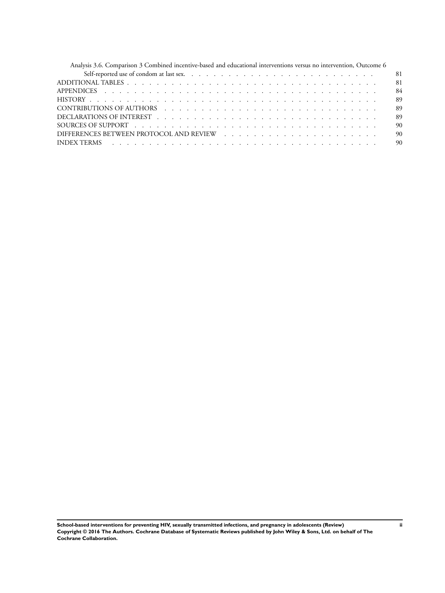| Analysis 3.6. Comparison 3 Combined incentive-based and educational interventions versus no intervention, Outcome 6                                                                                                           |    |
|-------------------------------------------------------------------------------------------------------------------------------------------------------------------------------------------------------------------------------|----|
|                                                                                                                                                                                                                               | 81 |
|                                                                                                                                                                                                                               | 81 |
|                                                                                                                                                                                                                               | 84 |
|                                                                                                                                                                                                                               | 89 |
|                                                                                                                                                                                                                               | 89 |
|                                                                                                                                                                                                                               | 89 |
|                                                                                                                                                                                                                               | 90 |
|                                                                                                                                                                                                                               | 90 |
| INDEX TERMS residences and the state of the state of the state of the state of the state of the state of the state of the state of the state of the state of the state of the state of the state of the state of the state of | 90 |
|                                                                                                                                                                                                                               |    |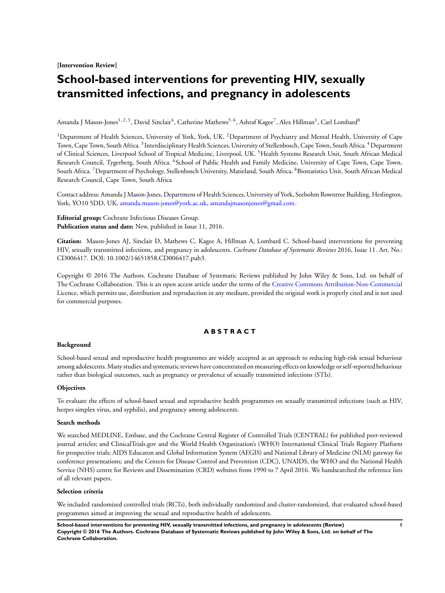**[Intervention Review]**

# **School-based interventions for preventing HIV, sexually transmitted infections, and pregnancy in adolescents**

Amanda J Mason-Jones<sup>1,2,3</sup>, David Sinclair<sup>4</sup>, Catherine Mathews<sup>5,6</sup>, Ashraf Kagee<sup>7</sup>, Alex Hillman<sup>1</sup>, Carl Lombard<sup>8</sup>

<sup>1</sup>Department of Health Sciences, University of York, York, UK. <sup>2</sup>Department of Psychiatry and Mental Health, University of Cape Town, Cape Town, South Africa. <sup>3</sup> Interdisciplinary Health Sciences, University of Stellenbosch, Cape Town, South Africa. <sup>4</sup> Department of Clinical Sciences, Liverpool School of Tropical Medicine, Liverpool, UK. <sup>5</sup>Health Systems Research Unit, South African Medical Research Council, Tygerberg, South Africa. <sup>6</sup>School of Public Health and Family Medicine, University of Cape Town, Cape Town, South Africa. <sup>7</sup>Department of Psychology, Stellenbosch University, Matieland, South Africa. <sup>8</sup>Biostatistics Unit, South African Medical Research Council, Cape Town, South Africa

Contact address: Amanda J Mason-Jones, Department of Health Sciences, University of York, Seebohm Rowntree Building, Heslington, York, YO10 5DD, UK. [amanda.mason-jones@york.ac.uk,](mailto:amanda.mason-jones@york.ac.uk) [amandajmasonjones@gmail.com.](mailto:amandajmasonjones@gmail.com)

**Editorial group:** Cochrane Infectious Diseases Group. **Publication status and date:** New, published in Issue 11, 2016.

**Citation:** Mason-Jones AJ, Sinclair D, Mathews C, Kagee A, Hillman A, Lombard C. School-based interventions for preventing HIV, sexually transmitted infections, and pregnancy in adolescents. *Cochrane Database of Systematic Reviews* 2016, Issue 11. Art. No.: CD006417. DOI: 10.1002/14651858.CD006417.pub3.

Copyright © 2016 The Authors. Cochrane Database of Systematic Reviews published by John Wiley & Sons, Ltd. on behalf of The Cochrane Collaboration. This is an open access article under the terms of the [Creative Commons Attribution-Non-Commercial](http://creativecommons.org/licenses/by-nc/4.0/) Licence, which permits use, distribution and reproduction in any medium, provided the original work is properly cited and is not used for commercial purposes.

# **A B S T R A C T**

### **Background**

School-based sexual and reproductive health programmes are widely accepted as an approach to reducing high-risk sexual behaviour among adolescents.Many studies and systematic reviews have concentrated on measuring effects on knowledge or self-reported behaviour rather than biological outcomes, such as pregnancy or prevalence of sexually transmitted infections (STIs).

# **Objectives**

To evaluate the effects of school-based sexual and reproductive health programmes on sexually transmitted infections (such as HIV, herpes simplex virus, and syphilis), and pregnancy among adolescents.

#### **Search methods**

We searched MEDLINE, Embase, and the Cochrane Central Register of Controlled Trials (CENTRAL) for published peer-reviewed journal articles; and ClinicalTrials.gov and the World Health Organization's (WHO) International Clinical Trials Registry Platform for prospective trials; AIDS Educaton and Global Information System (AEGIS) and National Library of Medicine (NLM) gateway for conference presentations; and the Centers for Disease Control and Prevention (CDC), UNAIDS, the WHO and the National Health Service (NHS) centre for Reviews and Dissemination (CRD) websites from 1990 to 7 April 2016. We handsearched the reference lists of all relevant papers.

#### **Selection criteria**

We included randomized controlled trials (RCTs), both individually randomized and cluster-randomized, that evaluated school-based programmes aimed at improving the sexual and reproductive health of adolescents.

**School-based interventions for preventing HIV, sexually transmitted infections, and pregnancy in adolescents (Review) 1 Copyright © 2016 The Authors. Cochrane Database of Systematic Reviews published by John Wiley & Sons, Ltd. on behalf of The Cochrane Collaboration.**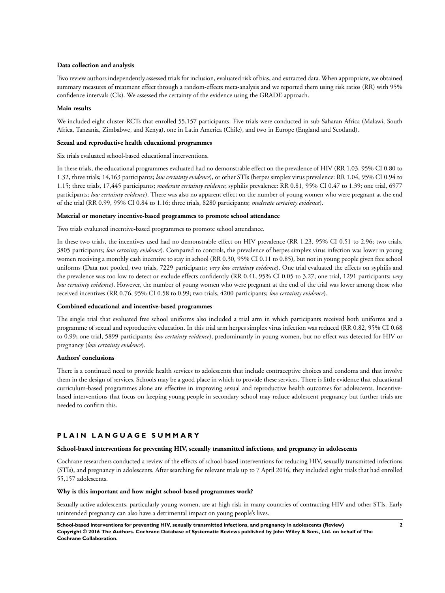# **Data collection and analysis**

Two review authors independently assessed trials for inclusion, evaluated risk of bias, and extracted data. When appropriate, we obtained summary measures of treatment effect through a random-effects meta-analysis and we reported them using risk ratios (RR) with 95% confidence intervals (CIs). We assessed the certainty of the evidence using the GRADE approach.

# **Main results**

We included eight cluster-RCTs that enrolled 55,157 participants. Five trials were conducted in sub-Saharan Africa (Malawi, South Africa, Tanzania, Zimbabwe, and Kenya), one in Latin America (Chile), and two in Europe (England and Scotland).

# **Sexual and reproductive health educational programmes**

Six trials evaluated school-based educational interventions.

In these trials, the educational programmes evaluated had no demonstrable effect on the prevalence of HIV (RR 1.03, 95% CI 0.80 to 1.32, three trials; 14,163 participants; *low certainty evidence*), or other STIs (herpes simplex virus prevalence: RR 1.04, 95% CI 0.94 to 1.15; three trials, 17,445 participants; *moderate certainty evidence*; syphilis prevalence: RR 0.81, 95% CI 0.47 to 1.39; one trial, 6977 participants; *low certainty evidence*). There was also no apparent effect on the number of young women who were pregnant at the end of the trial (RR 0.99, 95% CI 0.84 to 1.16; three trials, 8280 participants; *moderate certainty evidence*).

# **Material or monetary incentive-based programmes to promote school attendance**

Two trials evaluated incentive-based programmes to promote school attendance.

In these two trials, the incentives used had no demonstrable effect on HIV prevalence (RR 1.23, 95% CI 0.51 to 2.96; two trials, 3805 participants; *low certainty evidence*). Compared to controls, the prevalence of herpes simplex virus infection was lower in young women receiving a monthly cash incentive to stay in school (RR 0.30, 95% CI 0.11 to 0.85), but not in young people given free school uniforms (Data not pooled, two trials, 7229 participants; *very low certainty evidence*). One trial evaluated the effects on syphilis and the prevalence was too low to detect or exclude effects confidently (RR 0.41, 95% CI 0.05 to 3.27; one trial, 1291 participants; *very low certainty evidence*). However, the number of young women who were pregnant at the end of the trial was lower among those who received incentives (RR 0.76, 95% CI 0.58 to 0.99; two trials, 4200 participants; *low certainty evidence*).

# **Combined educational and incentive-based programmes**

The single trial that evaluated free school uniforms also included a trial arm in which participants received both uniforms and a programme of sexual and reproductive education. In this trial arm herpes simplex virus infection was reduced (RR 0.82, 95% CI 0.68 to 0.99; one trial, 5899 participants; *low certainty evidence*), predominantly in young women, but no effect was detected for HIV or pregnancy (*low certainty evidence*).

# **Authors' conclusions**

There is a continued need to provide health services to adolescents that include contraceptive choices and condoms and that involve them in the design of services. Schools may be a good place in which to provide these services. There is little evidence that educational curriculum-based programmes alone are effective in improving sexual and reproductive health outcomes for adolescents. Incentivebased interventions that focus on keeping young people in secondary school may reduce adolescent pregnancy but further trials are needed to confirm this.

# **P L A I N L A N G U A G E S U M M A R Y**

# **School-based interventions for preventing HIV, sexually transmitted infections, and pregnancy in adolescents**

Cochrane researchers conducted a review of the effects of school-based interventions for reducing HIV, sexually transmitted infections (STIs), and pregnancy in adolescents. After searching for relevant trials up to 7 April 2016, they included eight trials that had enrolled 55,157 adolescents.

# **Why is this important and how might school-based programmes work?**

Sexually active adolescents, particularly young women, are at high risk in many countries of contracting HIV and other STIs. Early unintended pregnancy can also have a detrimental impact on young people's lives.

**School-based interventions for preventing HIV, sexually transmitted infections, and pregnancy in adolescents (Review) 2 Copyright © 2016 The Authors. Cochrane Database of Systematic Reviews published by John Wiley & Sons, Ltd. on behalf of The Cochrane Collaboration.**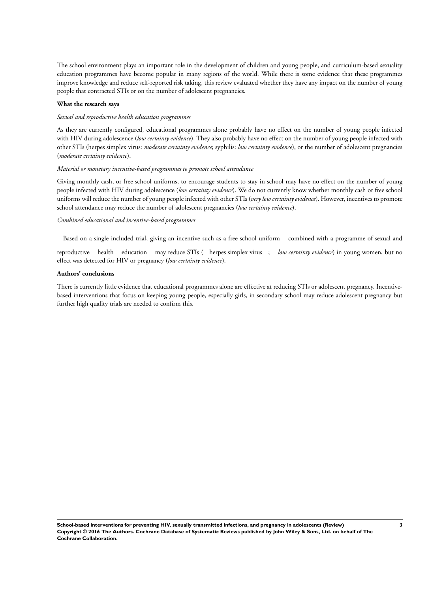The school environment plays an important role in the development of children and young people, and curriculum-based sexuality education programmes have become popular in many regions of the world. While there is some evidence that these programmes improve knowledge and reduce self-reported risk taking, this review evaluated whether they have any impact on the number of young people that contracted STIs or on the number of adolescent pregnancies.

### **What the research says**

#### *Sexual and reproductive health education programmes*

As they are currently configured, educational programmes alone probably have no effect on the number of young people infected with HIV during adolescence (*low certainty evidence*). They also probably have no effect on the number of young people infected with other STIs (herpes simplex virus: *moderate certainty evidence*; syphilis: *low certainty evidence*), or the number of adolescent pregnancies (*moderate certainty evidence*).

# *Material or monetary incentive-based programmes to promote school attendance*

Giving monthly cash, or free school uniforms, to encourage students to stay in school may have no effect on the number of young people infected with HIV during adolescence (*low certainty evidence*). We do not currently know whether monthly cash or free school uniforms will reduce the number of young people infected with other STIs (*very low certainty evidence*). However, incentives to promote school attendance may reduce the number of adolescent pregnancies (*low certainty evidence*).

### *Combined educational and incentive-based programmes*

Based on a single included trial, giving an incentive such as a free school uniform combined with a programme of sexual and

reproductive health education may reduce STIs ( herpes simplex virus ; *low certainty evidence*) in young women, but no effect was detected for HIV or pregnancy (*low certainty evidence*).

# **Authors' conclusions**

There is currently little evidence that educational programmes alone are effective at reducing STIs or adolescent pregnancy. Incentivebased interventions that focus on keeping young people, especially girls, in secondary school may reduce adolescent pregnancy but further high quality trials are needed to confirm this.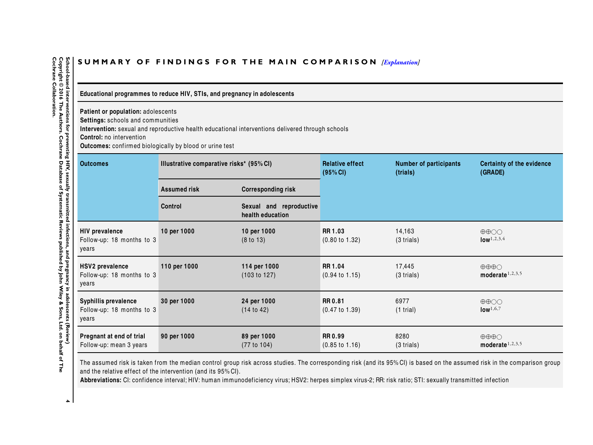# SUMMARY OF FINDINGS FOR THE MAIN COMPARISON *[\[Explanation\]](http://www.thecochranelibrary.com/view/0/SummaryFindings.html)*

# **Educational programmes to reduce HIV, STIs, and pregnancy in adolescents**

**Patient or population:** adolescents

**Settings:** schools and communities

**Intervention:** sexual and reproductive health educational interventions delivered through schools

**Control:** no intervention

**Outcomes:** confirmed biologically by blood or urine test

| <b>Outcomes</b>                                                   | Illustrative comparative risks* (95% CI) |                                             | <b>Relative effect</b><br>(95% CI)          | <b>Number of participants</b><br>(trials) | Certainty of the evidence<br>(GRADE)                     |
|-------------------------------------------------------------------|------------------------------------------|---------------------------------------------|---------------------------------------------|-------------------------------------------|----------------------------------------------------------|
|                                                                   | <b>Assumed risk</b>                      | <b>Corresponding risk</b>                   |                                             |                                           |                                                          |
|                                                                   | <b>Control</b>                           | Sexual and reproductive<br>health education |                                             |                                           |                                                          |
| <b>HIV prevalence</b><br>Follow-up: 18 months to 3<br>years       | 10 per 1000                              | 10 per 1000<br>(8 to 13)                    | <b>RR 1.03</b><br>$(0.80 \text{ to } 1.32)$ | 14,163<br>$(3 \text{ trials})$            | $\oplus \oplus \odot \odot$<br>$low^{1,2,3,4}$           |
| <b>HSV2</b> prevalence<br>Follow-up: 18 months to 3<br>years      | 110 per 1000                             | 114 per 1000<br>(103 to 127)                | <b>RR 1.04</b><br>$(0.94 \text{ to } 1.15)$ | 17,445<br>$(3 \text{ trials})$            | $\oplus \oplus \oplus \bigcirc$<br>moderate $1,2,3,5$    |
| <b>Syphillis prevalence</b><br>Follow-up: 18 months to 3<br>years | 30 per 1000                              | 24 per 1000<br>(14 to 42)                   | <b>RR 0.81</b><br>$(0.47 \text{ to } 1.39)$ | 6977<br>$(1 \text{ trial})$               | $\oplus \oplus \odot \odot$<br>$low^{1,6,7}$             |
| Pregnant at end of trial<br>Follow-up: mean 3 years               | 90 per 1000                              | 89 per 1000<br>(77 to 104)                  | <b>RR0.99</b><br>$(0.85 \text{ to } 1.16)$  | 8280<br>$(3 \text{ trials})$              | $\oplus \oplus \oplus \bigcirc$<br>moderate $1, 2, 3, 5$ |

The assumed risk is taken from the median control group risk across studies. The corresponding risk (and its 95% CI) is based on the assumed risk in the comparison group and the relative effect of the intervention (and its 95% CI).

**Abbreviations:** CI: confidence interval; HIV: human immunodeficiency virus; HSV2: herpes simplex virus-2; RR: risk ratio; STI: sexually transmitted infection

<span id="page-6-0"></span>School-based interventions for preventing HIV, sexually transmitted infections, and pregnancy in adolescents (Review)<br>Copyright © 2016 The Authors. Cochrane Database of Systematic Reviews published by John Wiley & Sons, Lt **Cochrane Collaboration.Copyright © 2016 The Authors. Cochrane Database of Systematic Reviews published by John Wiley & Sons, Ltd. on behalf of The 4 School-based interventions for preventing HIV, sexually transmitted infections, and pregnancy in adolescents (Review)**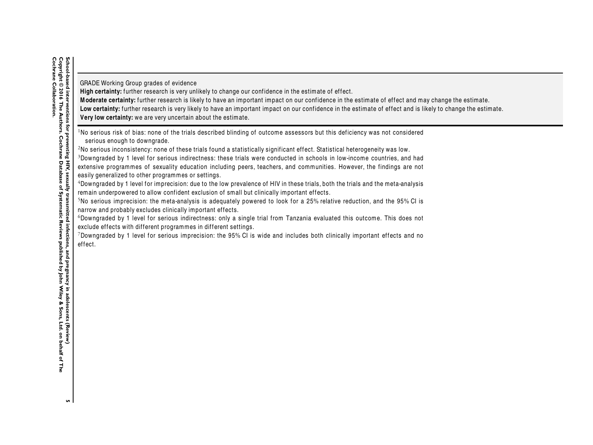GRADE Working Group grades of evidence

High certainty: further research is very unlikely to change our confidence in the estimate of effect.

**Moderate certainty:** further research is likely to have an important impact on our confidence in the estimate of effect and may change the estimate.

Low certainty: further research is very likely to have an important impact on our confidence in the estimate of effect and is likely to change the estimate.

**Very low certainty:** we are very uncertain about the estimate.

<sup>1</sup>No serious risk of bias: none of the trials described blinding of outcome assessors but this deficiency was not considered serious enough to downgrade.

 $2$ No serious inconsistency: none of these trials found a statistically significant effect. Statistical heterogeneity was low.

<sup>3</sup>Downgraded by <sup>1</sup> level for serious indirectness: these trials were conducted in schools in low-income countries, and had

extensive programmes of sexuality education including peers, teachers, and communities. However, the findings are not easily generalized to other programmes or settings.

<sup>4</sup>Downgraded by <sup>1</sup> level for imprecision: due to the low prevalence of HIV in these trials, both the trials and the meta-analysis remain underpowered to allow confident exclusion of small but clinically important effects.

 $5$ No serious imprecision: the meta-analysis is adequately powered to look for a 25% relative reduction, and the 95% CI is narrow and probably excludes clinically important effects.

<sup>6</sup>Downgraded by <sup>1</sup> level for serious indirectness: only <sup>a</sup> single trial from Tanzania evaluated this outcome. This does not exclude effects with different programmes in different settings.

<sup>7</sup>Downgraded by <sup>1</sup> level for serious imprecision: the 95% CI is wide and includes both clinically important effects and no effect.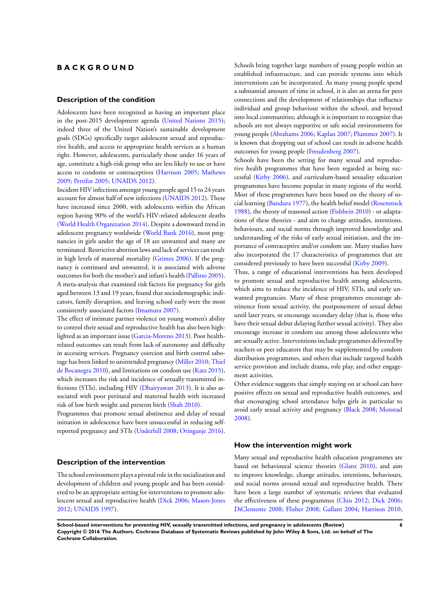# **B A C K G R O U N D**

# **Description of the condition**

Adolescents have been recognized as having an important place in the post-2015 development agenda [\(United Nations 2015](#page-26-0)); indeed three of the United Nation's sustainable development goals (SDGs) specifically target adolescent sexual and reproductive health, and access to appropriate health services as a human right. However, adolescents, particularly those under 16 years of age, constitute a high-risk group who are less likely to use or have access to condoms or contraceptives [\(Harrison 2005](#page-26-0); [Mathews](#page-26-0) [2009](#page-26-0); [Pettifor 2005;](#page-26-0) [UNAIDS 2012](#page-26-0)).

Incident HIV infections amongst young people aged 15 to 24 years account for almost half of new infections [\(UNAIDS 2012\)](#page-26-0). These have increased since 2000, with adolescents within the African region having 90% of the world's HIV-related adolescent deaths [\(World Health Organization 2014\)](#page-26-0). Despite a downward trend in adolescent pregnancy worldwide ([World Bank 2016\)](#page-26-0), most pregnancies in girls under the age of 18 are unwanted and many are terminated. Restrictive abortion laws and lack of services can result in high levels of maternal mortality ([Grimes 2006](#page-26-0)). If the pregnancy is continued and unwanted, it is associated with adverse outcomes for both the mother's and infant's health ([Pallitto 2005](#page-26-0)). A meta-analysis that examined risk factors for pregnancy for girls aged between 13 and 19 years, found that sociodemographic indicators, family disruption, and leaving school early were the most consistently associated factors ([Imamura 2007](#page-26-0)).

The effect of intimate partner violence on young women's ability to control their sexual and reproductive health has also been highlighted as an important issue ([Garcia-Moreno 2013](#page-26-0)). Poor healthrelated outcomes can result from lack of autonomy and difficulty in accessing services. Pregnancy coercion and birth control sabotage has been linked to unintended pregnancy [\(Miller 2010;](#page-26-0) [Thiel](#page-26-0) [de Bocanegra 2010\)](#page-26-0), and limitations on condom use [\(Katz 2015](#page-26-0)), which increases the risk and incidence of sexually transmitted infections (STIs), including HIV ([Dhairyawan 2013\)](#page-26-0). It is also associated with poor perinatal and maternal health with increased risk of low birth weight and preterm birth [\(Shah 2010\)](#page-26-0).

Programmes that promote sexual abstinence and delay of sexual initiation in adolescence have been unsuccessful in reducing selfreported pregnancy and STIs [\(Underhill 2008](#page-26-0); [Oringanje 2016](#page-26-0)).

# **Description of the intervention**

The school environment plays a pivotal role in the socialization and development of children and young people and has been considered to be an appropriate setting for interventions to promote adolescent sexual and reproductive health ([Dick 2006](#page-26-0); [Mason-Jones](#page-26-0) [2012](#page-26-0); [UNAIDS 1997\)](#page-26-0).

Schools bring together large numbers of young people within an established infrastructure, and can provide systems into which interventions can be incorporated. As many young people spend a substantial amount of time in school, it is also an arena for peer connections and the development of relationships that influence individual and group behaviour within the school, and beyond into local communities; although it is important to recognize that schools are not always supportive or safe social environments for young people ([Abrahams 2006;](#page-26-0) [Kaplan 2007;](#page-26-0) [Plummer 2007](#page-26-0)). It is known that dropping out of school can result in adverse health outcomes for young people ([Freudenberg 2007\)](#page-26-0).

Schools have been the setting for many sexual and reproductive health programmes that have been regarded as being successful ([Kirby 2006\)](#page-26-0), and curriculum-based sexuality education programmes have become popular in many regions of the world. Most of these programmes have been based on the theory of social learning ([Bandura 1977\)](#page-26-0), the health belief model ([Rosenstock](#page-26-0) [1988](#page-26-0)), the theory of reasoned action ([Fishbein 2010](#page-26-0)) - or adaptations of these theories - and aim to change attitudes, intentions, behaviours, and social norms through improved knowledge and understanding of the risks of early sexual initiation, and the importance of contraceptive and/or condom use. Many studies have also incorporated the 17 characteristics of programmes that are considered previously to have been successful ([Kirby 2009\)](#page-26-0).

Thus, a range of educational interventions has been developed to promote sexual and reproductive health among adolescents, which aims to reduce the incidence of HIV, STIs, and early unwanted pregnancies. Many of these programmes encourage abstinence from sexual activity, the postponement of sexual debut until later years, or encourage secondary delay (that is, those who have their sexual debut delaying further sexual activity). They also encourage increase in condom use among those adolescents who are sexually active. Interventions include programmes delivered by teachers or peer educators that may be supplemented by condom distribution programmes, and others that include targeted health service provision and include drama, role play, and other engagement activities.

Other evidence suggests that simply staying on at school can have positive effects on sexual and reproductive health outcomes, and that encouraging school attendance helps girls in particular to avoid early sexual activity and pregnancy [\(Black 2008](#page-26-0); [Monstad](#page-26-0) [2008](#page-26-0)).

# **How the intervention might work**

Many sexual and reproductive health education programmes are based on behavioural science theories [\(Glanz 2010\)](#page-26-0), and aim to improve knowledge, change attitudes, intentions, behaviours, and social norms around sexual and reproductive health. There have been a large number of systematic reviews that evaluated the effectiveness of these programmes ([Chin 2012](#page-26-0); [Dick 2006;](#page-26-0) [DiClemente 2008](#page-26-0); [Flisher 2008;](#page-26-0) [Gallant 2004;](#page-26-0) [Harrison 2010;](#page-26-0)

**School-based interventions for preventing HIV, sexually transmitted infections, and pregnancy in adolescents (Review) 6 Copyright © 2016 The Authors. Cochrane Database of Systematic Reviews published by John Wiley & Sons, Ltd. on behalf of The Cochrane Collaboration.**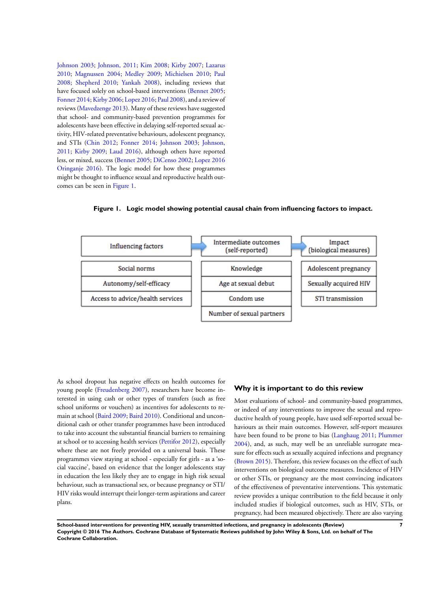[Johnson 2003;](#page-26-0) [Johnson, 2011;](#page-26-0) [Kim 2008](#page-26-0); [Kirby 2007;](#page-26-0) [Lazarus](#page-26-0) [2010](#page-26-0); [Magnussen 2004](#page-26-0); [Medley 2009;](#page-26-0) [Michielsen 2010](#page-26-0); [Paul](#page-26-0) [2008](#page-26-0); [Shepherd 2010](#page-26-0); [Yankah 2008\)](#page-26-0), including reviews that have focused solely on school-based interventions ([Bennet 2005;](#page-26-0) [Fonner 2014](#page-26-0);[Kirby 2006](#page-26-0); [Lopez 2016](#page-26-0); [Paul 2008\)](#page-26-0), and a review of reviews ([Mavedzenge 2013](#page-26-0)). Many of these reviews have suggested that school- and community-based prevention programmes for adolescents have been effective in delaying self-reported sexual activity, HIV-related preventative behaviours, adolescent pregnancy, and STIs ([Chin 2012](#page-26-0); [Fonner 2014](#page-26-0); [Johnson 2003](#page-26-0); [Johnson,](#page-26-0) [2011](#page-26-0); [Kirby 2009;](#page-26-0) [Laud 2016\)](#page-26-0), although others have reported less, or mixed, success [\(Bennet 2005;](#page-26-0) [DiCenso 2002](#page-26-0); [Lopez 2016](#page-26-0) [Oringanje 2016](#page-26-0)). The logic model for how these programmes might be thought to influence sexual and reproductive health outcomes can be seen in Figure 1.



**Figure 1. Logic model showing potential causal chain from influencing factors to impact.**

As school dropout has negative effects on health outcomes for young people ([Freudenberg 2007](#page-26-0)), researchers have become interested in using cash or other types of transfers (such as free school uniforms or vouchers) as incentives for adolescents to remain at school [\(Baird 2009;](#page-26-0) [Baird 2010\)](#page-26-0). Conditional and unconditional cash or other transfer programmes have been introduced to take into account the substantial financial barriers to remaining at school or to accessing health services ([Pettifor 2012](#page-26-0)), especially where these are not freely provided on a universal basis. These programmes view staying at school - especially for girls - as a 'social vaccine', based on evidence that the longer adolescents stay in education the less likely they are to engage in high risk sexual behaviour, such as transactional sex, or because pregnancy or STI/ HIV risks would interrupt their longer-term aspirations and career plans.

#### **Why it is important to do this review**

Most evaluations of school- and community-based programmes, or indeed of any interventions to improve the sexual and reproductive health of young people, have used self-reported sexual behaviours as their main outcomes. However, self-report measures have been found to be prone to bias [\(Langhaug 2011;](#page-26-0) [Plummer](#page-26-0) [2004](#page-26-0)), and, as such, may well be an unreliable surrogate measure for effects such as sexually acquired infections and pregnancy [\(Brown 2015](#page-26-0)). Therefore, this review focuses on the effect of such interventions on biological outcome measures. Incidence of HIV or other STIs, or pregnancy are the most convincing indicators of the effectiveness of preventative interventions. This systematic review provides a unique contribution to the field because it only included studies if biological outcomes, such as HIV, STIs, or pregnancy, had been measured objectively. There are also varying

**School-based interventions for preventing HIV, sexually transmitted infections, and pregnancy in adolescents (Review) 7 Copyright © 2016 The Authors. Cochrane Database of Systematic Reviews published by John Wiley & Sons, Ltd. on behalf of The Cochrane Collaboration.**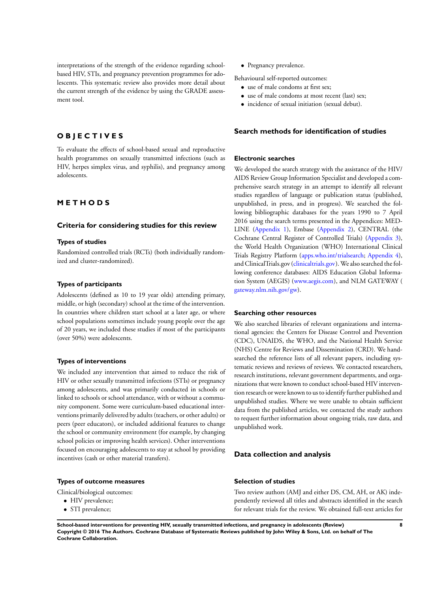interpretations of the strength of the evidence regarding schoolbased HIV, STIs, and pregnancy prevention programmes for adolescents. This systematic review also provides more detail about the current strength of the evidence by using the GRADE assessment tool.

# **O B J E C T I V E S**

To evaluate the effects of school-based sexual and reproductive health programmes on sexually transmitted infections (such as HIV, herpes simplex virus, and syphilis), and pregnancy among adolescents.

# **M E T H O D S**

# **Criteria for considering studies for this review**

### **Types of studies**

Randomized controlled trials (RCTs) (both individually randomized and cluster-randomized).

# **Types of participants**

Adolescents (defined as 10 to 19 year olds) attending primary, middle, or high (secondary) school at the time of the intervention. In countries where children start school at a later age, or where school populations sometimes include young people over the age of 20 years, we included these studies if most of the participants (over 50%) were adolescents.

#### **Types of interventions**

We included any intervention that aimed to reduce the risk of HIV or other sexually transmitted infections (STIs) or pregnancy among adolescents, and was primarily conducted in schools or linked to schools or school attendance, with or without a community component. Some were curriculum-based educational interventions primarily delivered by adults (teachers, or other adults) or peers (peer educators), or included additional features to change the school or community environment (for example, by changing school policies or improving health services). Other interventions focused on encouraging adolescents to stay at school by providing incentives (cash or other material transfers).

# **Types of outcome measures**

- Clinical/biological outcomes:
	- HIV prevalence;
	- STI prevalence;

• Pregnancy prevalence.

Behavioural self-reported outcomes:

- use of male condoms at first sex;
- use of male condoms at most recent (last) sex;
- incidence of sexual initiation (sexual debut).

# **Search methods for identification of studies**

## **Electronic searches**

We developed the search strategy with the assistance of the HIV/ AIDS Review Group Information Specialist and developed a comprehensive search strategy in an attempt to identify all relevant studies regardless of language or publication status (published, unpublished, in press, and in progress). We searched the following bibliographic databases for the years 1990 to 7 April 2016 using the search terms presented in the Appendices: MED-LINE ([Appendix 1](#page-87-0)), Embase ([Appendix 2\)](#page-88-0), CENTRAL (the Cochrane Central Register of Controlled Trials) [\(Appendix 3](#page-89-0)), the World Health Organization (WHO) International Clinical Trials Registry Platform [\(apps.who.int/trialsearch;](http://apps.who.int/trialsearch/) [Appendix 4](#page-91-0)), and ClinicalTrials.gov [\(clinicaltrials.gov](http://clinicaltrials.gov/)). We also searched the following conference databases: AIDS Education Global Information System (AEGIS) ([www.aegis.com](http://www.aegis.com/)), and NLM GATEWAY ( [gateway.nlm.nih.gov/gw\)](http://gateway.nlm.nih.gov/gw/).

# **Searching other resources**

We also searched libraries of relevant organizations and international agencies: the Centers for Disease Control and Prevention (CDC), UNAIDS, the WHO, and the National Health Service (NHS) Centre for Reviews and Dissemination (CRD). We handsearched the reference lists of all relevant papers, including systematic reviews and reviews of reviews. We contacted researchers, research institutions, relevant government departments, and organizations that were known to conduct school-based HIV intervention research or were known to us to identify further published and unpublished studies. Where we were unable to obtain sufficient data from the published articles, we contacted the study authors to request further information about ongoing trials, raw data, and unpublished work.

#### **Data collection and analysis**

# **Selection of studies**

Two review authors (AMJ and either DS, CM, AH, or AK) independently reviewed all titles and abstracts identified in the search for relevant trials for the review. We obtained full-text articles for

**School-based interventions for preventing HIV, sexually transmitted infections, and pregnancy in adolescents (Review) 8 Copyright © 2016 The Authors. Cochrane Database of Systematic Reviews published by John Wiley & Sons, Ltd. on behalf of The Cochrane Collaboration.**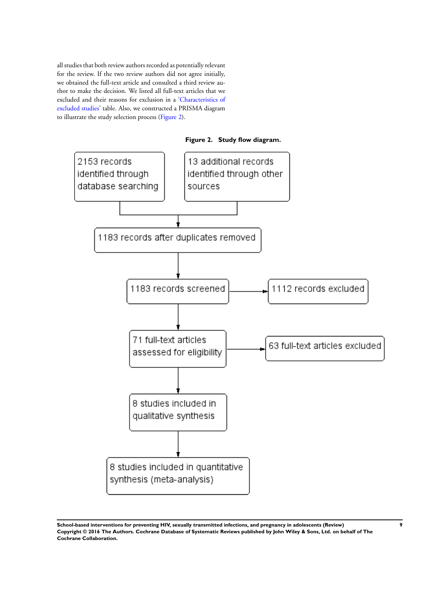<span id="page-11-0"></span>all studies that both review authors recorded as potentially relevant for the review. If the two review authors did not agree initially, we obtained the full-text article and consulted a third review author to make the decision. We listed all full-text articles that we excluded and their reasons for exclusion in a ['Characteristics of](#page-55-0) [excluded studies'](#page-55-0) table. Also, we constructed a PRISMA diagram to illustrate the study selection process (Figure 2).





**School-based interventions for preventing HIV, sexually transmitted infections, and pregnancy in adolescents (Review) 9 Copyright © 2016 The Authors. Cochrane Database of Systematic Reviews published by John Wiley & Sons, Ltd. on behalf of The Cochrane Collaboration.**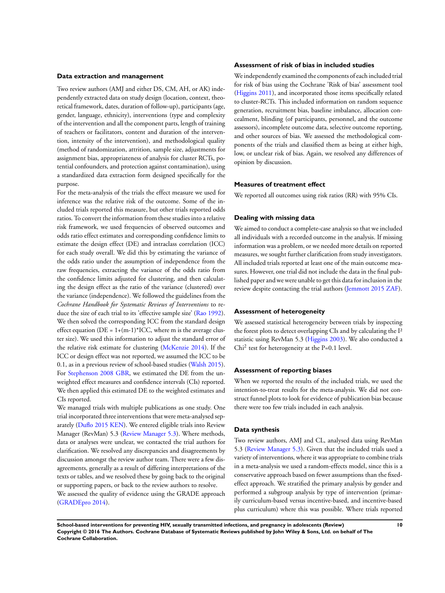#### **Data extraction and management**

Two review authors (AMJ and either DS, CM, AH, or AK) independently extracted data on study design (location, context, theoretical framework, dates, duration of follow-up), participants (age, gender, language, ethnicity), interventions (type and complexity of the intervention and all the component parts, length of training of teachers or facilitators, content and duration of the intervention, intensity of the intervention), and methodological quality (method of randomization, attrition, sample size, adjustments for assignment bias, appropriateness of analysis for cluster RCTs, potential confounders, and protection against contamination), using a standardized data extraction form designed specifically for the purpose.

For the meta-analysis of the trials the effect measure we used for inference was the relative risk of the outcome. Some of the included trials reported this measure, but other trials reported odds ratios. To convert the information from these studies into a relative risk framework, we used frequencies of observed outcomes and odds ratio effect estimates and corresponding confidence limits to estimate the design effect (DE) and intraclass correlation (ICC) for each study overall. We did this by estimating the variance of the odds ratio under the assumption of independence from the raw frequencies, extracting the variance of the odds ratio from the confidence limits adjusted for clustering, and then calculating the design effect as the ratio of the variance (clustered) over the variance (independence). We followed the guidelines from the *Cochrane Handbook for Systematic Reviews of Interventions* to reduce the size of each trial to its 'effective sample size' [\(Rao 1992](#page-26-0)). We then solved the corresponding ICC from the standard design effect equation ( $DE = 1+(m-1)*ICC$ , where m is the average cluster size). We used this information to adjust the standard error of the relative risk estimate for clustering [\(McKenzie 2014\)](#page-26-0). If the ICC or design effect was not reported, we assumed the ICC to be 0.1, as in a previous review of school-based studies ([Walsh 2015](#page-26-0)). For [Stephenson 2008 GBR,](#page-26-0) we estimated the DE from the unweighted effect measures and confidence intervals (CIs) reported. We then applied this estimated DE to the weighted estimates and CIs reported.

We managed trials with multiple publications as one study. One trial incorporated three interventions that were meta-analysed separately [\(Duflo 2015 KEN](#page-26-0)). We entered eligible trials into Review Manager (RevMan) 5.3 ([Review Manager 5.3\)](#page-26-0). Where methods, data or analyses were unclear, we contacted the trial authors for clarification. We resolved any discrepancies and disagreements by discussion amongst the review author team. There were a few disagreements, generally as a result of differing interpretations of the texts or tables, and we resolved these by going back to the original or supporting papers, or back to the review authors to resolve. We assessed the quality of evidence using the GRADE approach

# [\(GRADEpro 2014](#page-26-0)).

#### **Assessment of risk of bias in included studies**

We independently examined the components of each included trial for risk of bias using the Cochrane 'Risk of bias' assessment tool [\(Higgins 2011\)](#page-26-0), and incorporated those items specifically related to cluster-RCTs. This included information on random sequence generation, recruitment bias, baseline imbalance, allocation concealment, blinding (of participants, personnel, and the outcome assessors), incomplete outcome data, selective outcome reporting, and other sources of bias. We assessed the methodological components of the trials and classified them as being at either high, low, or unclear risk of bias. Again, we resolved any differences of opinion by discussion.

# **Measures of treatment effect**

We reported all outcomes using risk ratios (RR) with 95% CIs.

# **Dealing with missing data**

We aimed to conduct a complete-case analysis so that we included all individuals with a recorded outcome in the analysis. If missing information was a problem, or we needed more details on reported measures, we sought further clarification from study investigators. All included trials reported at least one of the main outcome measures. However, one trial did not include the data in the final published paper and we were unable to get this data for inclusion in the review despite contacting the trial authors [\(Jemmott 2015 ZAF\)](#page-26-0).

#### **Assessment of heterogeneity**

We assessed statistical heterogeneity between trials by inspecting the forest plots to detect overlapping CIs and by calculating the I² statistic using RevMan 5.3 ([Higgins 2003\)](#page-26-0). We also conducted a Chi<sup>2</sup> test for heterogeneity at the P=0.1 level.

# **Assessment of reporting biases**

When we reported the results of the included trials, we used the intention-to-treat results for the meta-analysis. We did not construct funnel plots to look for evidence of publication bias because there were too few trials included in each analysis.

### **Data synthesis**

Two review authors, AMJ and CL, analysed data using RevMan 5.3 ([Review Manager 5.3](#page-26-0)). Given that the included trials used a variety of interventions, where it was appropriate to combine trials in a meta-analysis we used a random-effects model, since this is a conservative approach based on fewer assumptions than the fixedeffect approach. We stratified the primary analysis by gender and performed a subgroup analysis by type of intervention (primarily curriculum-based versus incentive-based, and incentive-based plus curriculum) where this was possible. Where trials reported

**School-based interventions for preventing HIV, sexually transmitted infections, and pregnancy in adolescents (Review) 10 Copyright © 2016 The Authors. Cochrane Database of Systematic Reviews published by John Wiley & Sons, Ltd. on behalf of The Cochrane Collaboration.**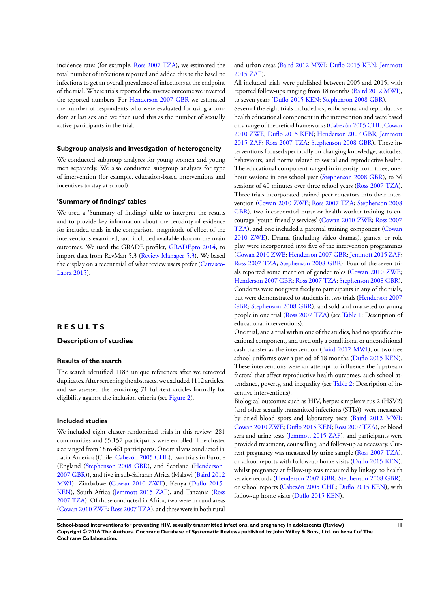incidence rates (for example, [Ross 2007 TZA\)](#page-26-0), we estimated the total number of infections reported and added this to the baseline infections to get an overall prevalence of infections at the endpoint of the trial. Where trials reported the inverse outcome we inverted the reported numbers. For [Henderson 2007 GBR](#page-26-0) we estimated the number of respondents who were evaluated for using a condom at last sex and we then used this as the number of sexually active participants in the trial.

#### **Subgroup analysis and investigation of heterogeneity**

We conducted subgroup analyses for young women and young men separately. We also conducted subgroup analyses for type of intervention (for example, education-based interventions and incentives to stay at school).

# **'Summary of findings' tables**

We used a 'Summary of findings' table to interpret the results and to provide key information about the certainty of evidence for included trials in the comparison, magnitude of effect of the interventions examined, and included available data on the main outcomes. We used the GRADE profiler, [GRADEpro 2014,](#page-26-0) to import data from RevMan 5.3 [\(Review Manager 5.3](#page-26-0)). We based the display on a recent trial of what review users prefer ([Carrasco-](#page-26-0)[Labra 2015](#page-26-0)).

# **R E S U L T S**

# **Description of studies**

#### **Results of the search**

The search identified 1183 unique references after we removed duplicates. After screening the abstracts, we excluded 1112 articles, and we assessed the remaining 71 full-text articles formally for eligibility against the inclusion criteria (see [Figure 2\)](#page-11-0).

### **Included studies**

We included eight cluster-randomized trials in this review; 281 communities and 55,157 participants were enrolled. The cluster size ranged from 18 to 461 participants. One trial was conducted in Latin America (Chile, [Cabezón 2005 CHL](#page-26-0)), two trials in Europe (England ([Stephenson 2008 GBR](#page-26-0)), and Scotland [\(Henderson](#page-26-0) [2007 GBR](#page-26-0))), and five in sub-Saharan Africa (Malawi ([Baird 2012](#page-26-0) [MWI](#page-26-0)), Zimbabwe [\(Cowan 2010 ZWE](#page-26-0)), Kenya [\(Duflo 2015](#page-26-0) [KEN\)](#page-26-0), South Africa [\(Jemmott 2015 ZAF](#page-26-0)), and Tanzania [\(Ross](#page-26-0) [2007 TZA\)](#page-26-0). Of those conducted in Africa, two were in rural areas [\(Cowan 2010 ZWE](#page-26-0); [Ross 2007 TZA\)](#page-26-0), and three were in both rural and urban areas ([Baird 2012 MWI;](#page-26-0) [Duflo 2015 KEN;](#page-26-0) [Jemmott](#page-26-0) [2015 ZAF\)](#page-26-0).

All included trials were published between 2005 and 2015, with reported follow-ups ranging from 18 months ([Baird 2012 MWI](#page-26-0)), to seven years ([Duflo 2015 KEN;](#page-26-0) [Stephenson 2008 GBR](#page-26-0)).

Seven of the eight trials included a specific sexual and reproductive health educational component in the intervention and were based on a range of theoretical frameworks ([Cabezón 2005 CHL;Cowan](#page-26-0) [2010 ZWE](#page-26-0); [Duflo 2015 KEN](#page-26-0); [Henderson 2007 GBR](#page-26-0); [Jemmott](#page-26-0) [2015 ZAF](#page-26-0); [Ross 2007 TZA](#page-26-0); [Stephenson 2008 GBR](#page-26-0)). These interventions focused specifically on changing knowledge, attitudes, behaviours, and norms related to sexual and reproductive health. The educational component ranged in intensity from three, onehour sessions in one school year ([Stephenson 2008 GBR\)](#page-26-0), to 36 sessions of 40 minutes over three school years ([Ross 2007 TZA](#page-26-0)). Three trials incorporated trained peer educators into their intervention ([Cowan 2010 ZWE](#page-26-0); [Ross 2007 TZA](#page-26-0); [Stephenson 2008](#page-26-0) [GBR](#page-26-0)), two incorporated nurse or health worker training to encourage 'youth friendly services' ([Cowan 2010 ZWE](#page-26-0); [Ross 2007](#page-26-0) [TZA\)](#page-26-0), and one included a parental training component [\(Cowan](#page-26-0) [2010 ZWE\)](#page-26-0). Drama (including video dramas), games, or role play were incorporated into five of the intervention programmes [\(Cowan 2010 ZWE;](#page-26-0) [Henderson 2007 GBR;](#page-26-0) [Jemmott 2015 ZAF;](#page-26-0) [Ross 2007 TZA;](#page-26-0) [Stephenson 2008 GBR\)](#page-26-0). Four of the seven trials reported some mention of gender roles ([Cowan 2010 ZWE;](#page-26-0) [Henderson 2007 GBR](#page-26-0); [Ross 2007 TZA;](#page-26-0) [Stephenson 2008 GBR](#page-26-0)). Condoms were not given freely to participants in any of the trials, but were demonstrated to students in two trials ([Henderson 2007](#page-26-0) [GBR](#page-26-0); [Stephenson 2008 GBR\)](#page-26-0), and sold and marketed to young people in one trial ([Ross 2007 TZA](#page-26-0)) (see [Table 1](#page-83-0): Description of educational interventions).

One trial, and a trial within one of the studies, had no specific educational component, and used only a conditional or unconditional cash transfer as the intervention [\(Baird 2012 MWI](#page-26-0)), or two free school uniforms over a period of 18 months [\(Duflo 2015 KEN](#page-26-0)). These interventions were an attempt to influence the 'upstream factors' that affect reproductive health outcomes, such school attendance, poverty, and inequality (see [Table 2](#page-85-0): Description of incentive interventions).

Biological outcomes such as HIV, herpes simplex virus 2 (HSV2) (and other sexually transmitted infections (STIs)), were measured by dried blood spots and laboratory tests [\(Baird 2012 MWI;](#page-26-0) [Cowan 2010 ZWE](#page-26-0); [Duflo 2015 KEN;](#page-26-0) [Ross 2007 TZA](#page-26-0)), or blood sera and urine tests ([Jemmott 2015 ZAF\)](#page-26-0), and participants were provided treatment, counselling, and follow-up as necessary. Current pregnancy was measured by urine sample [\(Ross 2007 TZA](#page-26-0)), or school reports with follow-up home visits ([Duflo 2015 KEN](#page-26-0)), whilst pregnancy at follow-up was measured by linkage to health service records ([Henderson 2007 GBR;](#page-26-0) [Stephenson 2008 GBR](#page-26-0)), or school reports ([Cabezón 2005 CHL;](#page-26-0) [Duflo 2015 KEN](#page-26-0)), with follow-up home visits [\(Duflo 2015 KEN\)](#page-26-0).

**School-based interventions for preventing HIV, sexually transmitted infections, and pregnancy in adolescents (Review) 11 Copyright © 2016 The Authors. Cochrane Database of Systematic Reviews published by John Wiley & Sons, Ltd. on behalf of The Cochrane Collaboration.**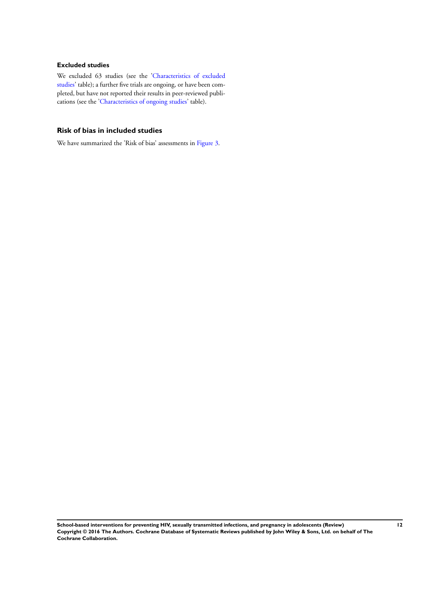# **Excluded studies**

We excluded 63 studies (see the '[Characteristics of excluded](#page-55-0) [studies'](#page-55-0) table); a further five trials are ongoing, or have been completed, but have not reported their results in peer-reviewed publications (see the ['Characteristics of ongoing studies](#page-58-0)' table).

# **Risk of bias in included studies**

We have summarized the 'Risk of bias' assessments in [Figure 3.](#page-15-0)

**School-based interventions for preventing HIV, sexually transmitted infections, and pregnancy in adolescents (Review) 12 Copyright © 2016 The Authors. Cochrane Database of Systematic Reviews published by John Wiley & Sons, Ltd. on behalf of The Cochrane Collaboration.**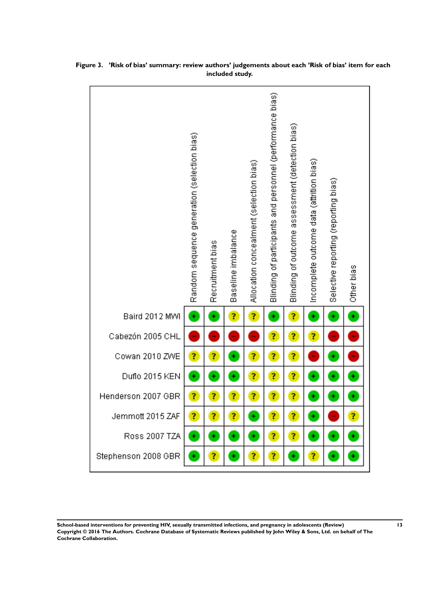|                      | Random sequence generation (selection bias) | Recruitment bias | Baseline imbalance | Allocation concealment (selection bias) | Blinding of participants and personnel (performance bias) | Blinding of outcome assessment (detection bias) | (Incomplete outcome data (attrition bias | Selective reporting (reporting bias) | Other bias     |
|----------------------|---------------------------------------------|------------------|--------------------|-----------------------------------------|-----------------------------------------------------------|-------------------------------------------------|------------------------------------------|--------------------------------------|----------------|
| Baird 2012 MWI       | $\ddot{}$                                   | ÷                | ?                  | ?                                       | $\ddot{}$                                                 | ?                                               | Ŧ                                        | Ŧ                                    | Ŧ              |
| Cabezón 2005 CHL     | ÷                                           | ۳                | ۳                  | ÷                                       | ?                                                         | ?                                               | ?                                        | ۳                                    | ÷              |
| Cowan 2010 ZWE       | Ĩ,                                          | Ĩ,               | Ŧ                  | 7                                       | Ĩ,                                                        | ?                                               | ÷                                        | ¥                                    | ÷              |
| Duflo 2015 KEN       | Ŧ                                           | ÷                | Ŧ                  | Ĩ,                                      | Ĩ,                                                        | Ĩ,                                              | ÷                                        | ÷                                    | Ŧ              |
| Henderson 2007 GBR   | Ĩ,                                          | 7                | ?                  | 7                                       | Ĩ,                                                        | Ĩ,                                              | $\ddot{}$                                | ¥                                    | $\color{red}+$ |
| Jemmott 2015 ZAF     | Ĩ,                                          | Ĩ,               | ?                  | $\color{red}+$                          | Ĩ,                                                        | ?                                               | $\ddot{}$                                | ۳                                    | ?              |
| <b>Ross 2007 TZA</b> | ÷                                           | ÷                | ¥                  | $\color{red}+$                          | Ĩ,                                                        | ?                                               | ÷                                        | ¥                                    | ÷              |
|                      |                                             |                  |                    |                                         |                                                           |                                                 |                                          |                                      |                |

<span id="page-15-0"></span>**Figure 3. 'Risk of bias' summary: review authors' judgements about each 'Risk of bias' item for each included study.**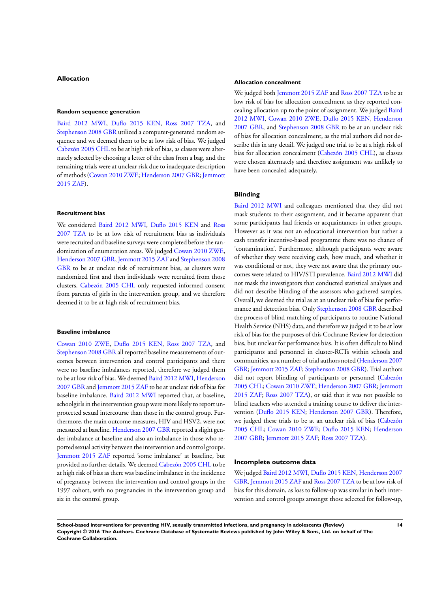# **Allocation**

#### **Random sequence generation**

[Baird 2012 MWI,](#page-26-0) [Duflo 2015 KEN](#page-26-0), [Ross 2007 TZA,](#page-26-0) and [Stephenson 2008 GBR](#page-26-0) utilized a computer-generated random sequence and we deemed them to be at low risk of bias. We judged [Cabezón 2005 CHL](#page-26-0) to be at high risk of bias, as classes were alternately selected by choosing a letter of the class from a bag, and the remaining trials were at unclear risk due to inadequate description of methods [\(Cowan 2010 ZWE](#page-26-0); [Henderson 2007 GBR;](#page-26-0) [Jemmott](#page-26-0) [2015 ZAF\)](#page-26-0).

#### **Recruitment bias**

We considered [Baird 2012 MWI,](#page-26-0) [Duflo 2015 KEN](#page-26-0) and [Ross](#page-26-0) [2007 TZA](#page-26-0) to be at low risk of recruitment bias as individuals were recruited and baseline surveys were completed before the randomization of enumeration areas. We judged [Cowan 2010 ZWE,](#page-26-0) [Henderson 2007 GBR,](#page-26-0) [Jemmott 2015 ZAF](#page-26-0) and [Stephenson 2008](#page-26-0) [GBR](#page-26-0) to be at unclear risk of recruitment bias, as clusters were randomized first and then individuals were recruited from those clusters. [Cabezón 2005 CHL](#page-26-0) only requested informed consent from parents of girls in the intervention group, and we therefore deemed it to be at high risk of recruitment bias.

#### **Baseline imbalance**

[Cowan 2010 ZWE](#page-26-0), [Duflo 2015 KEN](#page-26-0), [Ross 2007 TZA](#page-26-0), and [Stephenson 2008 GBR](#page-26-0) all reported baseline measurements of outcomes between intervention and control participants and there were no baseline imbalances reported, therefore we judged them to be at low risk of bias. We deemed [Baird 2012 MWI,](#page-26-0) [Henderson](#page-26-0) [2007 GBR](#page-26-0) and [Jemmott 2015 ZAF](#page-26-0) to be at unclear risk of bias for baseline imbalance. [Baird 2012 MWI](#page-26-0) reported that, at baseline, schoolgirls in the intervention group were more likely to report unprotected sexual intercourse than those in the control group. Furthermore, the main outcome measures, HIV and HSV2, were not measured at baseline. [Henderson 2007 GBR](#page-26-0) reported a slight gender imbalance at baseline and also an imbalance in those who reported sexual activity between the intervention and control groups. [Jemmott 2015 ZAF](#page-26-0) reported 'some imbalance' at baseline, but provided no further details. We deemed [Cabezón 2005 CHL](#page-26-0) to be at high risk of bias as there was baseline imbalance in the incidence of pregnancy between the intervention and control groups in the 1997 cohort, with no pregnancies in the intervention group and six in the control group.

#### **Allocation concealment**

We judged both [Jemmott 2015 ZAF](#page-26-0) and [Ross 2007 TZA](#page-26-0) to be at low risk of bias for allocation concealment as they reported concealing allocation up to the point of assignment. We judged [Baird](#page-26-0) [2012 MWI,](#page-26-0) [Cowan 2010 ZWE,](#page-26-0) [Duflo 2015 KEN,](#page-26-0) [Henderson](#page-26-0) [2007 GBR,](#page-26-0) and [Stephenson 2008 GBR](#page-26-0) to be at an unclear risk of bias for allocation concealment, as the trial authors did not describe this in any detail. We judged one trial to be at a high risk of bias for allocation concealment [\(Cabezón 2005 CHL\)](#page-26-0), as classes were chosen alternately and therefore assignment was unlikely to have been concealed adequately.

# **Blinding**

[Baird 2012 MWI](#page-26-0) and colleagues mentioned that they did not mask students to their assignment, and it became apparent that some participants had friends or acquaintances in other groups. However as it was not an educational intervention but rather a cash transfer incentive-based programme there was no chance of 'contamination'. Furthermore, although participants were aware of whether they were receiving cash, how much, and whether it was conditional or not, they were not aware that the primary outcomes were related to HIV/STI prevalence. [Baird 2012 MWI](#page-26-0) did not mask the investigators that conducted statistical analyses and did not describe blinding of the assessors who gathered samples. Overall, we deemed the trial as at an unclear risk of bias for performance and detection bias. Only [Stephenson 2008 GBR](#page-26-0) described the process of blind matching of participants to routine National Health Service (NHS) data, and therefore we judged it to be at low risk of bias for the purposes of this Cochrane Review for detection bias, but unclear for performance bias. It is often difficult to blind participants and personnel in cluster-RCTs within schools and communities, as a number of trial authors noted [\(Henderson 2007](#page-26-0) [GBR](#page-26-0); [Jemmott 2015 ZAF;](#page-26-0) [Stephenson 2008 GBR\)](#page-26-0). Trial authors did not report blinding of participants or personnel ([Cabezón](#page-26-0) [2005 CHL](#page-26-0); [Cowan 2010 ZWE;](#page-26-0) [Henderson 2007 GBR;](#page-26-0) [Jemmott](#page-26-0) [2015 ZAF](#page-26-0); [Ross 2007 TZA](#page-26-0)), or said that it was not possible to blind teachers who attended a training course to deliver the intervention [\(Duflo 2015 KEN](#page-26-0); [Henderson 2007 GBR\)](#page-26-0). Therefore, we judged these trials to be at an unclear risk of bias ([Cabezón](#page-26-0) [2005 CHL;](#page-26-0) [Cowan 2010 ZWE](#page-26-0); [Duflo 2015 KEN](#page-26-0); [Henderson](#page-26-0) [2007 GBR](#page-26-0); [Jemmott 2015 ZAF](#page-26-0); [Ross 2007 TZA\)](#page-26-0).

#### **Incomplete outcome data**

We judged [Baird 2012 MWI,](#page-26-0) [Duflo 2015 KEN](#page-26-0), [Henderson 2007](#page-26-0) [GBR](#page-26-0), [Jemmott 2015 ZAF](#page-26-0) and [Ross 2007 TZA](#page-26-0) to be at low risk of bias for this domain, as loss to follow-up was similar in both intervention and control groups amongst those selected for follow-up,

**School-based interventions for preventing HIV, sexually transmitted infections, and pregnancy in adolescents (Review) 14 Copyright © 2016 The Authors. Cochrane Database of Systematic Reviews published by John Wiley & Sons, Ltd. on behalf of The Cochrane Collaboration.**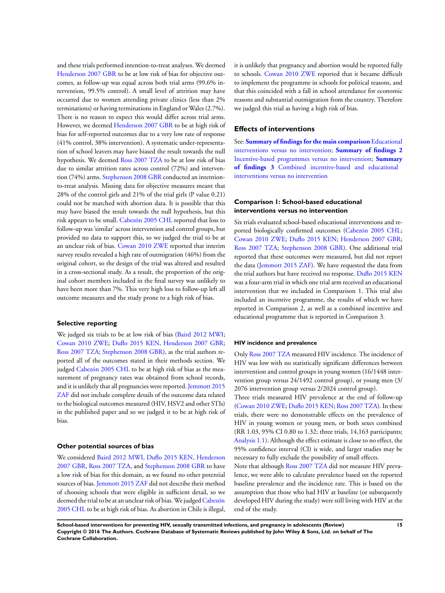and these trials performed intention-to-treat analyses. We deemed [Henderson 2007 GBR](#page-26-0) to be at low risk of bias for objective outcomes, as follow-up was equal across both trial arms (99.6% intervention, 99.5% control). A small level of attrition may have occurred due to women attending private clinics (less than 2% terminations) or having terminations in England or Wales (2.7%). There is no reason to expect this would differ across trial arms. However, we deemed [Henderson 2007 GBR](#page-26-0) to be at high risk of bias for self-reported outcomes due to a very low rate of response (41% control, 38% intervention). A systematic under-representation of school leavers may have biased the result towards the null hypothesis. We deemed [Ross 2007 TZA](#page-26-0) to be at low risk of bias due to similar attrition rates across control (72%) and intervention (74%) arms. [Stephenson 2008 GBR](#page-26-0) conducted an intentionto-treat analysis. Missing data for objective measures meant that 28% of the control girls and 21% of the trial girls (P value 0.21) could not be matched with abortion data. It is possible that this may have biased the result towards the null hypothesis, but this risk appears to be small. [Cabezón 2005 CHL](#page-26-0) reported that loss to follow-up was 'similar' across intervention and control groups, but provided no data to support this, so we judged the trial to be at an unclear risk of bias. [Cowan 2010 ZWE](#page-26-0) reported that interim survey results revealed a high rate of outmigration (46%) from the original cohort, so the design of the trial was altered and resulted in a cross-sectional study. As a result, the proportion of the original cohort members included in the final survey was unlikely to have been more than 7%. This very high loss to follow-up left all outcome measures and the study prone to a high risk of bias.

#### **Selective reporting**

We judged six trials to be at low risk of bias ([Baird 2012 MWI;](#page-26-0) [Cowan 2010 ZWE;](#page-26-0) [Duflo 2015 KEN](#page-26-0), [Henderson 2007 GBR;](#page-26-0) [Ross 2007 TZA](#page-26-0); [Stephenson 2008 GBR\)](#page-26-0), as the trial authors reported all of the outcomes stated in their methods section. We judged [Cabezón 2005 CHL](#page-26-0) to be at high risk of bias as the measurement of pregnancy rates was obtained from school records, and it is unlikely that all pregnancies were reported. [Jemmott 2015](#page-26-0) [ZAF](#page-26-0) did not include complete details of the outcome data related to the biological outcomes measured (HIV, HSV2 and other STIs) in the published paper and so we judged it to be at high risk of bias.

#### **Other potential sources of bias**

We considered [Baird 2012 MWI](#page-26-0), [Duflo 2015 KEN](#page-26-0), [Henderson](#page-26-0) [2007 GBR](#page-26-0), [Ross 2007 TZA](#page-26-0), and [Stephenson 2008 GBR](#page-26-0) to have a low risk of bias for this domain, as we found no other potential sources of bias. [Jemmott 2015 ZAF](#page-26-0) did not describe their method of choosing schools that were eligible in sufficient detail, so we deemed the trial to be at an unclear risk of bias. We judged [Cabezón](#page-26-0) [2005 CHL](#page-26-0) to be at high risk of bias. As abortion in Chile is illegal, it is unlikely that pregnancy and abortion would be reported fully to schools. [Cowan 2010 ZWE](#page-26-0) reported that it became difficult to implement the programme in schools for political reasons, and that this coincided with a fall in school attendance for economic reasons and substantial outmigration from the country. Therefore we judged this trial as having a high risk of bias.

# **Effects of interventions**

See: **[Summary of findings for the main comparison](#page-6-0)** [Educational](#page-6-0) [interventions versus no intervention](#page-6-0); **[Summary of findings 2](#page-20-0)** [Incentive-based programmes versus no intervention](#page-20-0); **[Summary](#page-22-0) [of findings 3](#page-22-0)** [Combined incentive-based and educational](#page-22-0) [interventions versus no intervention](#page-22-0)

# **Comparison 1: School-based educational interventions versus no intervention**

Six trials evaluated school-based educational interventions and reported biologically confirmed outcomes ([Cabezón 2005 CHL;](#page-26-0) [Cowan 2010 ZWE;](#page-26-0) [Duflo 2015 KEN](#page-26-0); [Henderson 2007 GBR;](#page-26-0) [Ross 2007 TZA;](#page-26-0) [Stephenson 2008 GBR\)](#page-26-0). One additional trial reported that these outcomes were measured, but did not report the data [\(Jemmott 2015 ZAF](#page-26-0)). We have requested the data from the trial authors but have received no response. [Duflo 2015 KEN](#page-26-0) was a four-arm trial in which one trial arm received an educational intervention that we included in Comparison 1. This trial also included an incentive programme, the results of which we have reported in Comparison 2, as well as a combined incentive and educational programme that is reported in Comparison 3.

#### **HIV incidence and prevalence**

Only [Ross 2007 TZA](#page-26-0) measured HIV incidence. The incidence of HIV was low with no statistically significant differences between intervention and control groups in young women (16/1448 intervention group versus 24/1492 control group), or young men (3/ 2076 intervention group versus 2/2024 control group).

Three trials measured HIV prevalence at the end of follow-up [\(Cowan 2010 ZWE;](#page-26-0) [Duflo 2015 KEN](#page-26-0); [Ross 2007 TZA\)](#page-26-0). In these trials, there were no demonstrable effects on the prevalence of HIV in young women or young men, or both sexes combined (RR 1.03, 95% CI 0.80 to 1.32; three trials, 14,163 participants; [Analysis 1.1](#page-65-0)). Although the effect estimate is close to no effect, the 95% confidence interval (CI) is wide, and larger studies may be necessary to fully exclude the possibility of small effects.

Note that although [Ross 2007 TZA](#page-26-0) did not measure HIV prevalence, we were able to calculate prevalence based on the reported baseline prevalence and the incidence rate. This is based on the assumption that those who had HIV at baseline (or subsequently developed HIV during the study) were still living with HIV at the end of the study.

**School-based interventions for preventing HIV, sexually transmitted infections, and pregnancy in adolescents (Review) 15 Copyright © 2016 The Authors. Cochrane Database of Systematic Reviews published by John Wiley & Sons, Ltd. on behalf of The Cochrane Collaboration.**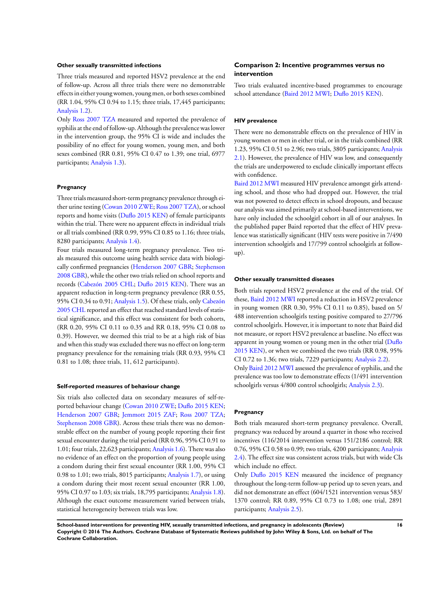#### **Other sexually transmitted infections**

Three trials measured and reported HSV2 prevalence at the end of follow-up. Across all three trials there were no demonstrable effects in either young women, young men, or both sexes combined (RR 1.04, 95% CI 0.94 to 1.15; three trials, 17,445 participants; [Analysis 1.2\)](#page-66-0).

Only [Ross 2007 TZA](#page-26-0) measured and reported the prevalence of syphilis at the end of follow-up. Although the prevalence was lower in the intervention group, the 95% CI is wide and includes the possibility of no effect for young women, young men, and both sexes combined (RR 0.81, 95% CI 0.47 to 1.39; one trial, 6977 participants; [Analysis 1.3](#page-66-0)).

#### **Pregnancy**

Three trials measured short-term pregnancy prevalence through either urine testing [\(Cowan 2010 ZWE;](#page-26-0) [Ross 2007 TZA](#page-26-0)), or school reports and home visits ([Duflo 2015 KEN\)](#page-26-0) of female participants within the trial. There were no apparent effects in individual trials or all trials combined (RR 0.99, 95% CI 0.85 to 1.16; three trials, 8280 participants; [Analysis 1.4\)](#page-66-0).

Four trials measured long-term pregnancy prevalence. Two trials measured this outcome using health service data with biologically confirmed pregnancies ([Henderson 2007 GBR;](#page-26-0) [Stephenson](#page-26-0) [2008 GBR\)](#page-26-0), while the other two trials relied on school reports and records ([Cabezón 2005 CHL](#page-26-0); [Duflo 2015 KEN](#page-26-0)). There was an apparent reduction in long-term pregnancy prevalence (RR 0.55, 95% CI 0.34 to 0.91; [Analysis 1.5](#page-68-0)). Of these trials, only [Cabezón](#page-26-0) [2005 CHL](#page-26-0) reported an effect that reached standard levels of statistical significance, and this effect was consistent for both cohorts, (RR 0.20, 95% CI 0.11 to 0.35 and RR 0.18, 95% CI 0.08 to 0.39). However, we deemed this trial to be at a high risk of bias and when this study was excluded there was no effect on long-term pregnancy prevalence for the remaining trials (RR 0.93, 95% CI 0.81 to 1.08; three trials, 11, 612 participants).

#### **Self-reported measures of behaviour change**

Six trials also collected data on secondary measures of self-reported behaviour change ([Cowan 2010 ZWE;](#page-26-0) [Duflo 2015 KEN;](#page-26-0) [Henderson 2007 GBR;](#page-26-0) [Jemmott 2015 ZAF;](#page-26-0) [Ross 2007 TZA;](#page-26-0) [Stephenson 2008 GBR\)](#page-26-0). Across these trials there was no demonstrable effect on the number of young people reporting their first sexual encounter during the trial period (RR 0.96, 95% CI 0.91 to 1.01; four trials, 22,623 participants; [Analysis 1.6\)](#page-69-0). There was also no evidence of an effect on the proportion of young people using a condom during their first sexual encounter (RR 1.00, 95% CI 0.98 to 1.01; two trials, 8015 participants; [Analysis 1.7](#page-71-0)), or using a condom during their most recent sexual encounter (RR 1.00, 95% CI 0.97 to 1.03; six trials, 18,795 participants; [Analysis 1.8](#page-72-0)). Although the exact outcome measurement varied between trials, statistical heterogeneity between trials was low.

# **Comparison 2: Incentive programmes versus no intervention**

Two trials evaluated incentive-based programmes to encourage school attendance [\(Baird 2012 MWI](#page-26-0); [Duflo 2015 KEN](#page-26-0)).

# **HIV prevalence**

There were no demonstrable effects on the prevalence of HIV in young women or men in either trial, or in the trials combined (RR 1.23, 95% CI 0.51 to 2.96; two trials, 3805 participants; [Analysis](#page-73-0) [2.1](#page-73-0)). However, the prevalence of HIV was low, and consequently the trials are underpowered to exclude clinically important effects with confidence.

[Baird 2012 MWI](#page-26-0) measured HIV prevalence amongst girls attending school, and those who had dropped out. However, the trial was not powered to detect effects in school dropouts, and because our analysis was aimed primarily at school-based interventions, we have only included the schoolgirl cohort in all of our analyses. In the published paper Baird reported that the effect of HIV prevalence was statistically significant (HIV tests were positive in 7/490 intervention schoolgirls and 17/799 control schoolgirls at followup).

# **Other sexually transmitted diseases**

Both trials reported HSV2 prevalence at the end of the trial. Of these, [Baird 2012 MWI](#page-26-0) reported a reduction in HSV2 prevalence in young women (RR 0.30, 95% CI 0.11 to 0.85), based on 5/ 488 intervention schoolgirls testing positive compared to 27/796 control schoolgirls. However, it is important to note that Baird did not measure, or report HSV2 prevalence at baseline. No effect was apparent in young women or young men in the other trial ([Duflo](#page-26-0) [2015 KEN\)](#page-26-0), or when we combined the two trials (RR 0.98, 95% CI 0.72 to 1.36; two trials, 7229 participants; [Analysis 2.2](#page-74-0)). Only [Baird 2012 MWI](#page-26-0) assessed the prevalence of syphilis, and the prevalence was too low to demonstrate effects (1/491 intervention schoolgirls versus 4/800 control schoolgirls; [Analysis 2.3](#page-75-0)).

#### **Pregnancy**

Both trials measured short-term pregnancy prevalence. Overall, pregnancy was reduced by around a quarter in those who received incentives (116/2014 intervention versus 151/2186 control; RR 0.76, 95% CI 0.58 to 0.99; two trials, 4200 participants; [Analysis](#page-76-0) [2.4](#page-76-0)). The effect size was consistent across trials, but with wide CIs which include no effect.

Only [Duflo 2015 KEN](#page-26-0) measured the incidence of pregnancy throughout the long-term follow-up period up to seven years, and did not demonstrate an effect (604/1521 intervention versus 583/ 1370 control; RR 0.89, 95% CI 0.73 to 1.08; one trial, 2891 participants; [Analysis 2.5](#page-76-0)).

**School-based interventions for preventing HIV, sexually transmitted infections, and pregnancy in adolescents (Review) 16 Copyright © 2016 The Authors. Cochrane Database of Systematic Reviews published by John Wiley & Sons, Ltd. on behalf of The Cochrane Collaboration.**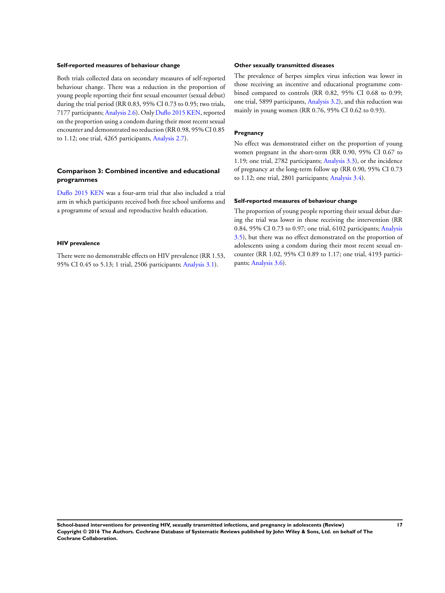### **Self-reported measures of behaviour change**

Both trials collected data on secondary measures of self-reported behaviour change. There was a reduction in the proportion of young people reporting their first sexual encounter (sexual debut) during the trial period (RR 0.83, 95% CI 0.73 to 0.95; two trials, 7177 participants; [Analysis 2.6\)](#page-77-0). Only [Duflo 2015 KEN,](#page-26-0) reported on the proportion using a condom during their most recent sexual encounter and demonstrated no reduction (RR 0.98, 95% CI 0.85 to 1.12; one trial, 4265 participants, [Analysis 2.7\)](#page-78-0).

# **Comparison 3: Combined incentive and educational programmes**

[Duflo 2015 KEN](#page-26-0) was a four-arm trial that also included a trial arm in which participants received both free school uniforms and a programme of sexual and reproductive health education.

# **HIV prevalence**

There were no demonstrable effects on HIV prevalence (RR 1.53, 95% CI 0.45 to 5.13; 1 trial, 2506 participants; [Analysis 3.1\)](#page-79-0).

#### **Other sexually transmitted diseases**

The prevalence of herpes simplex virus infection was lower in those receiving an incentive and educational programme combined compared to controls (RR 0.82, 95% CI 0.68 to 0.99; one trial, 5899 participants, [Analysis 3.2](#page-80-0)), and this reduction was mainly in young women (RR 0.76, 95% CI 0.62 to 0.93).

# **Pregnancy**

No effect was demonstrated either on the proportion of young women pregnant in the short-term (RR 0.90, 95% CI 0.67 to 1.19; one trial, 2782 participants; [Analysis 3.3\)](#page-81-0), or the incidence of pregnancy at the long-term follow up (RR 0.90, 95% CI 0.73 to 1.12; one trial, 2801 participants; [Analysis 3.4\)](#page-81-0).

# **Self-reported measures of behaviour change**

The proportion of young people reporting their sexual debut during the trial was lower in those receiving the intervention (RR 0.84, 95% CI 0.73 to 0.97; one trial, 6102 participants; [Analysis](#page-82-0) [3.5](#page-82-0)), but there was no effect demonstrated on the proportion of adolescents using a condom during their most recent sexual encounter (RR 1.02, 95% CI 0.89 to 1.17; one trial, 4193 participants; [Analysis 3.6](#page-83-0)).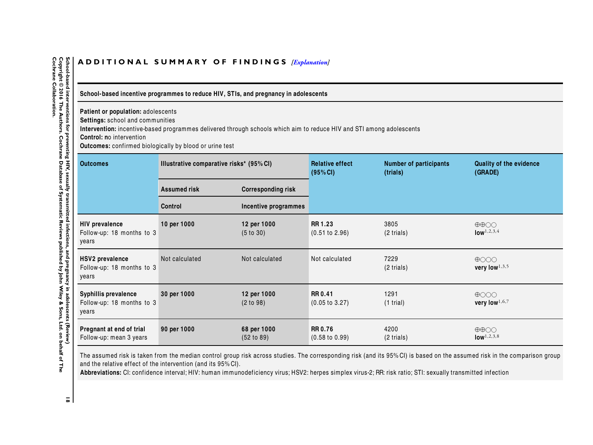# <span id="page-20-0"></span>ADDITIONAL SUMMARY OF FINDINGS *[\[Explanation\]](http://www.thecochranelibrary.com/view/0/SummaryFindings.html)*

# School-based incentive programmes to reduce HIV, STIs, and pregnancy in adolescents

**Patient or population:** adolescents

**Settings:** school and communities

**Intervention:** incentive-based programmes delivered through schools which aim to reduce HIV and STI among adolescents

**Control: <sup>n</sup>**<sup>o</sup> intervention

**Outcomes:** confirmed biologically by blood or urine test

| <b>Outcomes</b>                                              | Illustrative comparative risks* (95% CI) |                           | <b>Relative effect</b><br>(95% CI)          | <b>Number of participants</b><br>(trials) | <b>Quality of the evidence</b><br>(GRADE)             |
|--------------------------------------------------------------|------------------------------------------|---------------------------|---------------------------------------------|-------------------------------------------|-------------------------------------------------------|
|                                                              | <b>Assumed risk</b>                      | <b>Corresponding risk</b> |                                             |                                           |                                                       |
|                                                              | <b>Control</b>                           | Incentive programmes      |                                             |                                           |                                                       |
| <b>HIV prevalence</b><br>Follow-up: 18 months to 3<br>years  | 10 per 1000                              | 12 per 1000<br>(5 to 30)  | <b>RR 1.23</b><br>(0.51 to 2.96)            | 3805<br>$(2 \text{ trials})$              | $\oplus \oplus \odot \odot$<br>$low^{1,2,3,4}$        |
| <b>HSV2</b> prevalence<br>Follow-up: 18 months to 3<br>years | Not calculated                           | Not calculated            | Not calculated                              | 7229<br>$(2 \text{ trials})$              | $\bigoplus$ OOO<br>very low $^{1,3,5}$                |
| Syphillis prevalence<br>Follow-up: 18 months to 3<br>years   | 30 per 1000                              | 12 per 1000<br>(2 to 98)  | <b>RR 0.41</b><br>$(0.05 \text{ to } 3.27)$ | 1291<br>$(1 \text{ trial})$               | $\bigoplus$ OOO<br>very low $^{1,6,7}$                |
| Pregnant at end of trial<br>Follow-up: mean 3 years          | 90 per 1000                              | 68 per 1000<br>(52 to 89) | <b>RR 0.76</b><br>$(0.58 \text{ to } 0.99)$ | 4200<br>$(2 \text{ trials})$              | $\oplus \oplus \odot \odot$<br>low <sup>1,2,3,8</sup> |

The assumed risk is taken from the median control group risk across studies. The corresponding risk (and its 95% CI) is based on the assumed risk in the comparison group and the relative effect of the intervention (and its 95% CI).

**Abbreviations:** CI: confidence interval; HIV: human immunodeficiency virus; HSV2: herpes simplex virus-2; RR: risk ratio; STI: sexually transmitted infection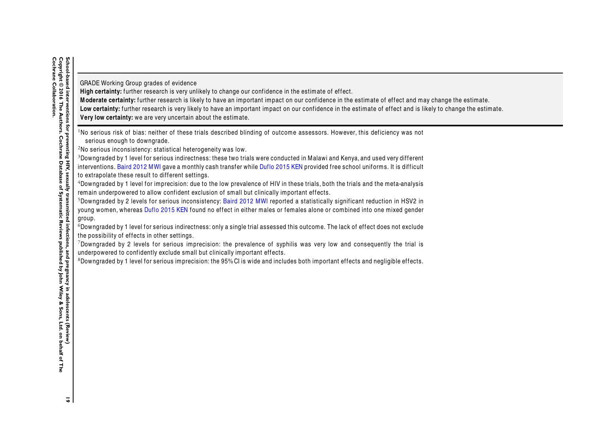GRADE Working Group grades of evidence

High certainty: further research is very unlikely to change our confidence in the estimate of effect.

**<sup>M</sup> oderate certainty:** further research is likely to have an important impact on our conf idence in the estimate of effect and may change the estimate.

Low certainty: further research is very likely to have an important impact on our confidence in the estimate of effect and is likely to change the estimate.

**Very low certainty:** we are very uncertain about the estimate.

<sup>1</sup>No serious risk of bias: neither of these trials described blinding of outcome assessors. However, this deficiency was not serious enough to downgrade.

<sup>2</sup>No serious inconsistency: statistical heterogeneity was low.

<sup>3</sup>Downgraded by 1 level for serious indirectness: these two trials were conducted in Malawi and Kenya, and used very different interventions. <mark>[Baird](#page-26-0) [2012](#page-26-0) [MWI](#page-26-0)</mark> gave a monthly cash transfer while <mark>[Duf](#page-26-0)lo [2015](#page-26-0) [KEN](#page-26-0)</mark> provided free school uniforms. It is difficult to extrapolate these result to different settings.

<sup>4</sup>Downgraded by <sup>1</sup> level for imprecision: due to the low prevalence of HIV in these trials, both the trials and the meta-analysis remain underpowered to allow confident exclusion of small but clinically important effects.

 $5$ Downgraded by 2 levels for serious inconsistency: [Baird](#page-26-0) [2012](#page-26-0) [MWI](#page-26-0) reported a statistically significant reduction in HSV2 in young women, whereas <mark>[Duf](#page-26-0)lo [2015](#page-26-0) [KEN](#page-26-0)</mark> found no effect in either males or females alone or combined into one mixed gender group.

 $^6$ Downgraded by 1 level for serious indirectness: only a single trial assessed this outcome. The lack of effect does not exclude the possibility of effects in other settings.

 $7$ Downgraded by 2 levels for serious imprecision: the prevalence of syphilis was very low and consequently the trial is underpowered to confidently exclude small but clinically important effects.

<sup>8</sup>Downgraded by <sup>1</sup> level for serious imprecision: the 95% CI is wide and includes both important effects and negligible effects.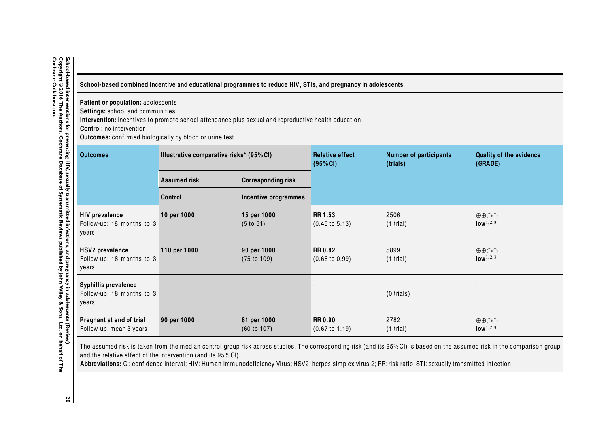<span id="page-22-0"></span>

| School-based combined incentive and educational programmes to reduce HIV, STIs, and pregnancy in adolescents |  |
|--------------------------------------------------------------------------------------------------------------|--|
|                                                                                                              |  |

**Patient or population:** adolescents

**Settings:** school and communities

**Intervention:** incentives to promote school attendance plus sexual and reproductive health education

**Control:** no intervention

**Outcomes:** confirmed biologically by blood or urine test

| <b>Outcomes</b>                                              | Illustrative comparative risks* (95% CI) |                            | <b>Relative effect</b><br>(95% CI)          | <b>Number of participants</b><br>(trials) | Quality of the evidence<br>(GRADE)           |
|--------------------------------------------------------------|------------------------------------------|----------------------------|---------------------------------------------|-------------------------------------------|----------------------------------------------|
|                                                              | <b>Assumed risk</b>                      | <b>Corresponding risk</b>  |                                             |                                           |                                              |
|                                                              | <b>Control</b>                           | Incentive programmes       |                                             |                                           |                                              |
| <b>HIV prevalence</b><br>Follow-up: 18 months to 3<br>years  | 10 per 1000                              | 15 per 1000<br>(5 to 51)   | <b>RR 1.53</b><br>$(0.45 \text{ to } 5.13)$ | 2506<br>$(1 \text{ trial})$               | $\oplus \oplus \odot \odot$<br>$low^{1,2,3}$ |
| <b>HSV2</b> prevalence<br>Follow-up: 18 months to 3<br>years | 110 per 1000                             | 90 per 1000<br>(75 to 109) | <b>RR 0.82</b><br>$(0.68 \text{ to } 0.99)$ | 5899<br>$(1 \text{ trial})$               | $\oplus \oplus \odot \odot$<br>$low^{1,2,3}$ |
| Syphillis prevalence<br>Follow-up: 18 months to 3<br>years   |                                          |                            |                                             | $(0 \text{ trials})$                      |                                              |
| Pregnant at end of trial<br>Follow-up: mean 3 years          | 90 per 1000                              | 81 per 1000<br>(60 to 107) | <b>RR0.90</b><br>$(0.67 \text{ to } 1.19)$  | 2782<br>$(1 \text{ trial})$               | $\oplus \oplus \odot \odot$<br>$low^{1,2,3}$ |

The assumed risk is taken from the median control group risk across studies. The corresponding risk (and its 95% CI) is based on the assumed risk in the comparison group and the relative effect of the intervention (and its 95% CI).

**Abbreviations:** CI: confidence interval; HIV: Human Immunodeficiency Virus; HSV2: herpes simplex virus-2; RR: risk ratio; STI: sexually transmitted infection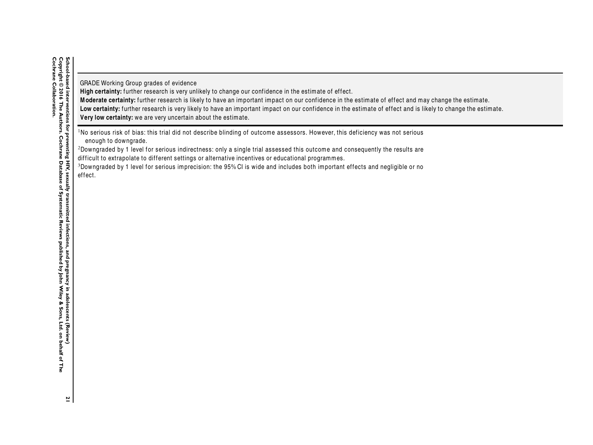GRADE Working Group grades of evidence

High certainty: further research is very unlikely to change our confidence in the estimate of effect.<br>Moderate certainty: further research is likely to have an important impact on our confidence in the estimate of effect a **<sup>M</sup> oderate certainty:** further research is likely to have an important impact on our conf idence in the estimate of effect and may change the estimate.

**Low certainty:** further research is very likely to have an important impact on our confidence in the estimate of effect and is likely to change the estimate.<br>Very low certainty: we are very uncertain about the estimate

**Very low certainty:** we are very uncertain about the estimate.

<sup>1</sup>No serious risk of bias: this trial did not describe blinding of outcome assessors. However, this deficiency was not serious enough to downgrade.

 $2$ Downgraded by 1 level for serious indirectness: only a single trial assessed this outcome and consequently the results are difficult to extrapolate to different settings or alternative incentives or educational programmes.

<sup>3</sup>Downgraded by <sup>1</sup> level for serious imprecision: the 95% CI is wide and includes both important effects and negligible or no effect.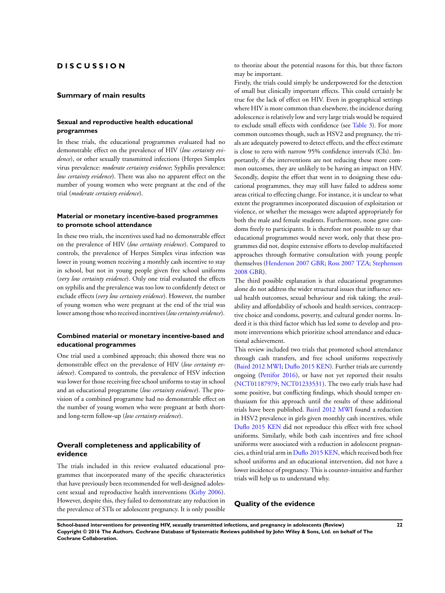# **D I S C U S S I O N**

# **Summary of main results**

# **Sexual and reproductive health educational programmes**

In these trials, the educational programmes evaluated had no demonstrable effect on the prevalence of HIV (*low certainty evidence*), or other sexually transmitted infections (Herpes Simplex virus prevalence: *moderate certainty evidence*; Syphilis prevalence: *low certainty evidence*). There was also no apparent effect on the number of young women who were pregnant at the end of the trial (*moderate certainty evidence*).

# **Material or monetary incentive-based programmes to promote school attendance**

In these two trials, the incentives used had no demonstrable effect on the prevalence of HIV (*low certainty evidence*). Compared to controls, the prevalence of Herpes Simplex virus infection was lower in young women receiving a monthly cash incentive to stay in school, but not in young people given free school uniforms (*very low certainty evidence*). Only one trial evaluated the effects on syphilis and the prevalence was too low to confidently detect or exclude effects (*very low certainty evidence*). However, the number of young women who were pregnant at the end of the trial was lower among those who received incentives (*low certainty evidence*).

# **Combined material or monetary incentive-based and educational programmes**

One trial used a combined approach; this showed there was no demonstrable effect on the prevalence of HIV (*low certainty evidence*). Compared to controls, the prevalence of HSV infection was lower for those receiving free school uniforms to stay in school and an educational programme (*low certainty evidence*). The provision of a combined programme had no demonstrable effect on the number of young women who were pregnant at both shortand long-term follow-up (*low certainty evidence*).

# **Overall completeness and applicability of evidence**

The trials included in this review evaluated educational programmes that incorporated many of the specific characteristics that have previously been recommended for well-designed adolescent sexual and reproductive health interventions [\(Kirby 2006](#page-26-0)). However, despite this, they failed to demonstrate any reduction in the prevalence of STIs or adolescent pregnancy. It is only possible to theorize about the potential reasons for this, but three factors may be important.

Firstly, the trials could simply be underpowered for the detection of small but clinically important effects. This could certainly be true for the lack of effect on HIV. Even in geographical settings where HIV is more common than elsewhere, the incidence during adolescence is relatively low and very large trials would be required to exclude small effects with confidence (see [Table 3\)](#page-86-0). For more common outcomes though, such as HSV2 and pregnancy, the trials are adequately powered to detect effects, and the effect estimate is close to zero with narrow 95% confidence intervals (CIs). Importantly, if the interventions are not reducing these more common outcomes, they are unlikely to be having an impact on HIV. Secondly, despite the effort that went in to designing these educational programmes, they may still have failed to address some areas critical to effecting change. For instance, it is unclear to what extent the programmes incorporated discussion of exploitation or violence, or whether the messages were adapted appropriately for both the male and female students. Furthermore, none gave condoms freely to participants. It is therefore not possible to say that educational programmes would never work, only that these programmes did not, despite extensive efforts to develop multifaceted approaches through formative consultation with young people themselves [\(Henderson 2007 GBR;](#page-26-0) [Ross 2007 TZA;](#page-26-0) [Stephenson](#page-26-0) [2008 GBR](#page-26-0)).

The third possible explanation is that educational programmes alone do not address the wider structural issues that influence sexual health outcomes, sexual behaviour and risk taking; the availability and affordability of schools and health services, contraceptive choice and condoms, poverty, and cultural gender norms. Indeed it is this third factor which has led some to develop and promote interventions which prioritize school attendance and educational achievement.

This review included two trials that promoted school attendance through cash transfers, and free school uniforms respectively [\(Baird 2012 MWI](#page-26-0); [Duflo 2015 KEN](#page-26-0)). Further trials are currently ongoing [\(Pettifor 2016\)](#page-26-0), or have not yet reported their results [\(NCT01187979](#page-26-0); [NCT01233531](#page-26-0)). The two early trials have had some positive, but conflicting findings, which should temper enthusiasm for this approach until the results of these additional trials have been published. [Baird 2012 MWI](#page-26-0) found a reduction in HSV2 prevalence in girls given monthly cash incentives, while [Duflo 2015 KEN](#page-26-0) did not reproduce this effect with free school uniforms. Similarly, while both cash incentives and free school uniforms were associated with a reduction in adolescent pregnan-cies, a third trial arm in [Duflo 2015 KEN](#page-26-0), which received both free school uniforms and an educational intervention, did not have a lower incidence of pregnancy. This is counter-intuitive and further trials will help us to understand why.

# **Quality of the evidence**

**School-based interventions for preventing HIV, sexually transmitted infections, and pregnancy in adolescents (Review) 22 Copyright © 2016 The Authors. Cochrane Database of Systematic Reviews published by John Wiley & Sons, Ltd. on behalf of The Cochrane Collaboration.**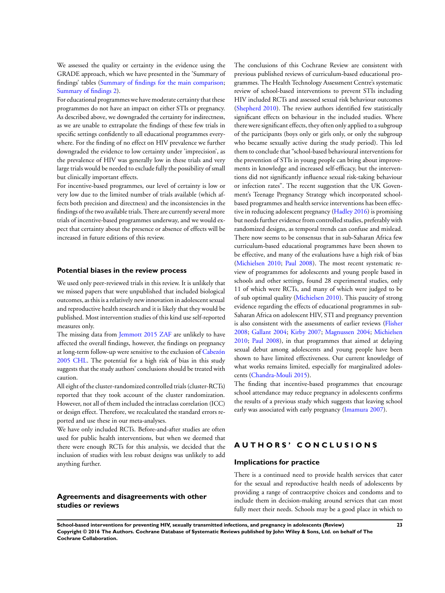We assessed the quality or certainty in the evidence using the GRADE approach, which we have presented in the 'Summary of findings' tables [\(Summary of findings for the main comparison;](#page-6-0) [Summary of findings 2](#page-20-0)).

For educational programmes we have moderate certainty that these programmes do not have an impact on either STIs or pregnancy. As described above, we downgraded the certainty for indirectness, as we are unable to extrapolate the findings of these few trials in specific settings confidently to all educational programmes everywhere. For the finding of no effect on HIV prevalence we further downgraded the evidence to low certainty under 'imprecision', as the prevalence of HIV was generally low in these trials and very large trials would be needed to exclude fully the possibility of small but clinically important effects.

For incentive-based programmes, our level of certainty is low or very low due to the limited number of trials available (which affects both precision and directness) and the inconsistencies in the findings of the two available trials. There are currently several more trials of incentive-based programmes underway, and we would expect that certainty about the presence or absence of effects will be increased in future editions of this review.

# **Potential biases in the review process**

We used only peer-reviewed trials in this review. It is unlikely that we missed papers that were unpublished that included biological outcomes, as this is a relatively new innovation in adolescent sexual and reproductive health research and it is likely that they would be published. Most intervention studies of this kind use self-reported measures only.

The missing data from [Jemmott 2015 ZAF](#page-26-0) are unlikely to have affected the overall findings, however, the findings on pregnancy at long-term follow-up were sensitive to the exclusion of [Cabezón](#page-26-0) [2005 CHL](#page-26-0). The potential for a high risk of bias in this study suggests that the study authors' conclusions should be treated with caution.

All eight of the cluster-randomized controlled trials (cluster-RCTs) reported that they took account of the cluster randomization. However, not all of them included the intraclass correlation (ICC) or design effect. Therefore, we recalculated the standard errors reported and use these in our meta-analyses.

We have only included RCTs. Before-and-after studies are often used for public health interventions, but when we deemed that there were enough RCTs for this analysis, we decided that the inclusion of studies with less robust designs was unlikely to add anything further.

# **Agreements and disagreements with other studies or reviews**

The conclusions of this Cochrane Review are consistent with previous published reviews of curriculum-based educational programmes. The Health Technology Assessment Centre's systematic review of school-based interventions to prevent STIs including HIV included RCTs and assessed sexual risk behaviour outcomes [\(Shepherd 2010\)](#page-26-0). The review authors identified few statistically significant effects on behaviour in the included studies. Where there were significant effects, they often only applied to a subgroup of the participants (boys only or girls only, or only the subgroup who became sexually active during the study period). This led them to conclude that "school-based behavioural interventions for the prevention of STIs in young people can bring about improvements in knowledge and increased self-efficacy, but the interventions did not significantly influence sexual risk-taking behaviour or infection rates". The recent suggestion that the UK Govenment's Teenage Pregnancy Strategy which incorporated schoolbased programmes and health service interventions has been effective in reducing adolescent pregnancy [\(Hadley 2016](#page-26-0)) is promising but needs further evidence from controlled studies, preferably with randomized designs, as temporal trends can confuse and mislead. There now seems to be consensus that in sub-Saharan Africa few curriculum-based educational programmes have been shown to be effective, and many of the evaluations have a high risk of bias [\(Michielsen 2010;](#page-26-0) [Paul 2008\)](#page-26-0). The most recent systematic review of programmes for adolescents and young people based in schools and other settings, found 28 experimental studies, only 11 of which were RCTs, and many of which were judged to be of sub optimal quality [\(Michielsen 2010\)](#page-26-0). This paucity of strong evidence regarding the effects of educational programmes in sub-Saharan Africa on adolescent HIV, STI and pregnancy prevention is also consistent with the assessments of earlier reviews ([Flisher](#page-26-0) [2008](#page-26-0); [Gallant 2004](#page-26-0); [Kirby 2007](#page-26-0); [Magnussen 2004](#page-26-0); [Michielsen](#page-26-0) [2010](#page-26-0); [Paul 2008\)](#page-26-0), in that programmes that aimed at delaying sexual debut among adolescents and young people have been shown to have limited effectiveness. Our current knowledge of what works remains limited, especially for marginalized adolescents ([Chandra-Mouli 2015](#page-26-0)).

The finding that incentive-based programmes that encourage school attendance may reduce pregnancy in adolescents confirms the results of a previous study which suggests that leaving school early was associated with early pregnancy [\(Imamura 2007\)](#page-26-0).

# **A U T H O R S ' C O N C L U S I O N S**

# **Implications for practice**

There is a continued need to provide health services that cater for the sexual and reproductive health needs of adolescents by providing a range of contraceptive choices and condoms and to include them in decision-making around services that can most fully meet their needs. Schools may be a good place in which to

**School-based interventions for preventing HIV, sexually transmitted infections, and pregnancy in adolescents (Review) 23 Copyright © 2016 The Authors. Cochrane Database of Systematic Reviews published by John Wiley & Sons, Ltd. on behalf of The Cochrane Collaboration.**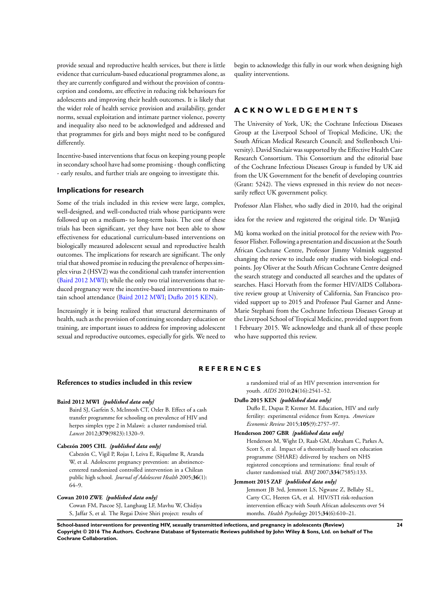<span id="page-26-0"></span>provide sexual and reproductive health services, but there is little evidence that curriculum-based educational programmes alone, as they are currently configured and without the provision of contraception and condoms, are effective in reducing risk behaviours for adolescents and improving their health outcomes. It is likely that the wider role of health service provision and availability, gender norms, sexual exploitation and intimate partner violence, poverty and inequality also need to be acknowledged and addressed and that programmes for girls and boys might need to be configured differently.

Incentive-based interventions that focus on keeping young people in secondary school have had some promising - though conflicting - early results, and further trials are ongoing to investigate this.

# **Implications for research**

Some of the trials included in this review were large, complex, well-designed, and well-conducted trials whose participants were followed up on a medium- to long-term basis. The cost of these trials has been significant, yet they have not been able to show effectiveness for educational curriculum-based interventions on biologically measured adolescent sexual and reproductive health outcomes. The implications for research are significant. The only trial that showed promise in reducing the prevalence of herpes simplex virus 2 (HSV2) was the conditional cash transfer intervention (Baird 2012 MWI); while the only two trial interventions that reduced pregnancy were the incentive-based interventions to maintain school attendance (Baird 2012 MWI; Duflo 2015 KEN).

Increasingly it is being realized that structural determinants of health, such as the provision of continuing secondary education or training, are important issues to address for improving adolescent sexual and reproductive outcomes, especially for girls. We need to

begin to acknowledge this fully in our work when designing high quality interventions.

# **A C K N O W L E D G E M E N T S**

The University of York, UK; the Cochrane Infectious Diseases Group at the Liverpool School of Tropical Medicine, UK; the South African Medical Research Council; and Stellenbosch University). David Sinclair was supported by the Effective Health Care Research Consortium. This Consortium and the editorial base of the Cochrane Infectious Diseases Group is funded by UK aid from the UK Government for the benefit of developing countries (Grant: 5242). The views expressed in this review do not necessarily reflect UK government policy.

Professor Alan Flisher, who sadly died in 2010, had the original

idea for the review and registered the original title. Dr Wanjir

Mũ koma worked on the initial protocol for the review with Professor Flisher. Following a presentation and discussion at the South African Cochrane Centre, Professor Jimmy Volmink suggested changing the review to include only studies with biological endpoints. Joy Oliver at the South African Cochrane Centre designed the search strategy and conducted all searches and the updates of searches. Hasci Horvath from the former HIV/AIDS Collaborative review group at University of California, San Francisco provided support up to 2015 and Professor Paul Garner and Anne-Marie Stephani from the Cochrane Infectious Diseases Group at the Liverpool School of Tropical Medicine, provided support from 1 February 2015. We acknowledge and thank all of these people who have supported this review.

# **R E F E R E N C E S**

# **References to studies included in this review**

#### **Baird 2012 MWI** *{published data only}*

Baird SJ, Garfein S, McIntosh CT, Ozler B. Effect of a cash transfer programme for schooling on prevalence of HIV and herpes simplex type 2 in Malawi: a cluster randomised trial. *Lancet* 2012;**379**(9823):1320–9.

#### **Cabezón 2005 CHL** *{published data only}*

Cabezón C, Vigil P, Rojas I, Leiva E, Riquelme R, Aranda W, et al. Adolescent pregnancy prevention: an abstinencecentered randomized controlled intervention in a Chilean public high school. *Journal of Adolescent Health* 2005;**36**(1): 64–9.

#### **Cowan 2010 ZWE** *{published data only}*

Cowan FM, Pascoe SJ, Langhaug LF, Mavhu W, Chidiya S, Jaffar S, et al. The Regai Dzive Shiri project: results of a randomized trial of an HIV prevention intervention for youth. *AIDS* 2010;**24**(16):2541–52.

#### **Duflo 2015 KEN** *{published data only}*

Duflo E, Dupas P, Kremer M. Education, HIV and early fertility: experimental evidence from Kenya. *American Economic Review* 2015;**105**(9):2757–97.

#### **Henderson 2007 GBR** *{published data only}*

Henderson M, Wight D, Raab GM, Abraham C, Parkes A, Scott S, et al. Impact of a theoretically based sex education programme (SHARE) delivered by teachers on NHS registered conceptions and terminations: final result of cluster randomised trial. *BMJ* 2007;**334**(7585):133.

# **Jemmott 2015 ZAF** *{published data only}*

Jemmott JB 3rd, Jemmott LS, Ngwane Z, Bellaby SL, Carty CC, Heeren GA, et al. HIV/STI risk-reduction intervention efficacy with South African adolescents over 54 months. *Health Psychology* 2015;**34**(6):610–21.

**School-based interventions for preventing HIV, sexually transmitted infections, and pregnancy in adolescents (Review) 24 Copyright © 2016 The Authors. Cochrane Database of Systematic Reviews published by John Wiley & Sons, Ltd. on behalf of The Cochrane Collaboration.**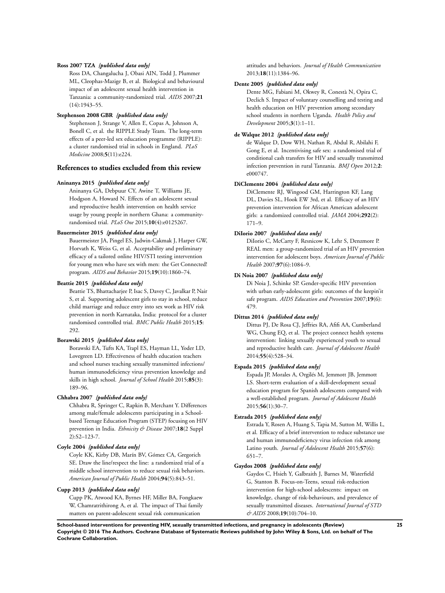### **Ross 2007 TZA** *{published data only}*

Ross DA, Changalucha J, Obasi AIN, Todd J, Plummer ML, Cleophas-Mazige B, et al. Biological and behavioural impact of an adolescent sexual health intervention in Tanzania: a community-randomized trial. *AIDS* 2007;**21** (14):1943–55.

# **Stephenson 2008 GBR** *{published data only}*

Stephenson J, Strange V, Allen E, Copas A, Johnson A, Bonell C, et al. the RIPPLE Study Team. The long-term effects of a peer-led sex education programme (RIPPLE): a cluster randomised trial in schools in England. *PLoS Medicine* 2008;**5**(11):e224.

# **References to studies excluded from this review**

#### **Aninanya 2015** *{published data only}*

Aninanya GA, Debpuur CY, Awine T, Williams JE, Hodgson A, Howard N. Effects of an adolescent sexual and reproductive health intervention on health service usage by young people in northern Ghana: a communityrandomised trial. *PLoS One* 2015;**10**(4):e0125267.

#### **Bauermeister 2015** *{published data only}*

Bauermeister JA, Pingel ES, Jadwin-Cakmak J, Harper GW, Horvath K, Weiss G, et al. Acceptability and preliminary efficacy of a tailored online HIV/STI testing intervention for young men who have sex with men: the Get Connected! program. *AIDS and Behavior* 2015;**19**(10):1860–74.

### **Beattie 2015** *{published data only}*

Beattie TS, Bhattacharjee P, Isac S, Davey C, Javalkar P, Nair S, et al. Supporting adolescent girls to stay in school, reduce child marriage and reduce entry into sex work as HIV risk prevention in north Karnataka, India: protocol for a cluster randomised controlled trial. *BMC Public Health* 2015;**15**: 292.

#### **Borawski 2015** *{published data only}*

Borawski EA, Tufts KA, Trapl ES, Hayman LL, Yoder LD, Lovegreen LD. Effectiveness of health education teachers and school nurses teaching sexually transmitted infections/ human immunodeficiency virus prevention knowledge and skills in high school. *Journal of School Health* 2015;**85**(3): 189–96.

#### **Chhabra 2007** *{published data only}*

Chhabra R, Springer C, Rapkin B, Merchant Y. Differences among male/female adolescents participating in a Schoolbased Teenage Education Program (STEP) focusing on HIV prevention in India. *Ethnicity & Disease* 2007;**18**(2 Suppl 2):S2–123-7.

### **Coyle 2004** *{published data only}*

Coyle KK, Kirby DB, Marín BV, Gómez CA, Gregorich SE. Draw the line/respect the line: a randomized trial of a middle school intervention to reduce sexual risk behaviors. *American Journal of Public Health* 2004;**94**(5):843–51.

# **Cupp 2013** *{published data only}*

Cupp PK, Atwood KA, Byrnes HF, Miller BA, Fongkaew W, Chamratrithirong A, et al. The impact of Thai family matters on parent-adolescent sexual risk communication

attitudes and behaviors. *Journal of Health Communication* 2013;**18**(11):1384–96.

#### **Dente 2005** *{published data only}*

Dente MG, Fabiani M, Okwey R, Conestà N, Opira C, Declich S. Impact of voluntary counselling and testing and health education on HIV prevention among secondary school students in northern Uganda. *Health Policy and Development* 2005;**3**(1):1–11.

# **de Walque 2012** *{published data only}*

de Walque D, Dow WH, Nathan R, Abdul R, Abilahi F, Gong E, et al. Incentivising safe sex: a randomised trial of conditional cash transfers for HIV and sexually transmitted infection prevention in rural Tanzania. *BMJ Open* 2012;**2**: e000747.

### **DiClemente 2004** *{published data only}*

DiClemente RJ, Wingood GM, Harrington KF, Lang DL, Davies SL, Hook EW 3rd, et al. Efficacy of an HIV prevention intervention for African American adolescent girls: a randomized controlled trial. *JAMA* 2004;**292**(2): 171–9.

# **DiIorio 2007** *{published data only}*

DiIorio C, McCarty F, Resnicow K, Lehr S, Denzmore P. REAL men: a group-randomized trial of an HIV prevention intervention for adolescent boys. *American Journal of Public Health* 2007;**97**(6):1084–9.

# **Di Noia 2007** *{published data only}*

Di Noia J, Schinke SP. Gender-specific HIV prevention with urban early-adolescent girls: outcomes of the keepin'it safe program. *AIDS Education and Prevention* 2007;**19**(6): 479.

## **Dittus 2014** *{published data only}*

Dittus PJ, De Rosa CJ, Jeffries RA, Afifi AA, Cumberland WG, Chung EQ, et al. The project connect health systems intervention: linking sexually experienced youth to sexual and reproductive health care. *Journal of Adolescent Health* 2014;**55**(4):528–34.

## **Espada 2015** *{published data only}*

Espada JP, Morales A, Orgilés M, Jemmott JB, Jemmott LS. Short-term evaluation of a skill-development sexual education program for Spanish adolescents compared with a well-established program. *Journal of Adolescent Health* 2015;**56**(1):30–7.

# **Estrada 2015** *{published data only}*

Estrada Y, Rosen A, Huang S, Tapia M, Sutton M, Willis L, et al. Efficacy of a brief intervention to reduce substance use and human immunodeficiency virus infection risk among Latino youth. *Journal of Adolescent Health* 2015;**57**(6): 651–7.

# **Gaydos 2008** *{published data only}*

Gaydos C, Hsieh Y, Galbraith J, Barnes M, Waterfield G, Stanton B. Focus-on-Teens, sexual risk-reduction intervention for high-school adolescents: impact on knowledge, change of risk-behaviours, and prevalence of sexually transmitted diseases. *International Journal of STD & AIDS* 2008;**19**(10):704–10.

**School-based interventions for preventing HIV, sexually transmitted infections, and pregnancy in adolescents (Review) 25 Copyright © 2016 The Authors. Cochrane Database of Systematic Reviews published by John Wiley & Sons, Ltd. on behalf of The Cochrane Collaboration.**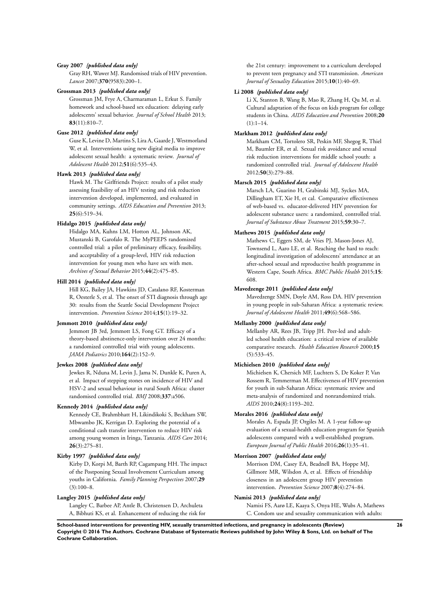# **Gray 2007** *{published data only}*

Gray RH, Wawer MJ. Randomised trials of HIV prevention. *Lancet* 2007;**370**(9583):200–1.

# **Grossman 2013** *{published data only}*

Grossman JM, Frye A, Charmaraman L, Erkut S. Family homework and school-based sex education: delaying early adolescents' sexual behavior. *Journal of School Health* 2013; **83**(11):810–7.

# **Guse 2012** *{published data only}*

Guse K, Levine D, Martins S, Lira A, Gaarde J, Westmorland W, et al. Interventions using new digital media to improve adolescent sexual health: a systematic review. *Journal of Adolescent Health* 2012;**51**(6):535–43.

# **Hawk 2013** *{published data only}*

Hawk M. The Girlfriends Project: results of a pilot study assessing feasibility of an HIV testing and risk reduction intervention developed, implemented, and evaluated in community settings. *AIDS Education and Prevention* 2013; **25**(6):519–34.

# **Hidalgo 2015** *{published data only}*

Hidalgo MA, Kuhns LM, Hotton AL, Johnson AK, Mustanski B, Garofalo R. The MyPEEPS randomized controlled trial: a pilot of preliminary efficacy, feasibility, and acceptability of a group-level, HIV risk reduction intervention for young men who have sex with men. *Archives of Sexual Behavior* 2015;**44**(2):475–85.

# **Hill 2014** *{published data only}*

Hill KG, Bailey JA, Hawkins JD, Catalano RF, Kosterman R, Oesterle S, et al. The onset of STI diagnosis through age 30: results from the Seattle Social Development Project intervention. *Prevention Science* 2014;**15**(1):19–32.

# **Jemmott 2010** *{published data only}*

Jemmott JB 3rd, Jemmott LS, Fong GT. Efficacy of a theory-based abstinence-only intervention over 24 months: a randomized controlled trial with young adolescents. *JAMA Pediatrics* 2010;**164**(2):152–9.

#### **Jewkes 2008** *{published data only}*

Jewkes R, Nduna M, Levin J, Jama N, Dunkle K, Puren A, et al. Impact of stepping stones on incidence of HIV and HSV-2 and sexual behaviour in rural South Africa: cluster randomised controlled trial. *BMJ* 2008;**337**:a506.

# **Kennedy 2014** *{published data only}*

Kennedy CE, Brahmbhatt H, Likindikoki S, Beckham SW, Mbwambo JK, Kerrigan D. Exploring the potential of a conditional cash transfer intervention to reduce HIV risk among young women in Iringa, Tanzania. *AIDS Care* 2014; **26**(3):275–81.

### **Kirby 1997** *{published data only}*

Kirby D, Korpi M, Barth RP, Cagampang HH. The impact of the Postponing Sexual Involvement Curriculum among youths in California. *Family Planning Perspectives* 2007;**29**  $(3):100-8.$ 

# **Langley 2015** *{published data only}*

Langley C, Barbee AP, Antle B, Christensen D, Archuleta A, Bibhuti KS, et al. Enhancement of reducing the risk for the 21st century: improvement to a curriculum developed to prevent teen pregnancy and STI transmission. *American Journal of Sexuality Education* 2015;**10**(1):40–69.

#### **Li 2008** *{published data only}*

Li X, Stanton B, Wang B, Mao R, Zhang H, Qu M, et al. Cultural adaptation of the focus on kids program for college students in China. *AIDS Education and Prevention* 2008;**20**  $(1):1-14.$ 

#### **Markham 2012** *{published data only}*

Markham CM, Tortolero SR, Peskin MF, Shegog R, Thiel M, Baumler ER, et al. Sexual risk avoidance and sexual risk reduction interventions for middle school youth: a randomized controlled trial. *Journal of Adolescent Health* 2012;**50**(3):279–88.

# **Marsch 2015** *{published data only}*

Marsch LA, Guarino H, Grabinski MJ, Syckes MA, Dillingham ET, Xie H, et cal. Comparative effectiveness of web-based vs. educator-delivered HIV prevention for adolescent substance users: a randomized, controlled trial. *Journal of Substance Abuse Treatment* 2015;**59**:30–7.

# **Mathews 2015** *{published data only}*

Mathews C, Eggers SM, de Vries PJ, Mason-Jones AJ, Townsend L, Aaro LE, et al. Reaching the hard to reach: longitudinal investigation of adolescents' attendance at an after-school sexual and reproductive health programme in Western Cape, South Africa. *BMC Public Health* 2015;**15**: 608.

#### **Mavedzenge 2011** *{published data only}*

Mavedzenge SMN, Doyle AM, Ross DA. HIV prevention in young people in sub-Saharan Africa: a systematic review. *Journal of Adolescent Health* 2011;**49**(6):568–586.

# **Mellanby 2000** *{published data only}*

Mellanby AR, Rees JB, Tripp JH. Peer-led and adultled school health education: a critical review of available comparative research. *Health Education Research* 2000;**15** (5):533–45.

#### **Michielsen 2010** *{published data only}*

Michielsen K, Chersich MF, Luchters S, De Koker P, Van Rossem R, Temmerman M. Effectiveness of HIV prevention for youth in sub-Saharan Africa: systematic review and meta-analysis of randomized and nonrandomized trials. *AIDS* 2010;**24**(8):1193–202.

# **Morales 2016** *{published data only}*

Morales A, Espada JP, Orgiles M. A 1-year follow-up evaluation of a sexual-health education program for Spanish adolescents compared with a well-established program. *European Journal of Public Health* 2016;**26**(1):35–41.

# **Morrison 2007** *{published data only}*

Morrison DM, Casey EA, Beadnell BA, Hoppe MJ, Gillmore MR, Wilsdon A, et al. Effects of friendship closeness in an adolescent group HIV prevention intervention. *Prevention Science* 2007;**8**(4):274–84.

# **Namisi 2013** *{published data only}*

Namisi FS, Aarø LE, Kaaya S, Onya HE, Wubs A, Mathews C. Condom use and sexuality communication with adults:

**School-based interventions for preventing HIV, sexually transmitted infections, and pregnancy in adolescents (Review) 26 Copyright © 2016 The Authors. Cochrane Database of Systematic Reviews published by John Wiley & Sons, Ltd. on behalf of The Cochrane Collaboration.**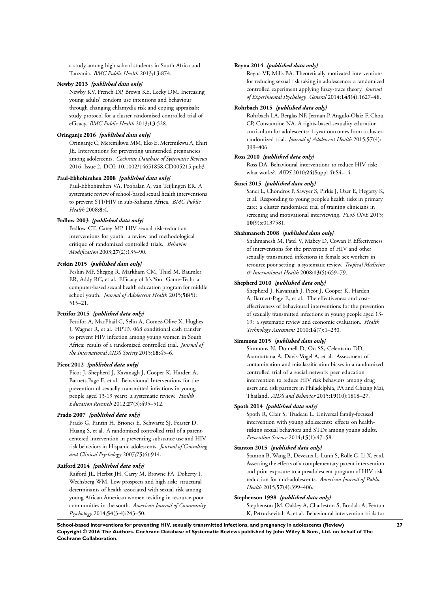a study among high school students in South Africa and Tanzania. *BMC Public Health* 2013;**13**:874.

#### **Newby 2013** *{published data only}*

Newby KV, French DP, Brown KE, Lecky DM. Increasing young adults' condom use intentions and behaviour through changing chlamydia risk and coping appraisals: study protocol for a cluster randomised controlled trial of efficacy. *BMC Public Health* 2013;**13**:528.

# **Oringanje 2016** *{published data only}*

Oringanje C, Meremikwu MM, Eko E, Meremikwu A, Ehiri JE. Interventions for preventing unintended pregnancies among adolescents. *Cochrane Database of Systematic Reviews* 2016, Issue 2. DOI: 10.1002/14651858.CD005215.pub3

# **Paul-Ebhohimhen 2008** *{published data only}*

Paul-Ebhohimhen VA, Poobalan A, van Teijlingen ER. A systematic review of school-based sexual health interventions to prevent STI/HIV in sub-Saharan Africa. *BMC Public Health* 2008;**8**:4.

#### **Pedlow 2003** *{published data only}*

Pedlow CT, Carey MP. HIV sexual risk-reduction interventions for youth: a review and methodological critique of randomized controlled trials. *Behavior Modification* 2003;**27**(2):135–90.

#### **Peskin 2015** *{published data only}*

Peskin MF, Shegog R, Markham CM, Thiel M, Baumler ER, Addy RC, et al. Efficacy of It's Your Game-Tech: a computer-based sexual health education program for middle school youth. *Journal of Adolescent Health* 2015;**56**(5): 515–21.

# **Pettifor 2015** *{published data only}*

Pettifor A, MacPhail C, Selin A, Gomez-Olive X, Hughes J, Wagner R, et al. HPTN 068 conditional cash transfer to prevent HIV infection among young women in South Africa: results of a randomized controlled trial. *Journal of the International AIDS Society* 2015;**18**:45–6.

#### **Picot 2012** *{published data only}*

Picot J, Shepherd J, Kavanagh J, Cooper K, Harden A, Barnett-Page E, et al. Behavioural Interventions for the prevention of sexually transmitted infections in young people aged 13-19 years: a systematic review. *Health Education Research* 2012;**27**(3):495–512.

# **Prado 2007** *{published data only}*

Prado G, Pantin H, Briones E, Schwartz SJ, Feaster D, Huang S, et al. A randomized controlled trial of a parentcentered intervention in preventing substance use and HIV risk behaviors in Hispanic adolescents. *Journal of Consulting and Clinical Psychology* 2007;**75**(6):914.

# **Raiford 2014** *{published data only}*

Raiford JL, Herbst JH, Carry M, Browne FA, Doherty I, Wechsberg WM. Low prospects and high risk: structural determinants of health associated with sexual risk among young African American women residing in resource-poor communities in the south. *American Journal of Community Psychology* 2014;**54**(3-4):243–50.

#### **Reyna 2014** *{published data only}*

Reyna VF, Mills BA. Theoretically motivated interventions for reducing sexual risk taking in adolescence: a randomized controlled experiment applying fuzzy-trace theory. *Journal of Experimental Psychology. General* 2014;**143**(4):1627–48.

#### **Rohrbach 2015** *{published data only}*

Rohrbach LA, Berglas NF, Jerman P, Angulo-Olaiz F, Chou CP, Constantine NA. A rights-based sexuality education curriculum for adolescents: 1-year outcomes from a clusterrandomized trial. *Journal of Adolescent Health* 2015;**57**(4): 399–406.

# **Ross 2010** *{published data only}*

Ross DA. Behavioural interventions to reduce HIV risk: what works?. *AIDS* 2010;**24**(Suppl 4):S4–14.

#### **Sanci 2015** *{published data only}*

Sanci L, Chondros P, Sawyer S, Pirkis J, Ozer E, Hegarty K, et al. Responding to young people's health risks in primary care: a cluster randomised trial of training clinicians in screening and motivational interviewing. *PLoS ONE* 2015; **10**(9):e0137581.

#### **Shahmanesh 2008** *{published data only}*

Shahmanesh M, Patel V, Mabey D, Cowan F. Effectiveness of interventions for the prevention of HIV and other sexually transmitted infections in female sex workers in resource poor setting: a systematic review. *Tropical Medicine & International Health* 2008;**13**(5):659–79.

#### **Shepherd 2010** *{published data only}*

Shepherd J, Kavanagh J, Picot J, Cooper K, Harden A, Barnett-Page E, et al. The effectiveness and costeffectiveness of behavioural interventions for the prevention of sexually transmitted infections in young people aged 13- 19: a systematic review and economic evaluation. *Health Technology Assessment* 2010;**14**(7):1–230.

# **Simmons 2015** *{published data only}*

Simmons N, Donnell D, Ou SS, Celentano DD, Aramrattana A, Davis-Vogel A, et al. Assessment of contamination and misclassification biases in a randomized controlled trial of a social network peer education intervention to reduce HIV risk behaviors among drug users and risk partners in Philadelphia, PA and Chiang Mai, Thailand. *AIDS and Behavior* 2015;**19**(10):1818–27.

#### **Spoth 2014** *{published data only}*

Spoth R, Clair S, Trudeau L. Universal family-focused intervention with young adolescents: effects on healthrisking sexual behaviors and STDs among young adults. *Prevention Science* 2014;**15**(1):47–58.

### **Stanton 2015** *{published data only}*

Stanton B, Wang B, Deveaux L, Lunn S, Rolle G, Li X, et al. Assessing the effects of a complementary parent intervention and prior exposure to a preadolescent program of HIV risk reduction for mid-adolescents. *American Journal of Public Health* 2015;**57**(4):399–406.

#### **Stephenson 1998** *{published data only}*

Stephenson JM, Oakley A, Charleston S, Brodala A, Fenton K, Petruckevitch A, et al. Behavioural intervention trials for

**School-based interventions for preventing HIV, sexually transmitted infections, and pregnancy in adolescents (Review) 27 Copyright © 2016 The Authors. Cochrane Database of Systematic Reviews published by John Wiley & Sons, Ltd. on behalf of The Cochrane Collaboration.**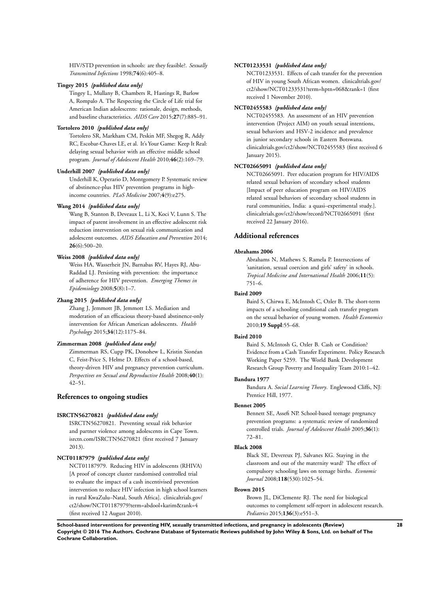HIV/STD prevention in schools: are they feasible?. *Sexually Transmitted Infections* 1998;**74**(6):405–8.

# **Tingey 2015** *{published data only}*

Tingey L, Mullany B, Chambers R, Hastings R, Barlow A, Rompalo A. The Respecting the Circle of Life trial for American Indian adolescents: rationale, design, methods, and baseline characteristics. *AIDS Care* 2015;**27**(7):885–91.

# **Tortolero 2010** *{published data only}*

Tortolero SR, Markham CM, Peskin MF, Shegog R, Addy RC, Escobar-Chaves LE, et al. It's Your Game: Keep It Real: delaying sexual behavior with an effective middle school program. *Journal of Adolescent Health* 2010;**46**(2):169–79.

### **Underhill 2007** *{published data only}*

Underhill K, Operario D, Montgomery P. Systematic review of abstinence-plus HIV prevention programs in highincome countries. *PLoS Medicine* 2007;**4**(9):e275.

# **Wang 2014** *{published data only}*

Wang B, Stanton B, Deveaux L, Li X, Koci V, Lunn S. The impact of parent involvement in an effective adolescent risk reduction intervention on sexual risk communication and adolescent outcomes. *AIDS Education and Prevention* 2014; **26**(6):500–20.

# **Weiss 2008** *{published data only}*

Weiss HA, Wasserheit JN, Barnabas RV, Hayes RJ, Abu-Raddad LJ. Persisting with prevention: the importance of adherence for HIV prevention. *Emerging Themes in Epidemiology* 2008;**5**(8):1–7.

### **Zhang 2015** *{published data only}*

Zhang J, Jemmott JB, Jemmott LS. Mediation and moderation of an efficacious theory-based abstinence-only intervention for African American adolescents. *Health Psychology* 2015;**34**(12):1175–84.

#### **Zimmerman 2008** *{published data only}*

Zimmerman RS, Cupp PK, Donohew L, Kristin Sionéan C, Feist-Price S, Helme D. Effects of a school-based, theory-driven HIV and pregnancy prevention curriculum. *Perspectives on Sexual and Reproductive Health* 2008;**40**(1): 42–51.

# **References to ongoing studies**

#### **ISRCTN56270821** *{published data only}*

ISRCTN56270821. Preventing sexual risk behavior and partner violence among adolescents in Cape Town. isrctn.com/ISRCTN56270821 (first received 7 January 2013).

# **NCT01187979** *{published data only}*

NCT01187979. Reducing HIV in adolescents (RHIVA) [A proof of concept cluster randomised controlled trial to evaluate the impact of a cash incentivised prevention intervention to reduce HIV infection in high school learners in rural KwaZulu–Natal, South Africa]. clinicaltrials.gov/ ct2/show/NCT01187979?term=abdool+karim&rank=4 (first received 12 August 2010).

### **NCT01233531** *{published data only}*

NCT01233531. Effects of cash transfer for the prevention of HIV in young South African women. clinicaltrials.gov/ ct2/show/NCT01233531?term=hptn+068&rank=1 (first received 1 November 2010).

# **NCT02455583** *{published data only}*

NCT02455583. An assessment of an HIV prevention intervention (Project AIM) on youth sexual intentions, sexual behaviors and HSV-2 incidence and prevalence in junior secondary schools in Eastern Botswana. clinicaltrials.gov/ct2/show/NCT02455583 (first received 6 January 2015).

### **NCT02665091** *{published data only}*

NCT02665091. Peer education program for HIV/AIDS related sexual behaviors of secondary school students [Impact of peer education program on HIV/AIDS related sexual behaviors of secondary school students in rural communities, India: a quasi–experimental study.]. clinicaltrials.gov/ct2/show/record/NCT02665091 (first received 22 January 2016).

# **Additional references**

# **Abrahams 2006**

Abrahams N, Mathews S, Ramela P. Intersections of 'sanitation, sexual coercion and girls' safety' in schools. *Tropical Medicine and International Health* 2006;**11**(5): 751–6.

# **Baird 2009**

Baird S, Chirwa E, McIntosh C, Ozler B. The short-term impacts of a schooling conditional cash transfer program on the sexual behavior of young women. *Health Economics* 2010;**19 Suppl**:55–68.

#### **Baird 2010**

Baird S, McIntosh G, Ozler B. Cash or Condition? Evidence from a Cash Transfer Experiment. Policy Research Working Paper 5259. The World Bank Development Research Group Poverty and Inequality Team 2010:1–42.

#### **Bandura 1977**

Bandura A. *Social Learning Theory*. Englewood Cliffs, NJ: Prentice Hill, 1977.

# **Bennet 2005**

Bennett SE, Assefi NP. School-based teenage pregnancy prevention programs: a systematic review of randomized controlled trials. *Journal of Adolescent Health* 2005;**36**(1): 72–81.

# **Black 2008**

Black SE, Devereux PJ, Salvanes KG. Staying in the classroom and out of the maternity ward? The effect of compulsory schooling laws on teenage births. *Economic Journal* 2008;**118**(530):1025–54.

#### **Brown 2015**

Brown JL, DiClemente RJ. The need for biological outcomes to complement self-report in adolescent research. *Pediatrics* 2015;**136**(3):e551–3.

**School-based interventions for preventing HIV, sexually transmitted infections, and pregnancy in adolescents (Review) 28 Copyright © 2016 The Authors. Cochrane Database of Systematic Reviews published by John Wiley & Sons, Ltd. on behalf of The Cochrane Collaboration.**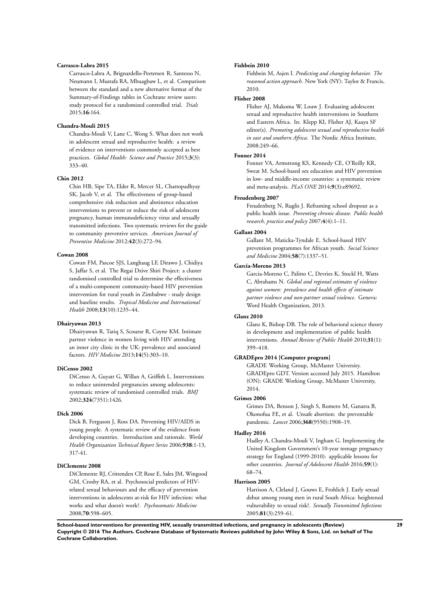#### **Carrasco-Labra 2015**

Carrasco-Labra A, Brignardello-Peetersen R, Santesso N, Neumann I, Mustafa RA, Mbuagbaw L, et al. Comparison between the standard and a new alternative format of the Summary-of-Findings tables in Cochrane review users: study protocol for a randomized controlled trial. *Trials* 2015;**16**:164.

#### **Chandra-Mouli 2015**

Chandra-Mouli V, Lane C, Wong S. What does not work in adolescent sexual and reproductive health: a review of evidence on interventions commonly accepted as best practices. *Global Health: Science and Practice* 2015;**3**(3): 333–40.

#### **Chin 2012**

Chin HB, Sipe TA, Elder R, Mercer SL, Chattopadhyay SK, Jacob V, et al. The effectiveness of group-based comprehensive risk reduction and abstinence education interventions to prevent or reduce the risk of adolescent pregnancy, human immunodeficiency virus and sexually transmitted infections. Two systematic reviews for the guide to community preventive services. *American Journal of Preventive Medicine* 2012;**42**(3):272–94.

#### **Cowan 2008**

Cowan FM, Pascoe SJS, Langhaug LF, Dirawo J, Chidiya S, Jaffar S, et al. The Regai Dzive Shiri Project: a cluster randomised controlled trial to determine the effectiveness of a multi-component community-based HIV prevention intervention for rural youth in Zimbabwe - study design and baseline results. *Tropical Medicine and International Health* 2008;**13**(10):1235–44.

#### **Dhairyawan 2013**

Dhairyawan R, Tariq S, Scourse R, Coyne KM. Intimate partner violence in women living with HIV attending an inner city clinic in the UK: prevalence and associated factors. *HIV Medicine* 2013;**14**(5):303–10.

# **DiCenso 2002**

DiCenso A, Guyatt G, Willan A, Griffith L. Interventions to reduce unintended pregnancies among adolescents: systematic review of randomised controlled trials. *BMJ* 2002;**324**(7351):1426.

## **Dick 2006**

Dick B, Ferguson J, Ross DA. Preventing HIV/AIDS in young people. A systematic review of the evidence from developing countries. Introduction and rationale. *World Health Organization Technical Report Series* 2006;**938**:1-13, 317-41.

# **DiClemente 2008**

DiClemente RJ, Crittenden CP, Rose E, Sales JM, Wingood GM, Crosby RA, et al. Psychosocial predictors of HIVrelated sexual behaviours and the efficacy of prevention interventions in adolescents at-risk for HIV infection: what works and what doesn't work?. *Psychosomatic Medicine* 2008;**70**:598–605.

#### **Fishbein 2010**

Fishbein M, Asjen I. *Predicting and changing behavior. The reasoned action approach*. New York (NY): Taylor & Francis, 2010.

#### **Flisher 2008**

Flisher AJ, Mukoma W, Louw J. Evaluating adolescent sexual and reproductive health interventions in Southern and Eastern Africa. In: Klepp KI, Flisher AJ, Kaaya SF editor(s). *Promoting adolescent sexual and reproductive health in east and southern Africa*. The Nordic Africa Institute, 2008:249–66.

#### **Fonner 2014**

Fonner VA, Armstrong KS, Kennedy CE, O'Reilly KR, Sweat M. School-based sex education and HIV prevention in low- and middle-income countries: a systematic review and meta-analysis. *PLoS ONE* 2014;**9**(3):e89692.

### **Freudenberg 2007**

Freudenberg N, Ruglis J. Reframing school dropout as a public health issue. *Preventing chronic disease. Public health research, practice and policy* 2007;**4**(4):1–11.

### **Gallant 2004**

Gallant M, Maticka-Tyndale E. School-based HIV prevention programmes for African youth. *Social Science and Medicine* 2004;**58**(7):1337–51.

#### **Garcia-Moreno 2013**

Garcia-Moreno C, Palitto C, Devries K, Stockl H, Watts C, Abrahams N. *Global and regional estimates of violence against women: prevalence and health effects of intimate partner violence and non-partner sexual violence*. Geneva: Word Health Organization, 2013.

#### **Glanz 2010**

Glanz K, Bishop DB. The role of behavioral science theory in development and implementation of public health interventions. *Annual Review of Public Health* 2010;**31**(1): 399–418.

# **GRADEpro 2014 [Computer program]**

GRADE Working Group, McMaster University. GRADEpro GDT. Version accessed July 2015. Hamilton (ON): GRADE Working Group, McMaster University, 2014.

#### **Grimes 2006**

Grimes DA, Benson J, Singh S, Romero M, Ganatra B, Okonofua FE, et al. Unsafe abortion: the preventable pandemic. *Lancet* 2006;**368**(9550):1908–19.

#### **Hadley 2016**

Hadley A, Chandra-Mouli V, Ingham G. Implementing the United Kingdom Government's 10-year teenage pregnancy strategy for England (1999-2010): applicable lessons for other countries. *Journal of Adolescent Health* 2016;**59**(1): 68–74.

#### **Harrison 2005**

Harrison A, Cleland J, Gouws E, Frohlich J. Early sexual debut among young men in rural South Africa: heightened vulnerability to sexual risk?. *Sexually Transmitted Infections* 2005;**81**(3):259–61.

**School-based interventions for preventing HIV, sexually transmitted infections, and pregnancy in adolescents (Review) 29 Copyright © 2016 The Authors. Cochrane Database of Systematic Reviews published by John Wiley & Sons, Ltd. on behalf of The Cochrane Collaboration.**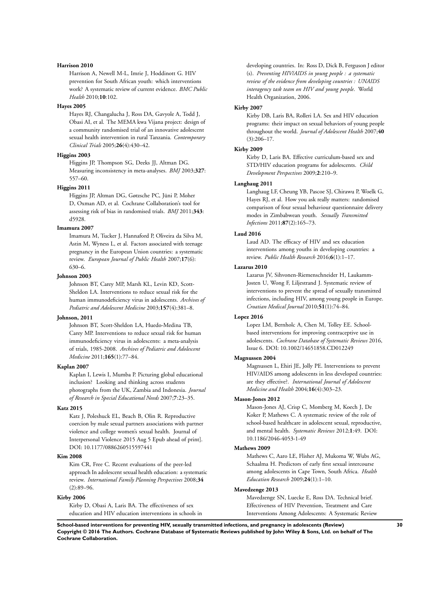#### **Harrison 2010**

Harrison A, Newell M-L, Imrie J, Hoddinott G. HIV prevention for South African youth: which interventions work? A systematic review of current evidence. *BMC Public Health* 2010;**10**:102.

#### **Hayes 2005**

Hayes RJ, Changalucha J, Ross DA, Gavyole A, Todd J, Obasi AI, et al. The MEMA kwa Vijana project: design of a community randomised trial of an innovative adolescent sexual health intervention in rural Tanzania. *Contemporary Clinical Trials* 2005;**26**(4):430–42.

# **Higgins 2003**

Higgins JP, Thompson SG, Deeks JJ, Altman DG. Measuring inconsistency in meta-analyses. *BMJ* 2003;**327**: 557–60.

#### **Higgins 2011**

Higgins JP, Altman DG, Gøtzsche PC, Jüni P, Moher D, Oxman AD, et al. Cochrane Collaboration's tool for assessing risk of bias in randomised trials. *BMJ* 2011;**343**: d5928.

#### **Imamura 2007**

Imamura M, Tucker J, Hannaford P, Oliveira da Silva M, Astin M, Wyness L, et al. Factors associated with teenage pregnancy in the European Union countries: a systematic review. *European Journal of Public Health* 2007;**17**(6): 630–6.

#### **Johnson 2003**

Johnson BT, Carey MP, Marsh KL, Levin KD, Scott-Sheldon LA. Interventions to reduce sexual risk for the human immunodeficiency virus in adolescents. *Archives of Pediatric and Adolescent Medicine* 2003;**157**(4):381–8.

# **Johnson, 2011**

Johnson BT, Scott-Sheldon LA, Huedo-Medina TB, Carey MP. Interventions to reduce sexual risk for human immunodeficiency virus in adolescents: a meta-analysis of trials, 1985-2008. *Archives of Pediatric and Adolescent Medicine* 2011;**165**(1):77–84.

# **Kaplan 2007**

Kaplan I, Lewis I, Mumba P. Picturing global educational inclusion? Looking and thinking across students photographs from the UK, Zambia and Indonesia. *Journal of Research in Special Educational Needs* 2007;**7**:23–35.

# **Katz 2015**

Katz J, Poleshuck EL, Beach B, Olin R. Reproductive coercion by male sexual partners associations with partner violence and college women's sexual health. Journal of Interpersonal Violence 2015 Aug 5 Epub ahead of print]. DOI: 10.1177/0886260515597441

#### **Kim 2008**

Kim CR, Free C. Recent evaluations of the peer-led approach In adolescent sexual health education: a systematic review. *International Family Planning Perspectives* 2008;**34**  $(2):89-96.$ 

# **Kirby 2006**

Kirby D, Obasi A, Laris BA. The effectiveness of sex education and HIV education interventions in schools in developing countries. In: Ross D, Dick B, Ferguson J editor (s). *Preventing HIV/AIDS in young people : a systematic review of the evidence from developing countries : UNAIDS interagency task team on HIV and young people*. World Health Organization, 2006.

# **Kirby 2007**

Kirby DB, Laris BA, Rolleri LA. Sex and HIV education programs: their impact on sexual behaviors of young people throughout the world. *Journal of Adolescent Health* 2007;**40** (3):206–17.

# **Kirby 2009**

Kirby D, Laris BA. Effective curriculum-based sex and STD/HIV education programs for adolescents. *Child Development Perspectives* 2009;**2**:210–9.

# **Langhaug 2011**

Langhaug LF, Cheung YB, Pascoe SJ, Chirawu P, Woelk G, Hayes RJ, et al. How you ask really matters: randomised comparison of four sexual behaviour questionnaire delivery modes in Zimbabwean youth. *Sexually Transmitted Infections* 2011;**87**(2):165–73.

# **Laud 2016**

Laud AD. The efficacy of HIV and sex education interventions among youths in developing countries: a review. *Public Health Research* 2016;**6**(1):1–17.

# **Lazarus 2010**

Lazarus JV, Sihvonen-Riemenschneider H, Laukamm-Josten U, Wong F, Liljestrand J. Systematic review of interventions to prevent the spread of sexually transmitted infections, including HIV, among young people in Europe. *Croatian Medical Journal* 2010;**51**(1):74–84.

# **Lopez 2016**

Lopez LM, Bernholc A, Chen M, Tolley EE. Schoolbased interventions for improving contraceptive use in adolescents. *Cochrane Database of Systematic Reviews* 2016, Issue 6. DOI: 10.1002/14651858.CD012249

#### **Magnussen 2004**

Magnussen L, Ehiri JE, Jolly PE. Interventions to prevent HIV/AIDS among adolescents in less developed countries: are they effective?. *International Journal of Adolescent Medicine and Health* 2004;**16**(4):303–23.

#### **Mason-Jones 2012**

Mason-Jones AJ, Crisp C, Momberg M, Koech J, De Koker P, Mathews C. A systematic review of the role of school-based healthcare in adolescent sexual, reproductive, and mental health. *Systematic Reviews* 2012;**1**:49. DOI: 10.1186/2046-4053-1-49

#### **Mathews 2009**

Mathews C, Aaro LE, Flisher AJ, Mukoma W, Wubs AG, Schaalma H. Predictors of early first sexual intercourse among adolescents in Cape Town, South Africa. *Health Education Research* 2009;**24**(1):1–10.

#### **Mavedzenge 2013**

Mavedzenge SN, Luecke E, Ross DA. Technical brief. Effectiveness of HIV Prevention, Treatment and Care Interventions Among Adolescents: A Systematic Review

**School-based interventions for preventing HIV, sexually transmitted infections, and pregnancy in adolescents (Review) 30 Copyright © 2016 The Authors. Cochrane Database of Systematic Reviews published by John Wiley & Sons, Ltd. on behalf of The Cochrane Collaboration.**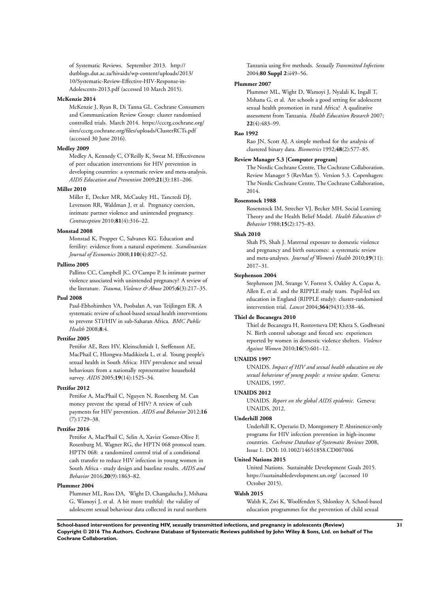of Systematic Reviews. September 2013. http:// dutblogs.dut.ac.za/hivaids/wp-content/uploads/2013/ 10/Systematic-Review-Effective-HIV-Response-in-Adolescents-2013.pdf (accessed 10 March 2015).

#### **McKenzie 2014**

McKenzie J, Ryan R, Di Tanna GL. Cochrane Consumers and Communication Review Group: cluster randomised controlled trials. March 2014. https://cccrg.cochrane.org/ sites/cccrg.cochrane.org/files/uploads/ClusterRCTs.pdf (accessed 30 June 2016).

# **Medley 2009**

Medley A, Kennedy C, O'Reilly K, Sweat M. Effectiveness of peer education interventions for HIV prevention in developing countries: a systematic review and meta-analysis. *AIDS Education and Prevention* 2009;**21**(3):181–206.

#### **Miller 2010**

Miller E, Decker MR, McCauley HL, Tancredi DJ, Levenson RR, Waldman J, et al. Pregnancy coercion, intimate partner violence and unintended pregnancy. *Contraception* 2010;**81**(4):316–22.

# **Monstad 2008**

Monstad K, Propper C, Salvanes KG. Education and fertility: evidence from a natural experiment. *Scandinavian Journal of Economics* 2008;**110**(4):827–52.

#### **Pallitto 2005**

Pallitto CC, Campbell JC, O'Campo P. Is intimate partner violence associated with unintended pregnancy? A review of the literature. *Trauma, Violence & Abuse* 2005;**6**(3):217–35.

#### **Paul 2008**

Paul-Ebhohimhen VA, Poobalan A, van Teijlingen ER. A systematic review of school-based sexual health interventions to prevent STI/HIV in sub-Saharan Africa. *BMC Public Health* 2008;**8**:4.

# **Pettifor 2005**

Pettifor AE, Rees HV, Kleinschmidt I, Steffenson AE, MacPhail C, Hlongwa-Madikizela L, et al. Young people's sexual health in South Africa: HIV prevalence and sexual behaviours from a nationally representative household survey. *AIDS* 2005;**19**(14):1525–34.

#### **Pettifor 2012**

Pettifor A, MacPhail C, Nguyen N, Rosenberg M. Can money prevent the spread of HIV? A review of cash payments for HIV prevention. *AIDS and Behavior* 2012;**16** (7):1729–38.

### **Pettifor 2016**

Pettifor A, MacPhail C, Selin A, Xavier Gomez-Olive F, Rosenburg M, Wagner RG, the HPTN 068 protocol team. HPTN 068: a randomized control trial of a conditional cash transfer to reduce HIV infection in young women in South Africa - study design and baseline results. *AIDS and Behavior* 2016;**20**(9):1863–82.

### **Plummer 2004**

Plummer ML, Ross DA, Wight D, Changalucha J, Mshana G, Wamoyi J, et al. A bit more truthful: the validity of adolescent sexual behaviour data collected in rural northern

Tanzania using five methods. *Sexually Transmitted Infections* 2004;**80 Suppl 2**:ii49–56.

#### **Plummer 2007**

Plummer ML, Wight D, Wamoyi J, Nyalali K, Ingall T, Mshana G, et al. Are schools a good setting for adolescent sexual health promotion in rural Africa? A qualitative assessment from Tanzania. *Health Education Research* 2007; **22**(4):483–99.

#### **Rao 1992**

Rao JN, Scott AJ. A simple method for the analysis of clustered binary data. *Biometrics* 1992;**48**(2):577–85.

# **Review Manager 5.3 [Computer program]**

The Nordic Cochrane Centre, The Cochrane Collaboration. Review Manager 5 (RevMan 5). Version 5.3. Copenhagen: The Nordic Cochrane Centre, The Cochrane Collaboration, 2014.

#### **Rosenstock 1988**

Rosenstock IM, Strecher VJ, Becker MH. Social Learning Theory and the Health Belief Model. *Health Education & Behavior* 1988;**15**(2):175–83.

# **Shah 2010**

Shah PS, Shah J. Maternal exposure to domestic violence and pregnancy and birth outcomes: a systematic review and meta-analyses. *Journal of Women's Health* 2010;**19**(11): 2017–31.

# **Stephenson 2004**

Stephenson JM, Strange V, Forrest S, Oakley A, Copas A, Allen E, et al. and the RIPPLE study team. Pupil-led sex education in England (RIPPLE study): cluster-randomised intervention trial. *Lancet* 2004;**364**(9431):338–46.

## **Thiel de Bocanegra 2010**

Thiel de Bocanegra H, Rostovtseva DP, Khera S, Godhwani N. Birth control sabotage and forced sex: experiences reported by women in domestic violence shelters. *Violence Against Women* 2010;**16**(5):601–12.

#### **UNAIDS 1997**

UNAIDS. *Impact of HIV and sexual health education on the sexual behaviour of young people: a review update*. Geneva: UNAIDS, 1997.

#### **UNAIDS 2012**

UNAIDS. *Report on the global AIDS epidemic*. Geneva: UNAIDS, 2012.

# **Underhill 2008**

Underhill K, Operario D, Montgomery P. Abstinence-only programs for HIV infection prevention in high-income countries. *Cochrane Database of Systematic Reviews* 2008, Issue 1. DOI: 10.1002/14651858.CD007006

#### **United Nations 2015**

United Nations. Sustainable Development Goals 2015. https://sustainabledevelopment.un.org/ (accessed 10 October 2015).

# **Walsh 2015**

Walsh K, Zwi K, Woolfenden S, Shlonksy A. School-based education programmes for the prevention of child sexual

**School-based interventions for preventing HIV, sexually transmitted infections, and pregnancy in adolescents (Review) 31 Copyright © 2016 The Authors. Cochrane Database of Systematic Reviews published by John Wiley & Sons, Ltd. on behalf of The Cochrane Collaboration.**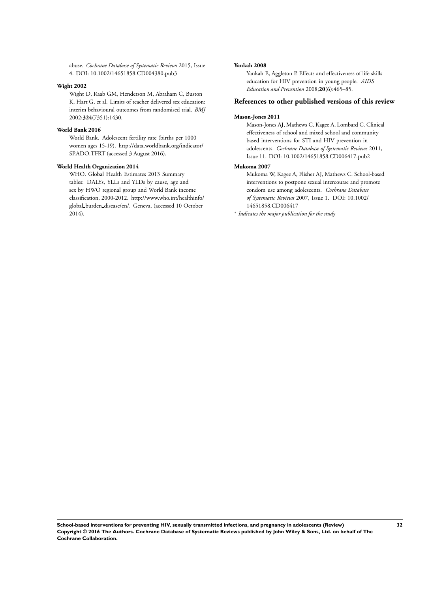abuse. *Cochrane Database of Systematic Reviews* 2015, Issue 4. DOI: 10.1002/14651858.CD004380.pub3

#### **Wight 2002**

Wight D, Raab GM, Henderson M, Abraham C, Buston K, Hart G, et al. Limits of teacher delivered sex education: interim behavioural outcomes from randomised trial. *BMJ* 2002;**324**(7351):1430.

#### **World Bank 2016**

World Bank. Adolescent fertility rate (births per 1000 women ages 15-19). http://data.worldbank.org/indicator/ SP.ADO.TFRT (accessed 3 August 2016).

# **World Health Organization 2014**

WHO. Global Health Estimates 2013 Summary tables: DALYs, YLLs and YLDs by cause, age and sex by HWO regional group and World Bank income classification, 2000-2012. http://www.who.int/healthinfo/ global burden disease/en/. Geneva, (accessed 10 October 2014).

#### **Yankah 2008**

Yankah E, Aggleton P. Effects and effectiveness of life skills education for HIV prevention in young people. *AIDS Education and Prevention* 2008;**20**(6):465–85.

# **References to other published versions of this review**

#### **Mason-Jones 2011**

Mason-Jones AJ, Mathews C, Kagee A, Lombard C. Clinical effectiveness of school and mixed school and community based interventions for STI and HIV prevention in adolescents. *Cochrane Database of Systematic Reviews* 2011, Issue 11. DOI: 10.1002/14651858.CD006417.pub2

#### **Mukoma 2007**

Mukoma W, Kagee A, Flisher AJ, Mathews C. School-based interventions to postpone sexual intercourse and promote condom use among adolescents. *Cochrane Database of Systematic Reviews* 2007, Issue 1. DOI: 10.1002/ 14651858.CD006417

∗ *Indicates the major publication for the study*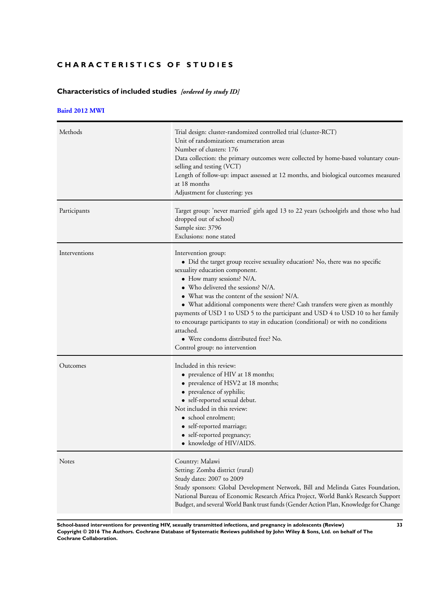# **CHARACTERISTICS OF STUDIES**

# **Characteristics of included studies** *[ordered by study ID]*

# **[Baird 2012 MWI](#page-26-0)**

| Methods       | Trial design: cluster-randomized controlled trial (cluster-RCT)<br>Unit of randomization: enumeration areas<br>Number of clusters: 176<br>Data collection: the primary outcomes were collected by home-based voluntary coun-<br>selling and testing (VCT)<br>Length of follow-up: impact assessed at 12 months, and biological outcomes measured<br>at 18 months<br>Adjustment for clustering: yes                                                                                                                                                                                                        |
|---------------|-----------------------------------------------------------------------------------------------------------------------------------------------------------------------------------------------------------------------------------------------------------------------------------------------------------------------------------------------------------------------------------------------------------------------------------------------------------------------------------------------------------------------------------------------------------------------------------------------------------|
| Participants  | Target group: 'never married' girls aged 13 to 22 years (schoolgirls and those who had<br>dropped out of school)<br>Sample size: 3796<br>Exclusions: none stated                                                                                                                                                                                                                                                                                                                                                                                                                                          |
| Interventions | Intervention group:<br>• Did the target group receive sexuality education? No, there was no specific<br>sexuality education component.<br>• How many sessions? N/A.<br>• Who delivered the sessions? N/A.<br>• What was the content of the session? N/A.<br>• What additional components were there? Cash transfers were given as monthly<br>payments of USD 1 to USD 5 to the participant and USD 4 to USD 10 to her family<br>to encourage participants to stay in education (conditional) or with no conditions<br>attached.<br>• Were condoms distributed free? No.<br>Control group: no intervention |
| Outcomes      | Included in this review:<br>• prevalence of HIV at 18 months;<br>• prevalence of HSV2 at 18 months;<br>• prevalence of syphilis;<br>• self-reported sexual debut.<br>Not included in this review:<br>• school enrolment;<br>· self-reported marriage;<br>• self-reported pregnancy;<br>• knowledge of HIV/AIDS.                                                                                                                                                                                                                                                                                           |
| Notes         | Country: Malawi<br>Setting: Zomba district (rural)<br>Study dates: 2007 to 2009<br>Study sponsors: Global Development Network, Bill and Melinda Gates Foundation,<br>National Bureau of Economic Research Africa Project, World Bank's Research Support<br>Budget, and several World Bank trust funds (Gender Action Plan, Knowledge for Change                                                                                                                                                                                                                                                           |

**School-based interventions for preventing HIV, sexually transmitted infections, and pregnancy in adolescents (Review) 33 Copyright © 2016 The Authors. Cochrane Database of Systematic Reviews published by John Wiley & Sons, Ltd. on behalf of The Cochrane Collaboration.**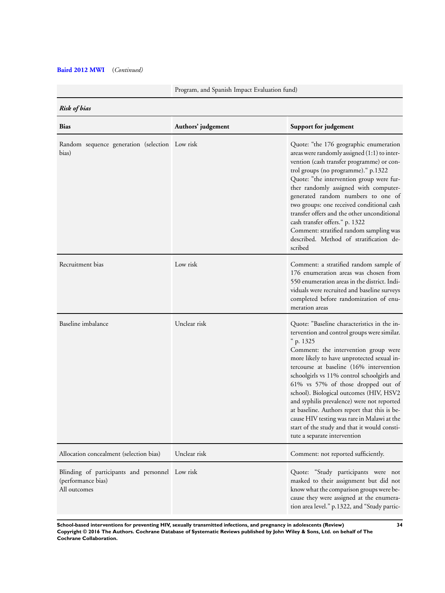## **[Baird 2012 MWI](#page-26-0)** (*Continued)*

| Program, and Spanish Impact Evaluation fund) |  |  |  |  |  |
|----------------------------------------------|--|--|--|--|--|
|----------------------------------------------|--|--|--|--|--|

| Risk of bias |
|--------------|
|              |

| <b>Bias</b>                                                                           | Authors' judgement | Support for judgement                                                                                                                                                                                                                                                                                                                                                                                                                                                                                                                                                                                |
|---------------------------------------------------------------------------------------|--------------------|------------------------------------------------------------------------------------------------------------------------------------------------------------------------------------------------------------------------------------------------------------------------------------------------------------------------------------------------------------------------------------------------------------------------------------------------------------------------------------------------------------------------------------------------------------------------------------------------------|
| Random sequence generation (selection Low risk<br>bias)                               |                    | Quote: "the 176 geographic enumeration<br>areas were randomly assigned (1:1) to inter-<br>vention (cash transfer programme) or con-<br>trol groups (no programme)." p.1322<br>Quote: "the intervention group were fur-<br>ther randomly assigned with computer-<br>generated random numbers to one of<br>two groups: one received conditional cash<br>transfer offers and the other unconditional<br>cash transfer offers." p. 1322<br>Comment: stratified random sampling was<br>described. Method of stratification de-<br>scribed                                                                 |
| Recruitment bias                                                                      | Low risk           | Comment: a stratified random sample of<br>176 enumeration areas was chosen from<br>550 enumeration areas in the district. Indi-<br>viduals were recruited and baseline surveys<br>completed before randomization of enu-<br>meration areas                                                                                                                                                                                                                                                                                                                                                           |
| Baseline imbalance                                                                    | Unclear risk       | Quote: "Baseline characteristics in the in-<br>tervention and control groups were similar.<br>" p. 1325<br>Comment: the intervention group were<br>more likely to have unprotected sexual in-<br>tercourse at baseline (16% intervention<br>schoolgirls vs 11% control schoolgirls and<br>61% vs 57% of those dropped out of<br>school). Biological outcomes (HIV, HSV2<br>and syphilis prevalence) were not reported<br>at baseline. Authors report that this is be-<br>cause HIV testing was rare in Malawi at the<br>start of the study and that it would consti-<br>tute a separate intervention |
| Allocation concealment (selection bias)                                               | Unclear risk       | Comment: not reported sufficiently.                                                                                                                                                                                                                                                                                                                                                                                                                                                                                                                                                                  |
| Blinding of participants and personnel Low risk<br>(performance bias)<br>All outcomes |                    | Quote: "Study participants were not<br>masked to their assignment but did not<br>know what the comparison groups were be-<br>cause they were assigned at the enumera-<br>tion area level." p.1322, and "Study partic-                                                                                                                                                                                                                                                                                                                                                                                |

**School-based interventions for preventing HIV, sexually transmitted infections, and pregnancy in adolescents (Review) 34 Copyright © 2016 The Authors. Cochrane Database of Systematic Reviews published by John Wiley & Sons, Ltd. on behalf of The Cochrane Collaboration.**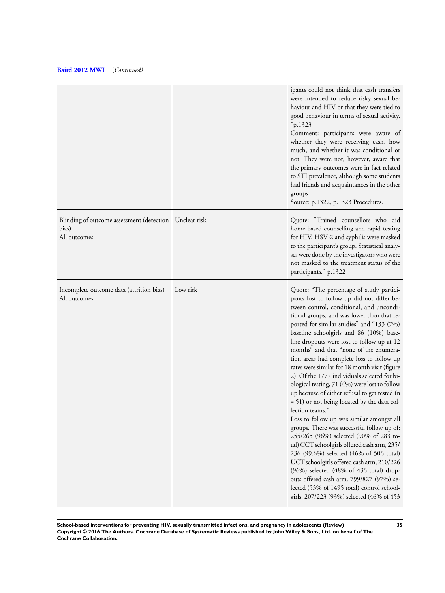## **[Baird 2012 MWI](#page-26-0)** (*Continued)*

|                                                                                 |          | ipants could not think that cash transfers<br>were intended to reduce risky sexual be-<br>haviour and HIV or that they were tied to<br>good behaviour in terms of sexual activity.<br>"p.1323<br>Comment: participants were aware of<br>whether they were receiving cash, how<br>much, and whether it was conditional or<br>not. They were not, however, aware that<br>the primary outcomes were in fact related<br>to STI prevalence, although some students<br>had friends and acquaintances in the other<br>groups<br>Source: p.1322, p.1323 Procedures.                                                                                                                                                                                                                                                                                                                                                                                                                                                                                                                                                                                      |
|---------------------------------------------------------------------------------|----------|--------------------------------------------------------------------------------------------------------------------------------------------------------------------------------------------------------------------------------------------------------------------------------------------------------------------------------------------------------------------------------------------------------------------------------------------------------------------------------------------------------------------------------------------------------------------------------------------------------------------------------------------------------------------------------------------------------------------------------------------------------------------------------------------------------------------------------------------------------------------------------------------------------------------------------------------------------------------------------------------------------------------------------------------------------------------------------------------------------------------------------------------------|
| Blinding of outcome assessment (detection Unclear risk<br>bias)<br>All outcomes |          | Quote: "Trained counsellors who did<br>home-based counselling and rapid testing<br>for HIV, HSV-2 and syphilis were masked<br>to the participant's group. Statistical analy-<br>ses were done by the investigators who were<br>not masked to the treatment status of the<br>participants." p.1322                                                                                                                                                                                                                                                                                                                                                                                                                                                                                                                                                                                                                                                                                                                                                                                                                                                |
| Incomplete outcome data (attrition bias)<br>All outcomes                        | Low risk | Quote: "The percentage of study partici-<br>pants lost to follow up did not differ be-<br>tween control, conditional, and uncondi-<br>tional groups, and was lower than that re-<br>ported for similar studies" and "133 (7%)<br>baseline schoolgirls and 86 (10%) base-<br>line dropouts were lost to follow up at 12<br>months" and that "none of the enumera-<br>tion areas had complete loss to follow up<br>rates were similar for 18 month visit (figure<br>2). Of the 1777 individuals selected for bi-<br>ological testing, 71 (4%) were lost to follow<br>up because of either refusal to get tested (n<br>= 51) or not being located by the data col-<br>lection teams."<br>Loss to follow up was similar amongst all<br>groups. There was successful follow up of:<br>255/265 (96%) selected (90% of 283 to-<br>tal) CCT schoolgirls offered cash arm, 235/<br>236 (99.6%) selected (46% of 506 total)<br>UCT schoolgirls offered cash arm, 210/226<br>(96%) selected (48% of 436 total) drop-<br>outs offered cash arm. 799/827 (97%) se-<br>lected (53% of 1495 total) control school-<br>girls. 207/223 (93%) selected (46% of 453 |

**School-based interventions for preventing HIV, sexually transmitted infections, and pregnancy in adolescents (Review) 35 Copyright © 2016 The Authors. Cochrane Database of Systematic Reviews published by John Wiley & Sons, Ltd. on behalf of The Cochrane Collaboration.**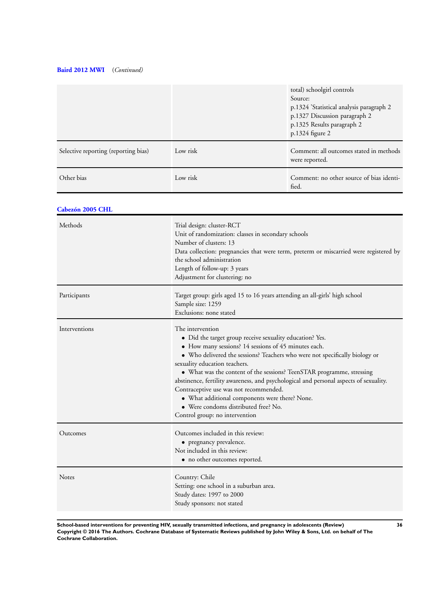### **[Baird 2012 MWI](#page-26-0)** (*Continued)*

|                                      |          | total) schoolgirl controls<br>Source:<br>p.1324 'Statistical analysis paragraph 2<br>p.1327 Discussion paragraph 2<br>p.1325 Results paragraph 2<br>p.1324 figure 2 |
|--------------------------------------|----------|---------------------------------------------------------------------------------------------------------------------------------------------------------------------|
| Selective reporting (reporting bias) | Low risk | Comment: all outcomes stated in methods<br>were reported.                                                                                                           |
| Other bias                           | Low risk | Comment: no other source of bias identi-<br>fied.                                                                                                                   |

## **[Cabezón 2005 CHL](#page-26-0)**

| Methods       | Trial design: cluster-RCT<br>Unit of randomization: classes in secondary schools<br>Number of clusters: 13<br>Data collection: pregnancies that were term, preterm or miscarried were registered by<br>the school administration<br>Length of follow-up: 3 years<br>Adjustment for clustering: no                                                                                                                                                                                                                                                                                            |
|---------------|----------------------------------------------------------------------------------------------------------------------------------------------------------------------------------------------------------------------------------------------------------------------------------------------------------------------------------------------------------------------------------------------------------------------------------------------------------------------------------------------------------------------------------------------------------------------------------------------|
| Participants  | Target group: girls aged 15 to 16 years attending an all-girls' high school<br>Sample size: 1259<br>Exclusions: none stated                                                                                                                                                                                                                                                                                                                                                                                                                                                                  |
| Interventions | The intervention<br>• Did the target group receive sexuality education? Yes.<br>• How many sessions? 14 sessions of 45 minutes each.<br>• Who delivered the sessions? Teachers who were not specifically biology or<br>sexuality education teachers.<br>• What was the content of the sessions? TeenSTAR programme, stressing<br>abstinence, fertility awareness, and psychological and personal aspects of sexuality.<br>Contraceptive use was not recommended.<br>• What additional components were there? None.<br>• Were condoms distributed free? No.<br>Control group: no intervention |
| Outcomes      | Outcomes included in this review:<br>• pregnancy prevalence.<br>Not included in this review:<br>• no other outcomes reported.                                                                                                                                                                                                                                                                                                                                                                                                                                                                |
| <b>Notes</b>  | Country: Chile<br>Setting: one school in a suburban area.<br>Study dates: 1997 to 2000<br>Study sponsors: not stated                                                                                                                                                                                                                                                                                                                                                                                                                                                                         |

**School-based interventions for preventing HIV, sexually transmitted infections, and pregnancy in adolescents (Review) 36 Copyright © 2016 The Authors. Cochrane Database of Systematic Reviews published by John Wiley & Sons, Ltd. on behalf of The Cochrane Collaboration.**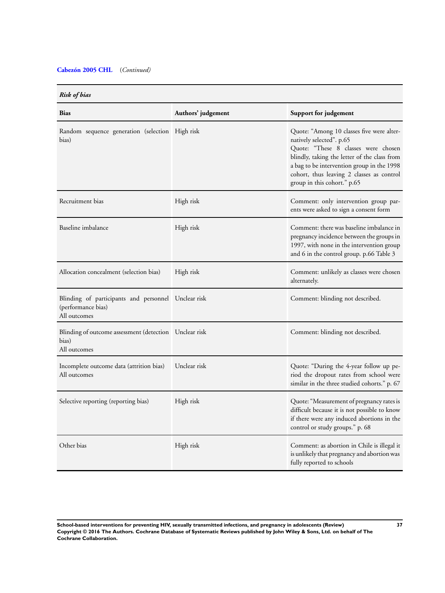## **[Cabezón 2005 CHL](#page-26-0)** (*Continued)*

*Risk of bias*

| <b>Bias</b>                                                                               | Authors' judgement | Support for judgement                                                                                                                                                                                                                                                                  |
|-------------------------------------------------------------------------------------------|--------------------|----------------------------------------------------------------------------------------------------------------------------------------------------------------------------------------------------------------------------------------------------------------------------------------|
| Random sequence generation (selection High risk<br>bias)                                  |                    | Quote: "Among 10 classes five were alter-<br>natively selected". p.65<br>Quote: "These 8 classes were chosen<br>blindly, taking the letter of the class from<br>a bag to be intervention group in the 1998<br>cohort, thus leaving 2 classes as control<br>group in this cohort." p.65 |
| Recruitment bias                                                                          | High risk          | Comment: only intervention group par-<br>ents were asked to sign a consent form                                                                                                                                                                                                        |
| Baseline imbalance                                                                        | High risk          | Comment: there was baseline imbalance in<br>pregnancy incidence between the groups in<br>1997, with none in the intervention group<br>and 6 in the control group. p.66 Table 3                                                                                                         |
| Allocation concealment (selection bias)                                                   | High risk          | Comment: unlikely as classes were chosen<br>alternately.                                                                                                                                                                                                                               |
| Blinding of participants and personnel Unclear risk<br>(performance bias)<br>All outcomes |                    | Comment: blinding not described.                                                                                                                                                                                                                                                       |
| Blinding of outcome assessment (detection Unclear risk<br>bias)<br>All outcomes           |                    | Comment: blinding not described.                                                                                                                                                                                                                                                       |
| Incomplete outcome data (attrition bias)<br>All outcomes                                  | Unclear risk       | Quote: "During the 4-year follow up pe-<br>riod the dropout rates from school were<br>similar in the three studied cohorts." p. 67                                                                                                                                                     |
| Selective reporting (reporting bias)                                                      | High risk          | Quote: "Measurement of pregnancy rates is<br>difficult because it is not possible to know<br>if there were any induced abortions in the<br>control or study groups." p. 68                                                                                                             |
| Other bias                                                                                | High risk          | Comment: as abortion in Chile is illegal it<br>is unlikely that pregnancy and abortion was<br>fully reported to schools                                                                                                                                                                |

**School-based interventions for preventing HIV, sexually transmitted infections, and pregnancy in adolescents (Review) 37 Copyright © 2016 The Authors. Cochrane Database of Systematic Reviews published by John Wiley & Sons, Ltd. on behalf of The Cochrane Collaboration.**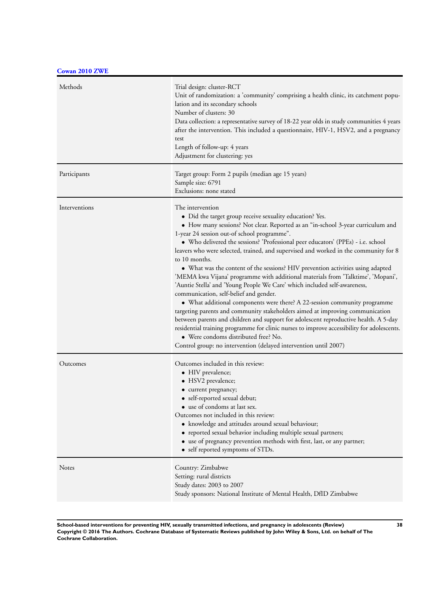**[Cowan 2010 ZWE](#page-26-0)**

| Methods       | Trial design: cluster-RCT<br>Unit of randomization: a 'community' comprising a health clinic, its catchment popu-<br>lation and its secondary schools<br>Number of clusters: 30<br>Data collection: a representative survey of 18-22 year olds in study communities 4 years<br>after the intervention. This included a questionnaire, HIV-1, HSV2, and a pregnancy<br>test<br>Length of follow-up: 4 years<br>Adjustment for clustering: yes                                                                                                                                                                                                                                                                                                                                                                                                                                                                                                                                                                                                                                                                                                                              |
|---------------|---------------------------------------------------------------------------------------------------------------------------------------------------------------------------------------------------------------------------------------------------------------------------------------------------------------------------------------------------------------------------------------------------------------------------------------------------------------------------------------------------------------------------------------------------------------------------------------------------------------------------------------------------------------------------------------------------------------------------------------------------------------------------------------------------------------------------------------------------------------------------------------------------------------------------------------------------------------------------------------------------------------------------------------------------------------------------------------------------------------------------------------------------------------------------|
| Participants  | Target group: Form 2 pupils (median age 15 years)<br>Sample size: 6791<br>Exclusions: none stated                                                                                                                                                                                                                                                                                                                                                                                                                                                                                                                                                                                                                                                                                                                                                                                                                                                                                                                                                                                                                                                                         |
| Interventions | The intervention<br>• Did the target group receive sexuality education? Yes.<br>• How many sessions? Not clear. Reported as an "in-school 3-year curriculum and<br>1-year 24 session out-of school programme".<br>• Who delivered the sessions? 'Professional peer educators' (PPEs) - i.e. school<br>leavers who were selected, trained, and supervised and worked in the community for 8<br>to 10 months.<br>• What was the content of the sessions? HIV prevention activities using adapted<br>'MEMA kwa Vijana' programme with additional materials from 'Talktime', 'Mopani',<br>'Auntie Stella' and 'Young People We Care' which included self-awareness,<br>communication, self-belief and gender.<br>• What additional components were there? A 22-session community programme<br>targeting parents and community stakeholders aimed at improving communication<br>between parents and children and support for adolescent reproductive health. A 5-day<br>residential training programme for clinic nurses to improve accessibility for adolescents.<br>• Were condoms distributed free? No.<br>Control group: no intervention (delayed intervention until 2007) |
| Outcomes      | Outcomes included in this review:<br>• HIV prevalence;<br>• HSV2 prevalence;<br>• current pregnancy;<br>· self-reported sexual debut;<br>• use of condoms at last sex.<br>Outcomes not included in this review:<br>• knowledge and attitudes around sexual behaviour;<br>• reported sexual behavior including multiple sexual partners;<br>• use of pregnancy prevention methods with first, last, or any partner;<br>• self reported symptoms of STDs.                                                                                                                                                                                                                                                                                                                                                                                                                                                                                                                                                                                                                                                                                                                   |
| Notes         | Country: Zimbabwe<br>Setting: rural districts<br>Study dates: 2003 to 2007<br>Study sponsors: National Institute of Mental Health, DfID Zimbabwe                                                                                                                                                                                                                                                                                                                                                                                                                                                                                                                                                                                                                                                                                                                                                                                                                                                                                                                                                                                                                          |

**School-based interventions for preventing HIV, sexually transmitted infections, and pregnancy in adolescents (Review) 38 Copyright © 2016 The Authors. Cochrane Database of Systematic Reviews published by John Wiley & Sons, Ltd. on behalf of The Cochrane Collaboration.**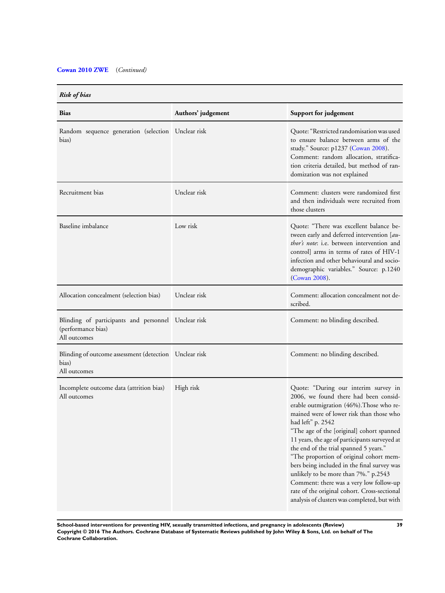## **[Cowan 2010 ZWE](#page-26-0)** (*Continued)*

*Risk of bias*

| <i>rivat of ome</i>                                                                       |                    |                                                                                                                                                                                                                                                                                                                                                                                                                                                                                                                                                                                                                 |
|-------------------------------------------------------------------------------------------|--------------------|-----------------------------------------------------------------------------------------------------------------------------------------------------------------------------------------------------------------------------------------------------------------------------------------------------------------------------------------------------------------------------------------------------------------------------------------------------------------------------------------------------------------------------------------------------------------------------------------------------------------|
| <b>Bias</b>                                                                               | Authors' judgement | Support for judgement                                                                                                                                                                                                                                                                                                                                                                                                                                                                                                                                                                                           |
| Random sequence generation (selection Unclear risk<br>bias)                               |                    | Quote: "Restricted randomisation was used<br>to ensure balance between arms of the<br>study." Source: p1237 (Cowan 2008).<br>Comment: random allocation, stratifica-<br>tion criteria detailed, but method of ran-<br>domization was not explained                                                                                                                                                                                                                                                                                                                                                              |
| Recruitment bias                                                                          | Unclear risk       | Comment: clusters were randomized first<br>and then individuals were recruited from<br>those clusters                                                                                                                                                                                                                                                                                                                                                                                                                                                                                                           |
| Baseline imbalance                                                                        | Low risk           | Quote: "There was excellent balance be-<br>tween early and deferred intervention [au-<br>thor's note: i.e. between intervention and<br>control] arms in terms of rates of HIV-1<br>infection and other behavioural and socio-<br>demographic variables." Source: p.1240<br>(Cowan 2008).                                                                                                                                                                                                                                                                                                                        |
| Allocation concealment (selection bias)                                                   | Unclear risk       | Comment: allocation concealment not de-<br>scribed.                                                                                                                                                                                                                                                                                                                                                                                                                                                                                                                                                             |
| Blinding of participants and personnel Unclear risk<br>(performance bias)<br>All outcomes |                    | Comment: no blinding described.                                                                                                                                                                                                                                                                                                                                                                                                                                                                                                                                                                                 |
| Blinding of outcome assessment (detection Unclear risk<br>bias)<br>All outcomes           |                    | Comment: no blinding described.                                                                                                                                                                                                                                                                                                                                                                                                                                                                                                                                                                                 |
| Incomplete outcome data (attrition bias)<br>All outcomes                                  | High risk          | Quote: "During our interim survey in<br>2006, we found there had been consid-<br>erable outmigration (46%). Those who re-<br>mained were of lower risk than those who<br>had left" p. 2542<br>"The age of the [original] cohort spanned<br>11 years, the age of participants surveyed at<br>the end of the trial spanned 5 years."<br>"The proportion of original cohort mem-<br>bers being included in the final survey was<br>unlikely to be more than 7%." p.2543<br>Comment: there was a very low follow-up<br>rate of the original cohort. Cross-sectional<br>analysis of clusters was completed, but with |

**School-based interventions for preventing HIV, sexually transmitted infections, and pregnancy in adolescents (Review) 39 Copyright © 2016 The Authors. Cochrane Database of Systematic Reviews published by John Wiley & Sons, Ltd. on behalf of The Cochrane Collaboration.**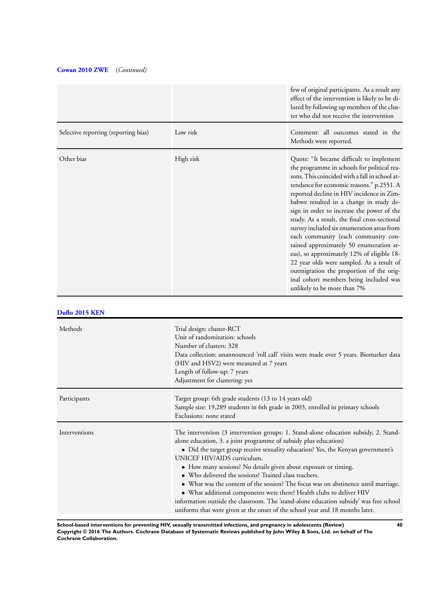## **[Cowan 2010 ZWE](#page-26-0)** (*Continued)*

|                                      |           | few of original participants. As a result any<br>effect of the intervention is likely to be di-<br>luted by following up members of the clus-<br>ter who did not receive the intervention                                                                                                                                                                                                                                                                                                                                                                                                                                                                                                                                     |
|--------------------------------------|-----------|-------------------------------------------------------------------------------------------------------------------------------------------------------------------------------------------------------------------------------------------------------------------------------------------------------------------------------------------------------------------------------------------------------------------------------------------------------------------------------------------------------------------------------------------------------------------------------------------------------------------------------------------------------------------------------------------------------------------------------|
| Selective reporting (reporting bias) | Low risk  | Comment: all outcomes stated in the<br>Methods were reported.                                                                                                                                                                                                                                                                                                                                                                                                                                                                                                                                                                                                                                                                 |
| Other bias                           | High risk | Quote: "It became difficult to implement<br>the programme in schools for political rea-<br>sons. This coincided with a fall in school at-<br>tendance for economic reasons." p.2551. A<br>reported decline in HIV incidence in Zim-<br>babwe resulted in a change in study de-<br>sign in order to increase the power of the<br>study. As a result, the final cross-sectional<br>survey included six enumeration areas from<br>each community (each community con-<br>tained approximately 50 enumeration ar-<br>eas), so approximately 12% of eligible 18-<br>22 year olds were sampled. As a result of<br>outmigration the proportion of the orig-<br>inal cohort members being included was<br>unlikely to be more than 7% |

### **[Duflo 2015 KEN](#page-26-0)**

| Methods       | Trial design: cluster-RCT<br>Unit of randomization: schools<br>Number of clusters: 328<br>Data collection: unannounced 'roll call' visits were made over 5 years. Biomarker data<br>(HIV and HSV2) were measured at 7 years<br>Length of follow-up: 7 years<br>Adjustment for clustering: yes                                                                                                                                                                                                                                                                                                                                                                                                                                                    |
|---------------|--------------------------------------------------------------------------------------------------------------------------------------------------------------------------------------------------------------------------------------------------------------------------------------------------------------------------------------------------------------------------------------------------------------------------------------------------------------------------------------------------------------------------------------------------------------------------------------------------------------------------------------------------------------------------------------------------------------------------------------------------|
| Participants  | Target group: 6th grade students (13 to 14 years old)<br>Sample size: 19,289 students in 6th grade in 2003, enrolled in primary schools<br>Exclusions: none stated                                                                                                                                                                                                                                                                                                                                                                                                                                                                                                                                                                               |
| Interventions | The intervention (3 intervention groups: 1. Stand-alone education subsidy, 2. Stand-<br>alone education, 3. a joint programme of subsidy plus education)<br>• Did the target group receive sexuality education? Yes, the Kenyan government's<br>UNICEF HIV/AIDS curriculum.<br>• How many sessions? No details given about exposure or timing.<br>• Who delivered the sessions? Trained class teachers.<br>• What was the content of the session? The focus was on abstinence until marriage.<br>• What additional components were there? Health clubs to deliver HIV<br>information outside the classroom. The 'stand-alone education subsidy' was free school<br>uniforms that were given at the onset of the school year and 18 months later. |

**School-based interventions for preventing HIV, sexually transmitted infections, and pregnancy in adolescents (Review) 40 Copyright © 2016 The Authors. Cochrane Database of Systematic Reviews published by John Wiley & Sons, Ltd. on behalf of The Cochrane Collaboration.**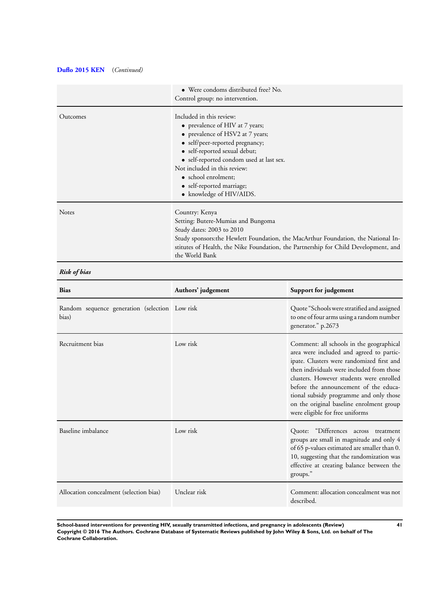## **[Duflo 2015 KEN](#page-26-0)** (*Continued)*

|              | • Were condoms distributed free? No.<br>Control group: no intervention.                                                                                                                                                                                                                                                         |
|--------------|---------------------------------------------------------------------------------------------------------------------------------------------------------------------------------------------------------------------------------------------------------------------------------------------------------------------------------|
| Outcomes     | Included in this review:<br>• prevalence of HIV at 7 years;<br>• prevalence of HSV2 at 7 years;<br>• self/peer-reported pregnancy;<br>• self-reported sexual debut;<br>• self-reported condom used at last sex.<br>Not included in this review:<br>• school enrolment;<br>• self-reported marriage;<br>• knowledge of HIV/AIDS. |
| <b>Notes</b> | Country: Kenya<br>Setting: Butere-Mumias and Bungoma<br>Study dates: 2003 to 2010<br>Study sponsors: the Hewlett Foundation, the MacArthur Foundation, the National In-<br>stitutes of Health, the Nike Foundation, the Partnership for Child Development, and<br>the World Bank                                                |

## *Risk of bias*

| <b>Bias</b>                                             | Authors' judgement | Support for judgement                                                                                                                                                                                                                                                                                                                                                                         |
|---------------------------------------------------------|--------------------|-----------------------------------------------------------------------------------------------------------------------------------------------------------------------------------------------------------------------------------------------------------------------------------------------------------------------------------------------------------------------------------------------|
| Random sequence generation (selection Low risk<br>bias) |                    | Quote "Schools were stratified and assigned<br>to one of four arms using a random number<br>generator." p.2673                                                                                                                                                                                                                                                                                |
| Recruitment bias                                        | Low risk           | Comment: all schools in the geographical<br>area were included and agreed to partic-<br>ipate. Clusters were randomized first and<br>then individuals were included from those<br>clusters. However students were enrolled<br>before the announcement of the educa-<br>tional subsidy programme and only those<br>on the original baseline enrolment group<br>were eligible for free uniforms |
| Baseline imbalance                                      | Low risk           | Quote: "Differences across treatment<br>groups are small in magnitude and only 4<br>of 65 p-values estimated are smaller than 0.<br>10, suggesting that the randomization was<br>effective at creating balance between the<br>groups."                                                                                                                                                        |
| Allocation concealment (selection bias)                 | Unclear risk       | Comment: allocation concealment was not<br>described.                                                                                                                                                                                                                                                                                                                                         |

**School-based interventions for preventing HIV, sexually transmitted infections, and pregnancy in adolescents (Review) 41 Copyright © 2016 The Authors. Cochrane Database of Systematic Reviews published by John Wiley & Sons, Ltd. on behalf of The Cochrane Collaboration.**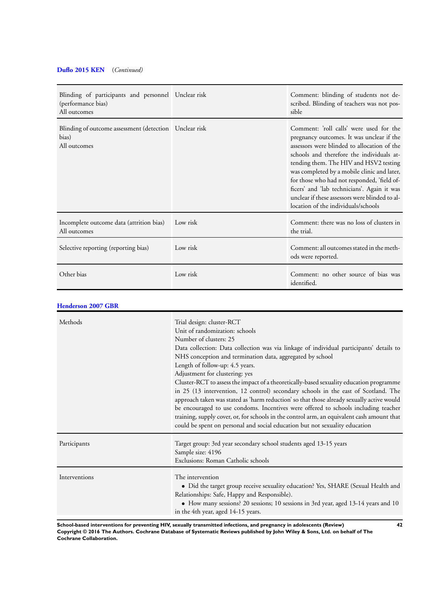## **[Duflo 2015 KEN](#page-26-0)** (*Continued)*

| Blinding of participants and personnel Unclear risk<br>(performance bias)<br>All outcomes |          | Comment: blinding of students not de-<br>scribed. Blinding of teachers was not pos-<br>sible                                                                                                                                                                                                                                                                                                                                                                     |
|-------------------------------------------------------------------------------------------|----------|------------------------------------------------------------------------------------------------------------------------------------------------------------------------------------------------------------------------------------------------------------------------------------------------------------------------------------------------------------------------------------------------------------------------------------------------------------------|
| Blinding of outcome assessment (detection   Unclear risk<br>bias)<br>All outcomes         |          | Comment: 'roll calls' were used for the<br>pregnancy outcomes. It was unclear if the<br>assessors were blinded to allocation of the<br>schools and therefore the individuals at-<br>tending them. The HIV and HSV2 testing<br>was completed by a mobile clinic and later,<br>for those who had not responded, 'field of-<br>ficers' and 'lab technicians'. Again it was<br>unclear if these assessors were blinded to al-<br>location of the individuals/schools |
| Incomplete outcome data (attrition bias)<br>All outcomes                                  | Low risk | Comment: there was no loss of clusters in<br>the trial.                                                                                                                                                                                                                                                                                                                                                                                                          |
| Selective reporting (reporting bias)                                                      | Low risk | Comment: all outcomes stated in the meth-<br>ods were reported.                                                                                                                                                                                                                                                                                                                                                                                                  |
| Other bias                                                                                | Low risk | Comment: no other source of bias was<br>identified.                                                                                                                                                                                                                                                                                                                                                                                                              |

#### **[Henderson 2007 GBR](#page-26-0)**

| Methods       | Trial design: cluster-RCT<br>Unit of randomization: schools<br>Number of clusters: 25<br>Data collection: Data collection was via linkage of individual participants' details to<br>NHS conception and termination data, aggregated by school<br>Length of follow-up: 4.5 years.<br>Adjustment for clustering: yes<br>Cluster-RCT to assess the impact of a theoretically-based sexuality education programme<br>in 25 (13 intervention, 12 control) secondary schools in the east of Scotland. The<br>approach taken was stated as 'harm reduction' so that those already sexually active would<br>be encouraged to use condoms. Incentives were offered to schools including teacher<br>training, supply cover, or, for schools in the control arm, an equivalent cash amount that<br>could be spent on personal and social education but not sexuality education |
|---------------|---------------------------------------------------------------------------------------------------------------------------------------------------------------------------------------------------------------------------------------------------------------------------------------------------------------------------------------------------------------------------------------------------------------------------------------------------------------------------------------------------------------------------------------------------------------------------------------------------------------------------------------------------------------------------------------------------------------------------------------------------------------------------------------------------------------------------------------------------------------------|
| Participants  | Target group: 3rd year secondary school students aged 13-15 years<br>Sample size: 4196<br>Exclusions: Roman Catholic schools                                                                                                                                                                                                                                                                                                                                                                                                                                                                                                                                                                                                                                                                                                                                        |
| Interventions | The intervention<br>• Did the target group receive sexuality education? Yes, SHARE (Sexual Health and<br>Relationships: Safe, Happy and Responsible).<br>• How many sessions? 20 sessions; 10 sessions in 3rd year, aged 13-14 years and 10<br>in the 4th year, aged 14-15 years.                                                                                                                                                                                                                                                                                                                                                                                                                                                                                                                                                                                   |

**School-based interventions for preventing HIV, sexually transmitted infections, and pregnancy in adolescents (Review) 42 Copyright © 2016 The Authors. Cochrane Database of Systematic Reviews published by John Wiley & Sons, Ltd. on behalf of The Cochrane Collaboration.**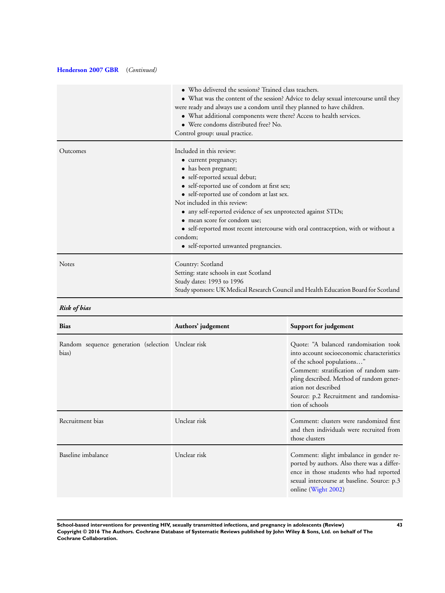## **[Henderson 2007 GBR](#page-26-0)** (*Continued)*

|              | • Who delivered the sessions? Trained class teachers.<br>• What was the content of the session? Advice to delay sexual intercourse until they<br>were ready and always use a condom until they planned to have children.<br>• What additional components were there? Access to health services.<br>• Were condoms distributed free? No.<br>Control group: usual practice.                                                                                                         |
|--------------|-----------------------------------------------------------------------------------------------------------------------------------------------------------------------------------------------------------------------------------------------------------------------------------------------------------------------------------------------------------------------------------------------------------------------------------------------------------------------------------|
| Outcomes     | Included in this review:<br>• current pregnancy;<br>• has been pregnant;<br>• self-reported sexual debut;<br>• self-reported use of condom at first sex;<br>• self-reported use of condom at last sex.<br>Not included in this review:<br>• any self-reported evidence of sex unprotected against STDs;<br>• mean score for condom use;<br>• self-reported most recent intercourse with oral contraception, with or without a<br>condom;<br>• self-reported unwanted pregnancies. |
| <b>Notes</b> | Country: Scotland<br>Setting: state schools in east Scotland<br>Study dates: 1993 to 1996<br>Study sponsors: UK Medical Research Council and Health Education Board for Scotland                                                                                                                                                                                                                                                                                                  |

### *Risk of bias*

| <b>Bias</b>                                                 | Authors' judgement | Support for judgement                                                                                                                                                                                                                                                                       |
|-------------------------------------------------------------|--------------------|---------------------------------------------------------------------------------------------------------------------------------------------------------------------------------------------------------------------------------------------------------------------------------------------|
| Random sequence generation (selection Unclear risk<br>bias) |                    | Quote: "A balanced randomisation took<br>into account socioeconomic characteristics<br>of the school populations"<br>Comment: stratification of random sam-<br>pling described. Method of random gener-<br>ation not described<br>Source: p.2 Recruitment and randomisa-<br>tion of schools |
| Recruitment bias                                            | Unclear risk       | Comment: clusters were randomized first<br>and then individuals were recruited from<br>those clusters                                                                                                                                                                                       |
| Baseline imbalance                                          | Unclear risk       | Comment: slight imbalance in gender re-<br>ported by authors. Also there was a differ-<br>ence in those students who had reported<br>sexual intercourse at baseline. Source: p.3<br>online (Wight 2002)                                                                                     |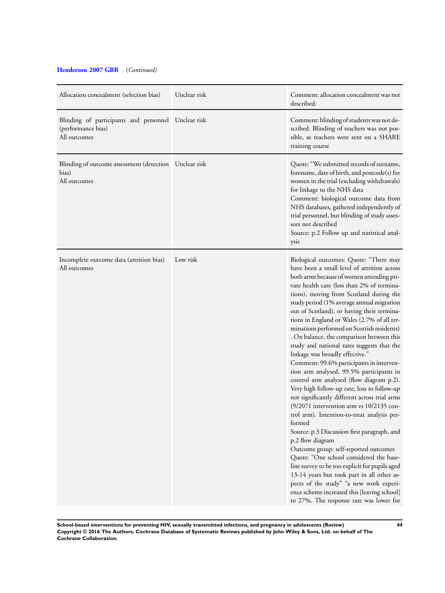## **[Henderson 2007 GBR](#page-26-0)** (*Continued)*

| Allocation concealment (selection bias)                                                   | Unclear risk | Comment: allocation concealment was not<br>described.                                                                                                                                                                                                                                                                                                                                                                                                                                                                                                                                                                                                                                                                                                                                                                                                                                                                                                                                                                                                                                                                                                                                                                                                                                      |
|-------------------------------------------------------------------------------------------|--------------|--------------------------------------------------------------------------------------------------------------------------------------------------------------------------------------------------------------------------------------------------------------------------------------------------------------------------------------------------------------------------------------------------------------------------------------------------------------------------------------------------------------------------------------------------------------------------------------------------------------------------------------------------------------------------------------------------------------------------------------------------------------------------------------------------------------------------------------------------------------------------------------------------------------------------------------------------------------------------------------------------------------------------------------------------------------------------------------------------------------------------------------------------------------------------------------------------------------------------------------------------------------------------------------------|
| Blinding of participants and personnel Unclear risk<br>(performance bias)<br>All outcomes |              | Comment: blinding of students was not de-<br>scribed. Blinding of teachers was not pos-<br>sible, as teachers were sent on a SHARE<br>training course                                                                                                                                                                                                                                                                                                                                                                                                                                                                                                                                                                                                                                                                                                                                                                                                                                                                                                                                                                                                                                                                                                                                      |
| Blinding of outcome assessment (detection Unclear risk<br>bias)<br>All outcomes           |              | Quote: "We submitted records of surname,<br>forename, date of birth, and postcode(s) for<br>women in the trial (excluding withdrawals)<br>for linkage to the NHS data<br>Comment: biological outcome data from<br>NHS databases, gathered independently of<br>trial personnel, but blinding of study asses-<br>sors not described<br>Source: p.2 Follow up and statistical anal-<br>ysis                                                                                                                                                                                                                                                                                                                                                                                                                                                                                                                                                                                                                                                                                                                                                                                                                                                                                                   |
| Incomplete outcome data (attrition bias)<br>All outcomes                                  | Low risk     | Biological outcomes: Quote: "There may<br>have been a small level of attrition across<br>both arms because of women attending pri-<br>vate health care (less than 2% of termina-<br>tions), moving from Scotland during the<br>study period (1% average annual migration<br>out of Scotland), or having their termina-<br>tions in England or Wales (2.7% of all ter-<br>minations performed on Scottish residents)<br>. On balance, the comparison between this<br>study and national rates suggests that the<br>linkage was broadly effective."<br>Comment: 99.6% participants in interven-<br>tion arm analysed, 99.5% participants in<br>control arm analysed (flow diagram p.2).<br>Very high follow-up rate, loss to follow-up<br>not significantly different across trial arms<br>$(9/2071$ intervention arm vs $10/2135$ con-<br>trol arm). Intention-to-treat analysis per-<br>formed<br>Source: p.3 Discussion first paragraph, and<br>p.2 flow diagram<br>Outcome group: self-reported outcomes<br>Quote: "One school considered the base-<br>line survey to be too explicit for pupils aged<br>13-14 years but took part in all other as-<br>pects of the study" "a new work experi-<br>ence scheme increased this [leaving school]<br>to 27%. The response rate was lower for |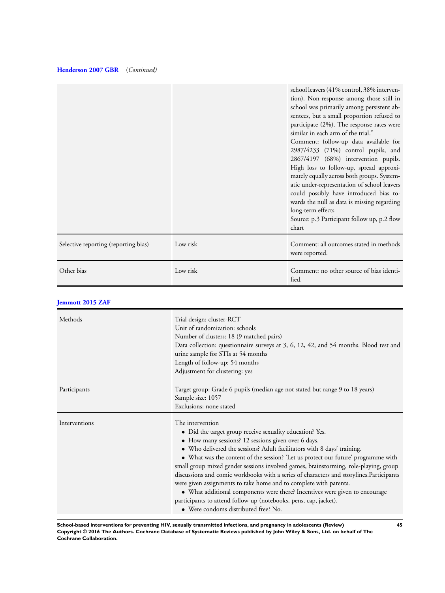### **[Henderson 2007 GBR](#page-26-0)** (*Continued)*

|                                      |          | school leavers (41% control, 38% interven-<br>tion). Non-response among those still in<br>school was primarily among persistent ab-<br>sentees, but a small proportion refused to<br>participate (2%). The response rates were<br>similar in each arm of the trial."<br>Comment: follow-up data available for<br>2987/4233 (71%) control pupils, and<br>2867/4197 (68%) intervention pupils.<br>High loss to follow-up, spread approxi-<br>mately equally across both groups. System-<br>atic under-representation of school leavers<br>could possibly have introduced bias to-<br>wards the null as data is missing regarding<br>long-term effects<br>Source: p.3 Participant follow up, p.2 flow<br>chart |
|--------------------------------------|----------|-------------------------------------------------------------------------------------------------------------------------------------------------------------------------------------------------------------------------------------------------------------------------------------------------------------------------------------------------------------------------------------------------------------------------------------------------------------------------------------------------------------------------------------------------------------------------------------------------------------------------------------------------------------------------------------------------------------|
| Selective reporting (reporting bias) | Low risk | Comment: all outcomes stated in methods<br>were reported.                                                                                                                                                                                                                                                                                                                                                                                                                                                                                                                                                                                                                                                   |
| Other bias                           | Low risk | Comment: no other source of bias identi-<br>fied.                                                                                                                                                                                                                                                                                                                                                                                                                                                                                                                                                                                                                                                           |

#### **[Jemmott 2015 ZAF](#page-26-0)**

| Methods       | Trial design: cluster-RCT<br>Unit of randomization: schools<br>Number of clusters: 18 (9 matched pairs)<br>Data collection: questionnaire surveys at 3, 6, 12, 42, and 54 months. Blood test and<br>urine sample for STIs at 54 months<br>Length of follow-up: 54 months<br>Adjustment for clustering: yes                                                                                                                                                                                                                                                                                                                                                                                                                                              |
|---------------|---------------------------------------------------------------------------------------------------------------------------------------------------------------------------------------------------------------------------------------------------------------------------------------------------------------------------------------------------------------------------------------------------------------------------------------------------------------------------------------------------------------------------------------------------------------------------------------------------------------------------------------------------------------------------------------------------------------------------------------------------------|
| Participants  | Target group: Grade 6 pupils (median age not stated but range 9 to 18 years)<br>Sample size: 1057<br>Exclusions: none stated                                                                                                                                                                                                                                                                                                                                                                                                                                                                                                                                                                                                                            |
| Interventions | The intervention<br>• Did the target group receive sexuality education? Yes.<br>• How many sessions? 12 sessions given over 6 days.<br>• Who delivered the sessions? Adult facilitators with 8 days' training.<br>• What was the content of the session? 'Let us protect our future' programme with<br>small group mixed gender sessions involved games, brainstorming, role-playing, group<br>discussions and comic workbooks with a series of characters and storylines. Participants<br>were given assignments to take home and to complete with parents.<br>• What additional components were there? Incentives were given to encourage<br>participants to attend follow-up (notebooks, pens, cap, jacket).<br>• Were condoms distributed free? No. |

**School-based interventions for preventing HIV, sexually transmitted infections, and pregnancy in adolescents (Review) 45 Copyright © 2016 The Authors. Cochrane Database of Systematic Reviews published by John Wiley & Sons, Ltd. on behalf of The Cochrane Collaboration.**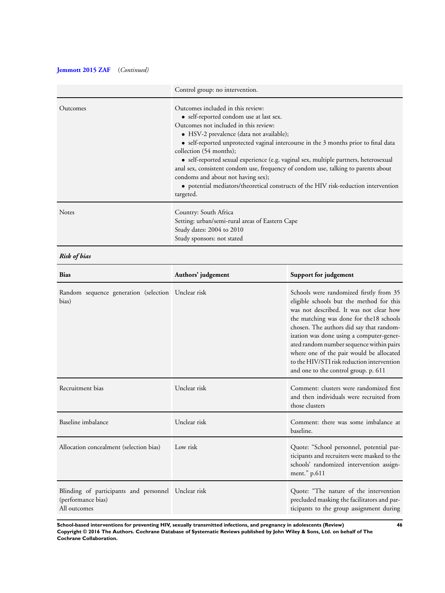### **[Jemmott 2015 ZAF](#page-26-0)** (*Continued)*

|              | Control group: no intervention.                                                                                                                                                                                                                                                                                                                                                                                                                                                                                                                                                                             |
|--------------|-------------------------------------------------------------------------------------------------------------------------------------------------------------------------------------------------------------------------------------------------------------------------------------------------------------------------------------------------------------------------------------------------------------------------------------------------------------------------------------------------------------------------------------------------------------------------------------------------------------|
| Outcomes     | Outcomes included in this review:<br>• self-reported condom use at last sex.<br>Outcomes not included in this review:<br>• HSV-2 prevalence (data not available);<br>• self-reported unprotected vaginal intercourse in the 3 months prior to final data<br>collection (54 months);<br>• self-reported sexual experience (e.g. vaginal sex, multiple partners, heterosexual<br>anal sex, consistent condom use, frequency of condom use, talking to parents about<br>condoms and about not having sex);<br>• potential mediators/theoretical constructs of the HIV risk-reduction intervention<br>targeted. |
| <b>Notes</b> | Country: South Africa<br>Setting: urban/semi-rural areas of Eastern Cape<br>Study dates: 2004 to 2010<br>Study sponsors: not stated                                                                                                                                                                                                                                                                                                                                                                                                                                                                         |

## *Risk of bias*

| <b>Bias</b>                                                                               | Authors' judgement | Support for judgement                                                                                                                                                                                                                                                                                                                                                                                                                            |
|-------------------------------------------------------------------------------------------|--------------------|--------------------------------------------------------------------------------------------------------------------------------------------------------------------------------------------------------------------------------------------------------------------------------------------------------------------------------------------------------------------------------------------------------------------------------------------------|
| Random sequence generation (selection Unclear risk<br>bias)                               |                    | Schools were randomized firstly from 35<br>eligible schools but the method for this<br>was not described. It was not clear how<br>the matching was done for the 18 schools<br>chosen. The authors did say that random-<br>ization was done using a computer-gener-<br>ated random number sequence within pairs<br>where one of the pair would be allocated<br>to the HIV/STI risk reduction intervention<br>and one to the control group. p. 611 |
| Recruitment bias                                                                          | Unclear risk       | Comment: clusters were randomized first<br>and then individuals were recruited from<br>those clusters                                                                                                                                                                                                                                                                                                                                            |
| Baseline imbalance                                                                        | Unclear risk       | Comment: there was some imbalance at<br>baseline.                                                                                                                                                                                                                                                                                                                                                                                                |
| Allocation concealment (selection bias)                                                   | Low risk           | Quote: "School personnel, potential par-<br>ticipants and recruiters were masked to the<br>schools' randomized intervention assign-<br>ment." p.611                                                                                                                                                                                                                                                                                              |
| Blinding of participants and personnel Unclear risk<br>(performance bias)<br>All outcomes |                    | Quote: "The nature of the intervention<br>precluded masking the facilitators and par-<br>ticipants to the group assignment during                                                                                                                                                                                                                                                                                                                |

**School-based interventions for preventing HIV, sexually transmitted infections, and pregnancy in adolescents (Review) 46 Copyright © 2016 The Authors. Cochrane Database of Systematic Reviews published by John Wiley & Sons, Ltd. on behalf of The Cochrane Collaboration.**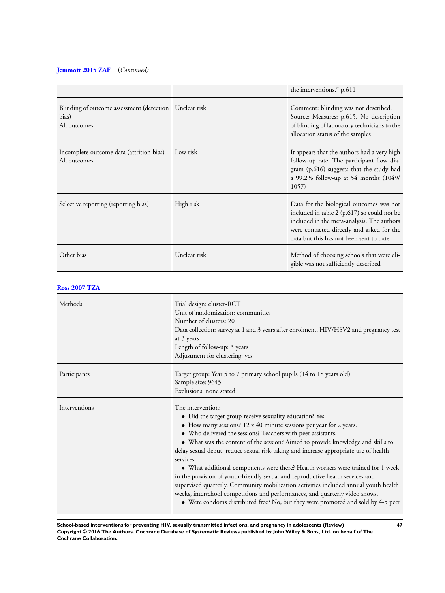#### **[Jemmott 2015 ZAF](#page-26-0)** (*Continued)*

|                                                                                   |              | the interventions." p.611                                                                                                                                                                                                     |
|-----------------------------------------------------------------------------------|--------------|-------------------------------------------------------------------------------------------------------------------------------------------------------------------------------------------------------------------------------|
| Blinding of outcome assessment (detection   Unclear risk<br>bias)<br>All outcomes |              | Comment: blinding was not described.<br>Source: Measures: p.615. No description<br>of blinding of laboratory technicians to the<br>allocation status of the samples                                                           |
| Incomplete outcome data (attrition bias)<br>All outcomes                          | Low risk     | It appears that the authors had a very high<br>follow-up rate. The participant flow dia-<br>gram (p.616) suggests that the study had<br>a 99.2% follow-up at 54 months (1049/<br>1057)                                        |
| Selective reporting (reporting bias)                                              | High risk    | Data for the biological outcomes was not<br>included in table 2 (p.617) so could not be<br>included in the meta-analysis. The authors<br>were contacted directly and asked for the<br>data but this has not been sent to date |
| Other bias                                                                        | Unclear risk | Method of choosing schools that were eli-<br>gible was not sufficiently described                                                                                                                                             |

**[Ross 2007 TZA](#page-26-0)**

| Methods       | Trial design: cluster-RCT<br>Unit of randomization: communities<br>Number of clusters: 20<br>Data collection: survey at 1 and 3 years after enrolment. HIV/HSV2 and pregnancy test<br>at 3 years<br>Length of follow-up: 3 years<br>Adjustment for clustering: yes                                                                                                                                                                                                                                                                                                                                                                                                                                                                                                                                                                             |
|---------------|------------------------------------------------------------------------------------------------------------------------------------------------------------------------------------------------------------------------------------------------------------------------------------------------------------------------------------------------------------------------------------------------------------------------------------------------------------------------------------------------------------------------------------------------------------------------------------------------------------------------------------------------------------------------------------------------------------------------------------------------------------------------------------------------------------------------------------------------|
| Participants  | Target group: Year 5 to 7 primary school pupils (14 to 18 years old)<br>Sample size: 9645<br>Exclusions: none stated                                                                                                                                                                                                                                                                                                                                                                                                                                                                                                                                                                                                                                                                                                                           |
| Interventions | The intervention:<br>• Did the target group receive sexuality education? Yes.<br>• How many sessions? 12 $x$ 40 minute sessions per year for 2 years.<br>• Who delivered the sessions? Teachers with peer assistants.<br>• What was the content of the session? Aimed to provide knowledge and skills to<br>delay sexual debut, reduce sexual risk-taking and increase appropriate use of health<br>services.<br>• What additional components were there? Health workers were trained for 1 week<br>in the provision of youth-friendly sexual and reproductive health services and<br>supervised quarterly. Community mobilization activities included annual youth health<br>weeks, interschool competitions and performances, and quarterly video shows.<br>• Were condoms distributed free? No, but they were promoted and sold by 4-5 peer |

**School-based interventions for preventing HIV, sexually transmitted infections, and pregnancy in adolescents (Review) 47 Copyright © 2016 The Authors. Cochrane Database of Systematic Reviews published by John Wiley & Sons, Ltd. on behalf of The Cochrane Collaboration.**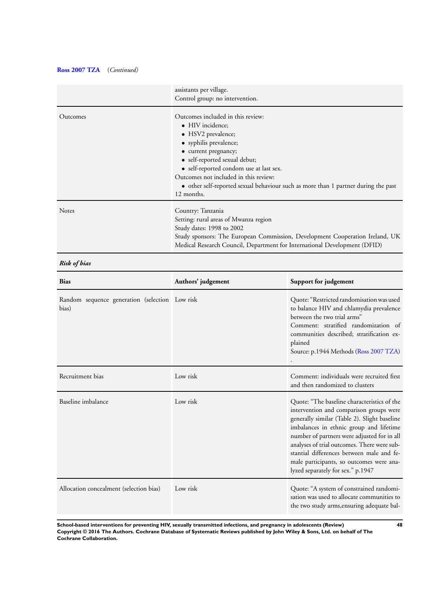## **[Ross 2007 TZA](#page-26-0)** (*Continued)*

|              | assistants per village.<br>Control group: no intervention.                                                                                                                                                                                                                                                                                             |
|--------------|--------------------------------------------------------------------------------------------------------------------------------------------------------------------------------------------------------------------------------------------------------------------------------------------------------------------------------------------------------|
| Outcomes     | Outcomes included in this review:<br>• HIV incidence;<br>• HSV2 prevalence;<br>• syphilis prevalence;<br>• current pregnancy;<br>• self-reported sexual debut;<br>• self-reported condom use at last sex.<br>Outcomes not included in this review:<br>• other self-reported sexual behaviour such as more than 1 partner during the past<br>12 months. |
| <b>Notes</b> | Country: Tanzania<br>Setting: rural areas of Mwanza region<br>Study dates: 1998 to 2002<br>Study sponsors: The European Commission, Development Cooperation Ireland, UK<br>Medical Research Council, Department for International Development (DFID)                                                                                                   |

## *Risk of bias*

| <b>Bias</b>                                             | Authors' judgement | Support for judgement                                                                                                                                                                                                                                                                                                                                                                                         |
|---------------------------------------------------------|--------------------|---------------------------------------------------------------------------------------------------------------------------------------------------------------------------------------------------------------------------------------------------------------------------------------------------------------------------------------------------------------------------------------------------------------|
| Random sequence generation (selection Low risk<br>bias) |                    | Quote: "Restricted randomisation was used<br>to balance HIV and chlamydia prevalence<br>between the two trial arms"<br>Comment: stratified randomization of<br>communities described; stratification ex-<br>plained<br>Source: p.1944 Methods (Ross 2007 TZA)                                                                                                                                                 |
| Recruitment bias                                        | Low risk           | Comment: individuals were recruited first<br>and then randomized to clusters                                                                                                                                                                                                                                                                                                                                  |
| Baseline imbalance                                      | Low risk           | Quote: "The baseline characteristics of the<br>intervention and comparison groups were<br>generally similar (Table 2). Slight baseline<br>imbalances in ethnic group and lifetime<br>number of partners were adjusted for in all<br>analyses of trial outcomes. There were sub-<br>stantial differences between male and fe-<br>male participants, so outcomes were ana-<br>lyzed separately for sex." p.1947 |
| Allocation concealment (selection bias)                 | Low risk           | Quote: "A system of constrained randomi-<br>sation was used to allocate communities to<br>the two study arms, ensuring adequate bal-                                                                                                                                                                                                                                                                          |

**School-based interventions for preventing HIV, sexually transmitted infections, and pregnancy in adolescents (Review) 48 Copyright © 2016 The Authors. Cochrane Database of Systematic Reviews published by John Wiley & Sons, Ltd. on behalf of The Cochrane Collaboration.**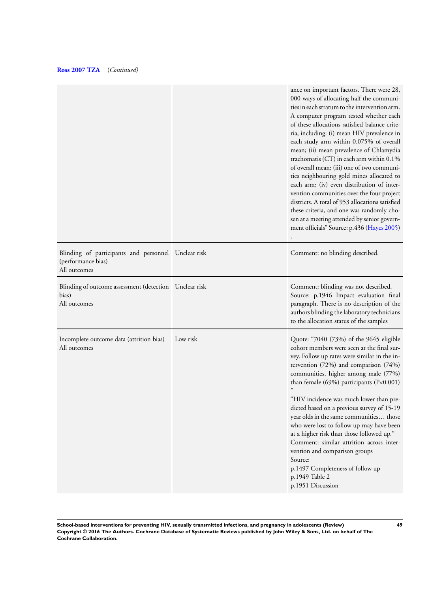## **[Ross 2007 TZA](#page-26-0)** (*Continued)*

|                                                                                           |          | ance on important factors. There were 28,<br>000 ways of allocating half the communi-<br>ties in each stratum to the intervention arm.<br>A computer program tested whether each<br>of these allocations satisfied balance crite-<br>ria, including: (i) mean HIV prevalence in<br>each study arm within 0.075% of overall<br>mean; (ii) mean prevalence of Chlamydia<br>trachomatis (CT) in each arm within 0.1%<br>of overall mean; (iii) one of two communi-<br>ties neighbouring gold mines allocated to<br>each arm; (iv) even distribution of inter-<br>vention communities over the four project<br>districts. A total of 953 allocations satisfied<br>these criteria, and one was randomly cho-<br>sen at a meeting attended by senior govern-<br>ment officials" Source: p.436 (Hayes 2005) |
|-------------------------------------------------------------------------------------------|----------|------------------------------------------------------------------------------------------------------------------------------------------------------------------------------------------------------------------------------------------------------------------------------------------------------------------------------------------------------------------------------------------------------------------------------------------------------------------------------------------------------------------------------------------------------------------------------------------------------------------------------------------------------------------------------------------------------------------------------------------------------------------------------------------------------|
| Blinding of participants and personnel Unclear risk<br>(performance bias)<br>All outcomes |          | Comment: no blinding described.                                                                                                                                                                                                                                                                                                                                                                                                                                                                                                                                                                                                                                                                                                                                                                      |
| Blinding of outcome assessment (detection Unclear risk<br>bias)<br>All outcomes           |          | Comment: blinding was not described.<br>Source: p.1946 Impact evaluation final<br>paragraph. There is no description of the<br>authors blinding the laboratory technicians<br>to the allocation status of the samples                                                                                                                                                                                                                                                                                                                                                                                                                                                                                                                                                                                |
| Incomplete outcome data (attrition bias)<br>All outcomes                                  | Low risk | Quote: "7040 (73%) of the 9645 eligible<br>cohort members were seen at the final sur-<br>vey. Follow up rates were similar in the in-<br>tervention (72%) and comparison (74%)<br>communities, higher among male (77%)<br>than female (69%) participants (P<0.001)<br>"HIV incidence was much lower than pre-<br>dicted based on a previous survey of 15-19<br>year olds in the same communities those<br>who were lost to follow up may have been<br>at a higher risk than those followed up."<br>Comment: similar attrition across inter-<br>vention and comparison groups<br>Source:<br>p.1497 Completeness of follow up<br>p.1949 Table 2<br>p.1951 Discussion                                                                                                                                   |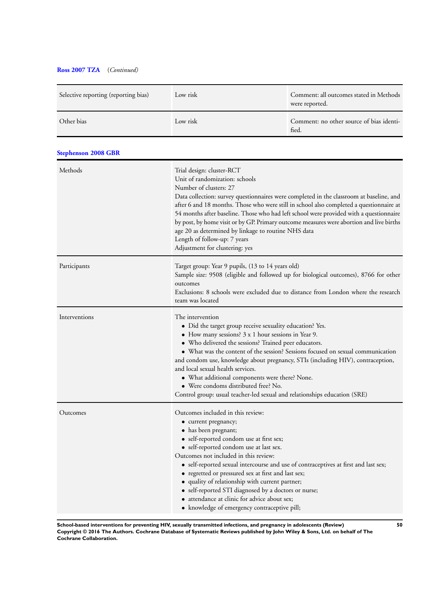## **[Ross 2007 TZA](#page-26-0)** (*Continued)*

| Selective reporting (reporting bias) | Low risk                                                                                                                                                                                                                                                                                                                                                                                                                                                                                                                                                                   | Comment: all outcomes stated in Methods<br>were reported.                                                                                                                                                                                                                                                                                                               |
|--------------------------------------|----------------------------------------------------------------------------------------------------------------------------------------------------------------------------------------------------------------------------------------------------------------------------------------------------------------------------------------------------------------------------------------------------------------------------------------------------------------------------------------------------------------------------------------------------------------------------|-------------------------------------------------------------------------------------------------------------------------------------------------------------------------------------------------------------------------------------------------------------------------------------------------------------------------------------------------------------------------|
| Other bias                           | Low risk                                                                                                                                                                                                                                                                                                                                                                                                                                                                                                                                                                   | Comment: no other source of bias identi-<br>fied.                                                                                                                                                                                                                                                                                                                       |
| <b>Stephenson 2008 GBR</b>           |                                                                                                                                                                                                                                                                                                                                                                                                                                                                                                                                                                            |                                                                                                                                                                                                                                                                                                                                                                         |
| Methods                              | Trial design: cluster-RCT<br>Unit of randomization: schools<br>Number of clusters: 27<br>age 20 as determined by linkage to routine NHS data<br>Length of follow-up: 7 years<br>Adjustment for clustering: yes                                                                                                                                                                                                                                                                                                                                                             | Data collection: survey questionnaires were completed in the classroom at baseline, and<br>after 6 and 18 months. Those who were still in school also completed a questionnaire at<br>54 months after baseline. Those who had left school were provided with a questionnaire<br>by post, by home visit or by GP. Primary outcome measures were abortion and live births |
| Participants                         | Target group: Year 9 pupils, (13 to 14 years old)<br>outcomes<br>team was located                                                                                                                                                                                                                                                                                                                                                                                                                                                                                          | Sample size: 9508 (eligible and followed up for biological outcomes), 8766 for other<br>Exclusions: 8 schools were excluded due to distance from London where the research                                                                                                                                                                                              |
| Interventions                        | The intervention<br>• Did the target group receive sexuality education? Yes.<br>• How many sessions? $3 \times 1$ hour sessions in Year 9.<br>• Who delivered the sessions? Trained peer educators.<br>and condom use, knowledge about pregnancy, STIs (including HIV), contraception,<br>and local sexual health services.<br>• What additional components were there? None.<br>• Were condoms distributed free? No.<br>Control group: usual teacher-led sexual and relationships education (SRE)                                                                         | • What was the content of the session? Sessions focused on sexual communication                                                                                                                                                                                                                                                                                         |
| Outcomes                             | Outcomes included in this review:<br>• current pregnancy;<br>• has been pregnant;<br>• self-reported condom use at first sex;<br>• self-reported condom use at last sex.<br>Outcomes not included in this review:<br>• self-reported sexual intercourse and use of contraceptives at first and last sex;<br>• regretted or pressured sex at first and last sex;<br>· quality of relationship with current partner;<br>• self-reported STI diagnosed by a doctors or nurse;<br>• attendance at clinic for advice about sex;<br>• knowledge of emergency contraceptive pill; |                                                                                                                                                                                                                                                                                                                                                                         |

**School-based interventions for preventing HIV, sexually transmitted infections, and pregnancy in adolescents (Review) 50 Copyright © 2016 The Authors. Cochrane Database of Systematic Reviews published by John Wiley & Sons, Ltd. on behalf of The Cochrane Collaboration.**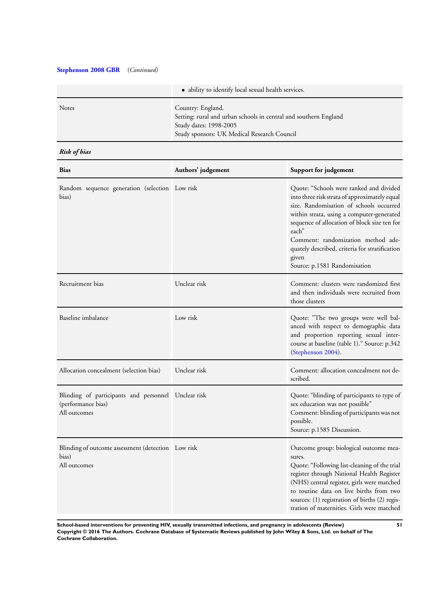## **[Stephenson 2008 GBR](#page-26-0)** (*Continued)*

|              | • ability to identify local sexual health services.                                                                                                            |
|--------------|----------------------------------------------------------------------------------------------------------------------------------------------------------------|
| <b>Notes</b> | Country: England.<br>Setting: rural and urban schools in central and southern England<br>Study dates: 1998-2005<br>Study sponsors: UK Medical Research Council |

### *Risk of bias*

| <b>Bias</b>                                                                               | Authors' judgement | Support for judgement                                                                                                                                                                                                                                                                                                                                                      |
|-------------------------------------------------------------------------------------------|--------------------|----------------------------------------------------------------------------------------------------------------------------------------------------------------------------------------------------------------------------------------------------------------------------------------------------------------------------------------------------------------------------|
| Random sequence generation (selection Low risk<br>bias)                                   |                    | Quote: "Schools were ranked and divided<br>into three risk strata of approximately equal<br>size. Randomisation of schools occurred<br>within strata, using a computer-generated<br>sequence of allocation of block size ten for<br>each"<br>Comment: randomization method ade-<br>quately described, criteria for stratification<br>given<br>Source: p.1581 Randomisation |
| Recruitment bias                                                                          | Unclear risk       | Comment: clusters were randomized first<br>and then individuals were recruited from<br>those clusters                                                                                                                                                                                                                                                                      |
| Baseline imbalance                                                                        | Low risk           | Quote: "The two groups were well bal-<br>anced with respect to demographic data<br>and proportion reporting sexual inter-<br>course at baseline (table 1)." Source: p.342<br>(Stephenson 2004).                                                                                                                                                                            |
| Allocation concealment (selection bias)                                                   | Unclear risk       | Comment: allocation concealment not de-<br>scribed.                                                                                                                                                                                                                                                                                                                        |
| Blinding of participants and personnel Unclear risk<br>(performance bias)<br>All outcomes |                    | Quote: "blinding of participants to type of<br>sex education was not possible"<br>Comment: blinding of participants was not<br>possible.<br>Source: p.1585 Discussion.                                                                                                                                                                                                     |
| Blinding of outcome assessment (detection Low risk<br>bias)<br>All outcomes               |                    | Outcome group: biological outcome mea-<br>sures.<br>Quote: "Following list-cleaning of the trial<br>register through National Health Register<br>(NHS) central register, girls were matched<br>to routine data on live births from two<br>sources: (1) registration of births (2) regis-<br>tration of maternities. Girls were matched                                     |

**School-based interventions for preventing HIV, sexually transmitted infections, and pregnancy in adolescents (Review) 51 Copyright © 2016 The Authors. Cochrane Database of Systematic Reviews published by John Wiley & Sons, Ltd. on behalf of The Cochrane Collaboration.**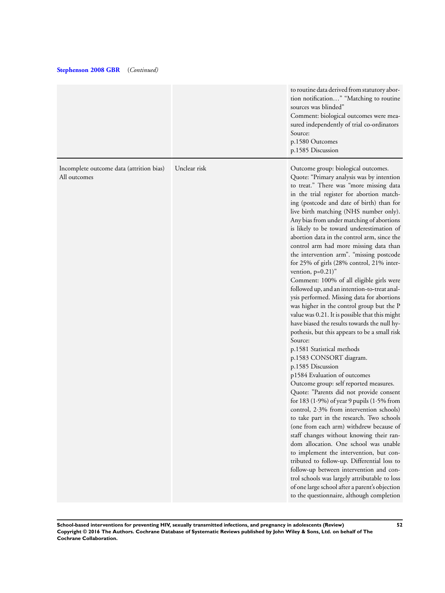## **[Stephenson 2008 GBR](#page-26-0)** (*Continued)*

|                                                          |              | to routine data derived from statutory abor-<br>tion notification" "Matching to routine<br>sources was blinded"<br>Comment: biological outcomes were mea-<br>sured independently of trial co-ordinators<br>Source:<br>p.1580 Outcomes<br>p.1585 Discussion                                                                                                                                                                                                                                                                                                                                                                                                                                                                                                                                                                                                                                                                                                                                                                                                                                                                                                                                                                                                                                                                                                                                                                                                                                                                                                                                                                                                                              |
|----------------------------------------------------------|--------------|-----------------------------------------------------------------------------------------------------------------------------------------------------------------------------------------------------------------------------------------------------------------------------------------------------------------------------------------------------------------------------------------------------------------------------------------------------------------------------------------------------------------------------------------------------------------------------------------------------------------------------------------------------------------------------------------------------------------------------------------------------------------------------------------------------------------------------------------------------------------------------------------------------------------------------------------------------------------------------------------------------------------------------------------------------------------------------------------------------------------------------------------------------------------------------------------------------------------------------------------------------------------------------------------------------------------------------------------------------------------------------------------------------------------------------------------------------------------------------------------------------------------------------------------------------------------------------------------------------------------------------------------------------------------------------------------|
| Incomplete outcome data (attrition bias)<br>All outcomes | Unclear risk | Outcome group: biological outcomes.<br>Quote: "Primary analysis was by intention<br>to treat." There was "more missing data<br>in the trial register for abortion match-<br>ing (postcode and date of birth) than for<br>live birth matching (NHS number only).<br>Any bias from under matching of abortions<br>is likely to be toward underestimation of<br>abortion data in the control arm, since the<br>control arm had more missing data than<br>the intervention arm". "missing postcode<br>for 25% of girls (28% control, 21% inter-<br>vention, $p=0.21$ )"<br>Comment: 100% of all eligible girls were<br>followed up, and an intention-to-treat anal-<br>ysis performed. Missing data for abortions<br>was higher in the control group but the P<br>value was 0.21. It is possible that this might<br>have biased the results towards the null hy-<br>pothesis, but this appears to be a small risk<br>Source:<br>p.1581 Statistical methods<br>p.1583 CONSORT diagram.<br>p.1585 Discussion<br>p1584 Evaluation of outcomes<br>Outcome group: self reported measures.<br>Quote: "Parents did not provide consent<br>for 183 (1.9%) of year 9 pupils (1.5% from<br>control, 2.3% from intervention schools)<br>to take part in the research. Two schools<br>(one from each arm) withdrew because of<br>staff changes without knowing their ran-<br>dom allocation. One school was unable<br>to implement the intervention, but con-<br>tributed to follow-up. Differential loss to<br>follow-up between intervention and con-<br>trol schools was largely attributable to loss<br>of one large school after a parent's objection<br>to the questionnaire, although completion |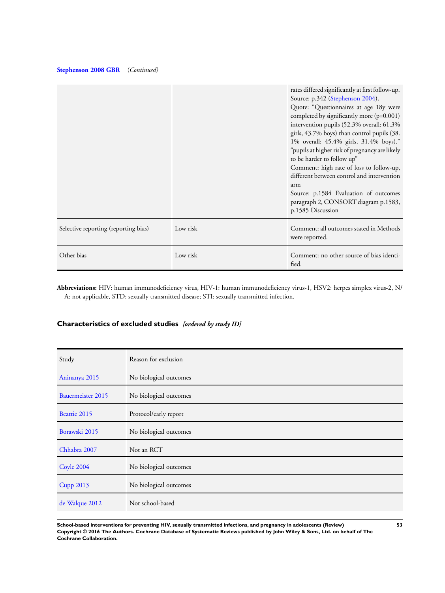### **[Stephenson 2008 GBR](#page-26-0)** (*Continued)*

|                                      |          | rates differed significantly at first follow-up.<br>Source: p.342 (Stephenson 2004).<br>Quote: "Questionnaires at age 18y were<br>completed by significantly more $(p=0.001)$<br>intervention pupils (52.3% overall: 61.3%<br>girls, 43.7% boys) than control pupils (38.<br>1% overall: 45.4% girls, 31.4% boys)."<br>"pupils at higher risk of pregnancy are likely<br>to be harder to follow up"<br>Comment: high rate of loss to follow-up,<br>different between control and intervention<br>arm<br>Source: p.1584 Evaluation of outcomes<br>paragraph 2, CONSORT diagram p.1583,<br>p.1585 Discussion |
|--------------------------------------|----------|------------------------------------------------------------------------------------------------------------------------------------------------------------------------------------------------------------------------------------------------------------------------------------------------------------------------------------------------------------------------------------------------------------------------------------------------------------------------------------------------------------------------------------------------------------------------------------------------------------|
| Selective reporting (reporting bias) | Low risk | Comment: all outcomes stated in Methods<br>were reported.                                                                                                                                                                                                                                                                                                                                                                                                                                                                                                                                                  |
| Other bias                           | Low risk | Comment: no other source of bias identi-<br>fied.                                                                                                                                                                                                                                                                                                                                                                                                                                                                                                                                                          |

**Abbreviations:** HIV: human immunodeficiency virus, HIV-1: human immunodeficiency virus-1, HSV2: herpes simplex virus-2, N/ A: not applicable, STD: sexually transmitted disease; STI: sexually transmitted infection.

## **Characteristics of excluded studies** *[ordered by study ID]*

| Study             | Reason for exclusion   |
|-------------------|------------------------|
| Aninanya 2015     | No biological outcomes |
| Bauermeister 2015 | No biological outcomes |
| Beattie 2015      | Protocol/early report  |
| Borawski 2015     | No biological outcomes |
| Chhabra 2007      | Not an RCT             |
| Coyle 2004        | No biological outcomes |
| <b>Cupp 2013</b>  | No biological outcomes |
| de Walque 2012    | Not school-based       |

**School-based interventions for preventing HIV, sexually transmitted infections, and pregnancy in adolescents (Review) 53 Copyright © 2016 The Authors. Cochrane Database of Systematic Reviews published by John Wiley & Sons, Ltd. on behalf of The Cochrane Collaboration.**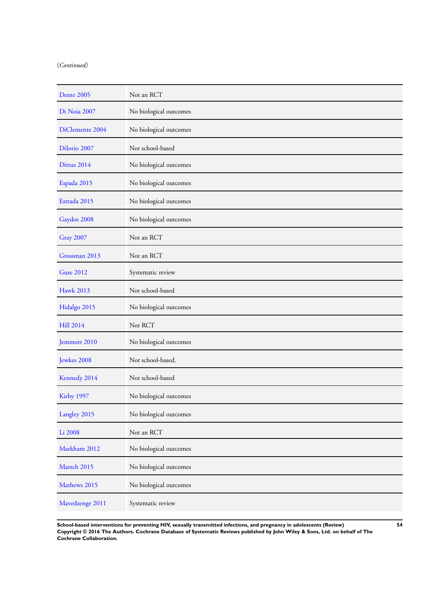#### (*Continued)*

| Dente 2005       | Not an RCT             |
|------------------|------------------------|
| Di Noia 2007     | No biological outcomes |
| DiClemente 2004  | No biological outcomes |
| Dilorio 2007     | Not school-based       |
| Dittus 2014      | No biological outcomes |
| Espada 2015      | No biological outcomes |
| Estrada 2015     | No biological outcomes |
| Gaydos 2008      | No biological outcomes |
| <b>Gray 2007</b> | Not an RCT             |
| Grossman 2013    | Not an RCT             |
| <b>Guse 2012</b> | Systematic review      |
| <b>Hawk 2013</b> | Not school-based       |
| Hidalgo 2015     | No biological outcomes |
| <b>Hill 2014</b> | Not RCT                |
| Jemmott 2010     | No biological outcomes |
| Jewkes 2008      | Not school-based.      |
| Kennedy 2014     | Not school-based       |
| Kirby 1997       | No biological outcomes |
| Langley 2015     | No biological outcomes |
| Li 2008          | Not an RCT             |
| Markham 2012     | No biological outcomes |
| Marsch 2015      | No biological outcomes |
|                  |                        |
| Mathews 2015     | No biological outcomes |

**School-based interventions for preventing HIV, sexually transmitted infections, and pregnancy in adolescents (Review) 54 Copyright © 2016 The Authors. Cochrane Database of Systematic Reviews published by John Wiley & Sons, Ltd. on behalf of The Cochrane Collaboration.**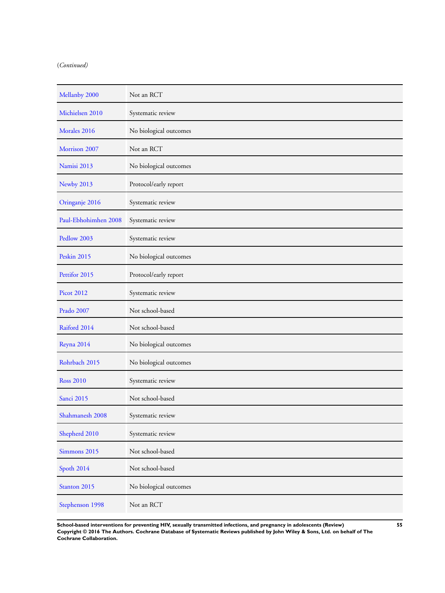#### (*Continued)*

| Mellanby 2000        | Not an RCT             |
|----------------------|------------------------|
| Michielsen 2010      | Systematic review      |
| Morales 2016         | No biological outcomes |
| Morrison 2007        | Not an RCT             |
| Namisi 2013          | No biological outcomes |
| Newby 2013           | Protocol/early report  |
| Oringanje 2016       | Systematic review      |
| Paul-Ebhohimhen 2008 | Systematic review      |
| Pedlow 2003          | Systematic review      |
| Peskin 2015          | No biological outcomes |
| Pettifor 2015        | Protocol/early report  |
| Picot 2012           | Systematic review      |
|                      |                        |
| Prado 2007           | Not school-based       |
| Raiford 2014         | Not school-based       |
| Reyna 2014           | No biological outcomes |
| Rohrbach 2015        | No biological outcomes |
| <b>Ross 2010</b>     | Systematic review      |
| Sanci 2015           | Not school-based       |
| Shahmanesh 2008      | Systematic review      |
| Shepherd 2010        | Systematic review      |
| Simmons 2015         | Not school-based       |
| Spoth 2014           | Not school-based       |
| Stanton 2015         | No biological outcomes |

**School-based interventions for preventing HIV, sexually transmitted infections, and pregnancy in adolescents (Review) 55 Copyright © 2016 The Authors. Cochrane Database of Systematic Reviews published by John Wiley & Sons, Ltd. on behalf of The Cochrane Collaboration.**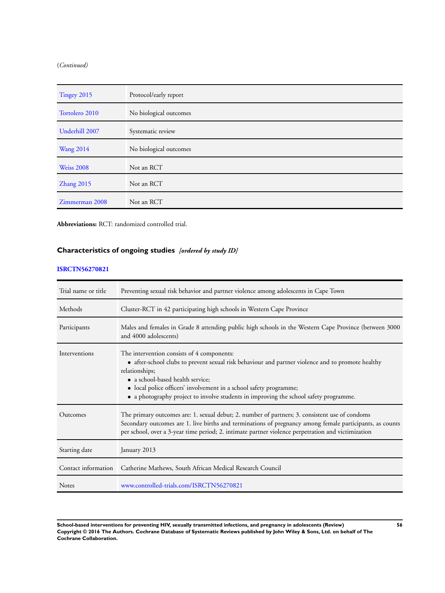(*Continued)*

| Tingey 2015       | Protocol/early report  |
|-------------------|------------------------|
| Tortolero 2010    | No biological outcomes |
| Underhill 2007    | Systematic review      |
| <b>Wang 2014</b>  | No biological outcomes |
| <b>Weiss 2008</b> | Not an RCT             |
| Zhang 2015        | Not an RCT             |
| Zimmerman 2008    | Not an RCT             |

**Abbreviations:** RCT: randomized controlled trial.

# **Characteristics of ongoing studies** *[ordered by study ID]*

### **[ISRCTN56270821](#page-26-0)**

| Trial name or title | Preventing sexual risk behavior and partner violence among adolescents in Cape Town                                                                                                                                                                                                                                                                                  |
|---------------------|----------------------------------------------------------------------------------------------------------------------------------------------------------------------------------------------------------------------------------------------------------------------------------------------------------------------------------------------------------------------|
| Methods             | Cluster-RCT in 42 participating high schools in Western Cape Province                                                                                                                                                                                                                                                                                                |
| Participants        | Males and females in Grade 8 attending public high schools in the Western Cape Province (between 3000<br>and 4000 adolescents)                                                                                                                                                                                                                                       |
| Interventions       | The intervention consists of 4 components:<br>• after-school clubs to prevent sexual risk behaviour and partner violence and to promote healthy<br>relationships;<br>• a school-based health service;<br>• local police officers' involvement in a school safety programme;<br>• a photography project to involve students in improving the school safety programme. |
| Outcomes            | The primary outcomes are: 1. sexual debut; 2. number of partners; 3. consistent use of condoms<br>Secondary outcomes are 1. live births and terminations of pregnancy among female participants, as counts<br>per school, over a 3-year time period; 2. intimate partner violence perpetration and victimization                                                     |
| Starting date       | January 2013                                                                                                                                                                                                                                                                                                                                                         |
| Contact information | Catherine Mathews, South African Medical Research Council                                                                                                                                                                                                                                                                                                            |
| <b>Notes</b>        | www.controlled-trials.com/ISRCTN56270821                                                                                                                                                                                                                                                                                                                             |

**School-based interventions for preventing HIV, sexually transmitted infections, and pregnancy in adolescents (Review) 56 Copyright © 2016 The Authors. Cochrane Database of Systematic Reviews published by John Wiley & Sons, Ltd. on behalf of The Cochrane Collaboration.**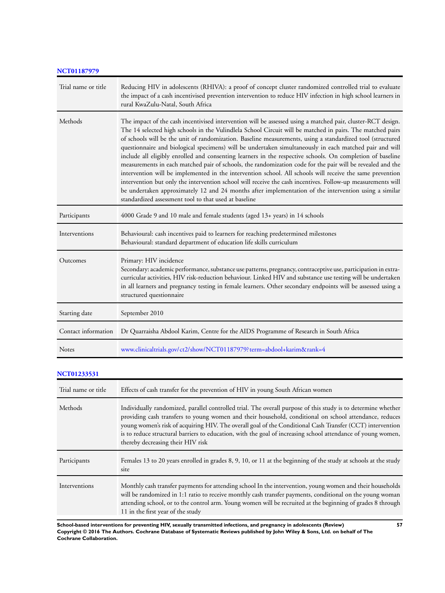| <b>NCT01187979</b>  |                                                                                                                                                                                                                                                                                                                                                                                                                                                                                                                                                                                                                                                                                                                                                                                                                                                                                                                                                                                                                                                                             |
|---------------------|-----------------------------------------------------------------------------------------------------------------------------------------------------------------------------------------------------------------------------------------------------------------------------------------------------------------------------------------------------------------------------------------------------------------------------------------------------------------------------------------------------------------------------------------------------------------------------------------------------------------------------------------------------------------------------------------------------------------------------------------------------------------------------------------------------------------------------------------------------------------------------------------------------------------------------------------------------------------------------------------------------------------------------------------------------------------------------|
| Trial name or title | Reducing HIV in adolescents (RHIVA): a proof of concept cluster randomized controlled trial to evaluate<br>the impact of a cash incentivised prevention intervention to reduce HIV infection in high school learners in<br>rural KwaZulu-Natal, South Africa                                                                                                                                                                                                                                                                                                                                                                                                                                                                                                                                                                                                                                                                                                                                                                                                                |
| Methods             | The impact of the cash incentivised intervention will be assessed using a matched pair, cluster-RCT design.<br>The 14 selected high schools in the Vulindlela School Circuit will be matched in pairs. The matched pairs<br>of schools will be the unit of randomization. Baseline measurements, using a standardized tool (structured<br>questionnaire and biological specimens) will be undertaken simultaneously in each matched pair and will<br>include all eligibly enrolled and consenting learners in the respective schools. On completion of baseline<br>measurements in each matched pair of schools, the randomization code for the pair will be revealed and the<br>intervention will be implemented in the intervention school. All schools will receive the same prevention<br>intervention but only the intervention school will receive the cash incentives. Follow-up measurements will<br>be undertaken approximately 12 and 24 months after implementation of the intervention using a similar<br>standardized assessment tool to that used at baseline |
| Participants        | 4000 Grade 9 and 10 male and female students (aged 13+ years) in 14 schools                                                                                                                                                                                                                                                                                                                                                                                                                                                                                                                                                                                                                                                                                                                                                                                                                                                                                                                                                                                                 |
| Interventions       | Behavioural: cash incentives paid to learners for reaching predetermined milestones<br>Behavioural: standard department of education life skills curriculum                                                                                                                                                                                                                                                                                                                                                                                                                                                                                                                                                                                                                                                                                                                                                                                                                                                                                                                 |
| Outcomes            | Primary: HIV incidence<br>Secondary: academic performance, substance use patterns, pregnancy, contraceptive use, participation in extra-<br>curricular activities, HIV risk-reduction behaviour. Linked HIV and substance use testing will be undertaken<br>in all learners and pregnancy testing in female learners. Other secondary endpoints will be assessed using a<br>structured questionnaire                                                                                                                                                                                                                                                                                                                                                                                                                                                                                                                                                                                                                                                                        |
| Starting date       | September 2010                                                                                                                                                                                                                                                                                                                                                                                                                                                                                                                                                                                                                                                                                                                                                                                                                                                                                                                                                                                                                                                              |
| Contact information | Dr Quarraisha Abdool Karim, Centre for the AIDS Programme of Research in South Africa                                                                                                                                                                                                                                                                                                                                                                                                                                                                                                                                                                                                                                                                                                                                                                                                                                                                                                                                                                                       |
| Notes               | www.clinicaltrials.gov/ct2/show/NCT01187979?term=abdool+karim&rank=4                                                                                                                                                                                                                                                                                                                                                                                                                                                                                                                                                                                                                                                                                                                                                                                                                                                                                                                                                                                                        |

### **[NCT01233531](#page-26-0)**

| Trial name or title | Effects of cash transfer for the prevention of HIV in young South African women                                                                                                                                                                                                                                                                                                                                                                                                           |
|---------------------|-------------------------------------------------------------------------------------------------------------------------------------------------------------------------------------------------------------------------------------------------------------------------------------------------------------------------------------------------------------------------------------------------------------------------------------------------------------------------------------------|
| Methods             | Individually randomized, parallel controlled trial. The overall purpose of this study is to determine whether<br>providing cash transfers to young women and their household, conditional on school attendance, reduces<br>young women's risk of acquiring HIV. The overall goal of the Conditional Cash Transfer (CCT) intervention<br>is to reduce structural barriers to education, with the goal of increasing school attendance of young women,<br>thereby decreasing their HIV risk |
| Participants        | Females 13 to 20 years enrolled in grades 8, 9, 10, or 11 at the beginning of the study at schools at the study<br>site                                                                                                                                                                                                                                                                                                                                                                   |
| Interventions       | Monthly cash transfer payments for attending school In the intervention, young women and their households<br>will be randomized in 1:1 ratio to receive monthly cash transfer payments, conditional on the young woman<br>attending school, or to the control arm. Young women will be recruited at the beginning of grades 8 through<br>11 in the first year of the study                                                                                                                |

**School-based interventions for preventing HIV, sexually transmitted infections, and pregnancy in adolescents (Review) 57 Copyright © 2016 The Authors. Cochrane Database of Systematic Reviews published by John Wiley & Sons, Ltd. on behalf of The Cochrane Collaboration.**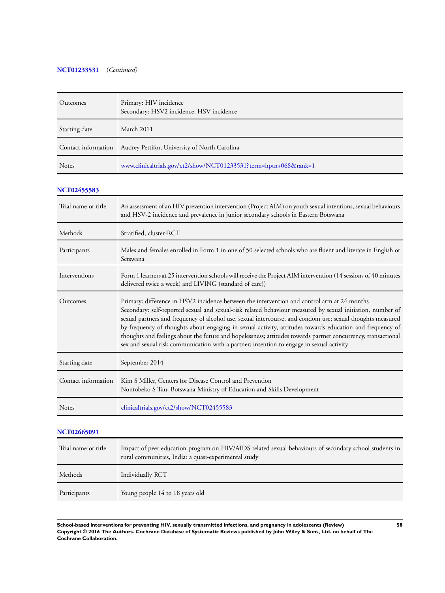#### **[NCT01233531](#page-26-0)** (*Continued)*

| Outcomes            | Primary: HIV incidence<br>Secondary: HSV2 incidence, HSV incidence                                                                                                                                                                                                                                                                                                                                                                                                                                                                                                                                                                               |
|---------------------|--------------------------------------------------------------------------------------------------------------------------------------------------------------------------------------------------------------------------------------------------------------------------------------------------------------------------------------------------------------------------------------------------------------------------------------------------------------------------------------------------------------------------------------------------------------------------------------------------------------------------------------------------|
| Starting date       | March 2011                                                                                                                                                                                                                                                                                                                                                                                                                                                                                                                                                                                                                                       |
| Contact information | Audrey Pettifor, University of North Carolina                                                                                                                                                                                                                                                                                                                                                                                                                                                                                                                                                                                                    |
| Notes               | www.clinicaltrials.gov/ct2/show/NCT01233531?term=hptn+068&rank=1                                                                                                                                                                                                                                                                                                                                                                                                                                                                                                                                                                                 |
| <b>NCT02455583</b>  |                                                                                                                                                                                                                                                                                                                                                                                                                                                                                                                                                                                                                                                  |
| Trial name or title | An assessment of an HIV prevention intervention (Project AIM) on youth sexual intentions, sexual behaviours<br>and HSV-2 incidence and prevalence in junior secondary schools in Eastern Botswana                                                                                                                                                                                                                                                                                                                                                                                                                                                |
| Methods             | Stratified, cluster-RCT                                                                                                                                                                                                                                                                                                                                                                                                                                                                                                                                                                                                                          |
| Participants        | Males and females enrolled in Form 1 in one of 50 selected schools who are fluent and literate in English or<br>Setswana                                                                                                                                                                                                                                                                                                                                                                                                                                                                                                                         |
| Interventions       | Form 1 learners at 25 intervention schools will receive the Project AIM intervention (14 sessions of 40 minutes<br>delivered twice a week) and LIVING (standard of care))                                                                                                                                                                                                                                                                                                                                                                                                                                                                        |
| Outcomes            | Primary: difference in HSV2 incidence between the intervention and control arm at 24 months<br>Secondary: self-reported sexual and sexual-risk related behaviour measured by sexual initiation, number of<br>sexual partners and frequency of alcohol use, sexual intercourse, and condom use; sexual thoughts measured<br>by frequency of thoughts about engaging in sexual activity, attitudes towards education and frequency of<br>thoughts and feelings about the future and hopelessness; attitudes towards partner concurrency, transactional<br>sex and sexual risk communication with a partner; intention to engage in sexual activity |
| Starting date       | September 2014                                                                                                                                                                                                                                                                                                                                                                                                                                                                                                                                                                                                                                   |
| Contact information | Kim S Miller, Centers for Disease Control and Prevention<br>Nontobeko S Tau, Botswana Ministry of Education and Skills Development                                                                                                                                                                                                                                                                                                                                                                                                                                                                                                               |
| Notes               | clinicaltrials.gov/ct2/show/NCT02455583                                                                                                                                                                                                                                                                                                                                                                                                                                                                                                                                                                                                          |
| NCT02665091         |                                                                                                                                                                                                                                                                                                                                                                                                                                                                                                                                                                                                                                                  |
| Trial name or title | Impact of peer education program on HIV/AIDS related sexual behaviours of secondary school students in<br>rural communities, India: a quasi-experimental study                                                                                                                                                                                                                                                                                                                                                                                                                                                                                   |
| Methods             | Individually RCT                                                                                                                                                                                                                                                                                                                                                                                                                                                                                                                                                                                                                                 |
| Participants        | Young people 14 to 18 years old                                                                                                                                                                                                                                                                                                                                                                                                                                                                                                                                                                                                                  |

**School-based interventions for preventing HIV, sexually transmitted infections, and pregnancy in adolescents (Review) 58 Copyright © 2016 The Authors. Cochrane Database of Systematic Reviews published by John Wiley & Sons, Ltd. on behalf of The Cochrane Collaboration.**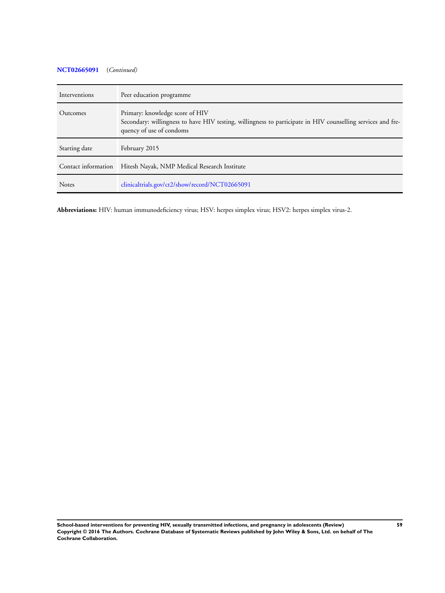### **[NCT02665091](#page-26-0)** (*Continued)*

| Interventions       | Peer education programme                                                                                                                                                   |
|---------------------|----------------------------------------------------------------------------------------------------------------------------------------------------------------------------|
| Outcomes            | Primary: knowledge score of HIV<br>Secondary: willingness to have HIV testing, willingness to participate in HIV counselling services and fre-<br>quency of use of condoms |
| Starting date       | February 2015                                                                                                                                                              |
| Contact information | Hitesh Nayak, NMP Medical Research Institute                                                                                                                               |
| <b>Notes</b>        | clinicaltrials.gov/ct2/show/record/NCT02665091                                                                                                                             |

**Abbreviations:** HIV: human immunodeficiency virus; HSV: herpes simplex virus; HSV2: herpes simplex virus-2.

**School-based interventions for preventing HIV, sexually transmitted infections, and pregnancy in adolescents (Review) 59 Copyright © 2016 The Authors. Cochrane Database of Systematic Reviews published by John Wiley & Sons, Ltd. on behalf of The Cochrane Collaboration.**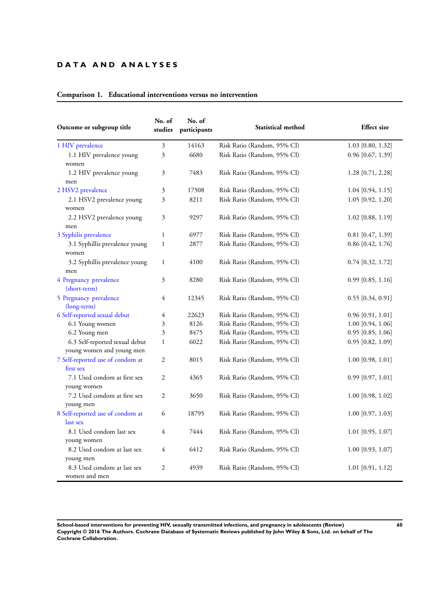### **D A T A A N D A N A L Y S E S**

### **Comparison 1. Educational interventions versus no intervention**

| Outcome or subgroup title                                   | No. of<br>studies | No. of<br>participants | <b>Statistical method</b>   | <b>Effect</b> size  |
|-------------------------------------------------------------|-------------------|------------------------|-----------------------------|---------------------|
| 1 HIV prevalence                                            | 3                 | 14163                  | Risk Ratio (Random, 95% CI) | 1.03 [0.80, 1.32]   |
| 1.1 HIV prevalence young<br>women                           | 3                 | 6680                   | Risk Ratio (Random, 95% CI) | 0.96 [0.67, 1.39]   |
| 1.2 HIV prevalence young<br>men                             | 3                 | 7483                   | Risk Ratio (Random, 95% CI) | $1.28$ [0.71, 2.28] |
| 2 HSV2 prevalence                                           | 3                 | 17508                  | Risk Ratio (Random, 95% CI) | $1.04$ [0.94, 1.15] |
| 2.1 HSV2 prevalence young<br>women                          | 3                 | 8211                   | Risk Ratio (Random, 95% CI) | 1.05 [0.92, 1.20]   |
| 2.2 HSV2 prevalence young<br>men                            | 3                 | 9297                   | Risk Ratio (Random, 95% CI) | $1.02$ [0.88, 1.19] |
| 3 Syphilis prevalence                                       | $\mathbf{1}$      | 6977                   | Risk Ratio (Random, 95% CI) | $0.81$ [0.47, 1.39] |
| 3.1 Syphillis prevalence young<br>women                     | $\mathbf{1}$      | 2877                   | Risk Ratio (Random, 95% CI) | 0.86 [0.42, 1.76]   |
| 3.2 Syphillis prevalence young<br>men                       | $\mathbf{1}$      | 4100                   | Risk Ratio (Random, 95% CI) | 0.74 [0.32, 1.72]   |
| 4 Pregnancy prevalence<br>(short-term)                      | 3                 | 8280                   | Risk Ratio (Random, 95% CI) | $0.99$ [0.85, 1.16] |
| 5 Pregnancy prevalence<br>(long-term)                       | 4                 | 12345                  | Risk Ratio (Random, 95% CI) | $0.55$ [0.34, 0.91] |
| 6 Self-reported sexual debut                                | 4                 | 22623                  | Risk Ratio (Random, 95% CI) | $0.96$ [0.91, 1.01] |
| 6.1 Young women                                             | 3                 | 8126                   | Risk Ratio (Random, 95% CI) | $1.00$ [0.94, 1.06] |
| 6.2 Young men                                               | 3                 | 8475                   | Risk Ratio (Random, 95% CI) | $0.95$ [0.85, 1.06] |
| 6.3 Self-reported sexual debut<br>young women and young men | $\mathbf{1}$      | 6022                   | Risk Ratio (Random, 95% CI) | $0.95$ [0.82, 1.09] |
| 7 Self-reported use of condom at<br>first sex               | 2                 | 8015                   | Risk Ratio (Random, 95% CI) | $1.00$ [0.98, 1.01] |
| 7.1 Used condom at first sex<br>young women                 | 2                 | 4365                   | Risk Ratio (Random, 95% CI) | $0.99$ [0.97, 1.01] |
| 7.2 Used condom at first sex<br>young men                   | 2                 | 3650                   | Risk Ratio (Random, 95% CI) | $1.00$ [0.98, 1.02] |
| 8 Self-reported use of condom at<br>last sex                | 6                 | 18795                  | Risk Ratio (Random, 95% CI) | $1.00$ [0.97, 1.03] |
| 8.1 Used condom last sex<br>young women                     | 4                 | 7444                   | Risk Ratio (Random, 95% CI) | $1.01$ [0.95, 1.07] |
| 8.2 Used condom at last sex<br>young men                    | 4                 | 6412                   | Risk Ratio (Random, 95% CI) | $1.00$ [0.93, 1.07] |
| 8.3 Used condom at last sex<br>women and men                | 2                 | 4939                   | Risk Ratio (Random, 95% CI) | $1.01$ [0.91, 1.12] |

**School-based interventions for preventing HIV, sexually transmitted infections, and pregnancy in adolescents (Review) 60 Copyright © 2016 The Authors. Cochrane Database of Systematic Reviews published by John Wiley & Sons, Ltd. on behalf of The Cochrane Collaboration.**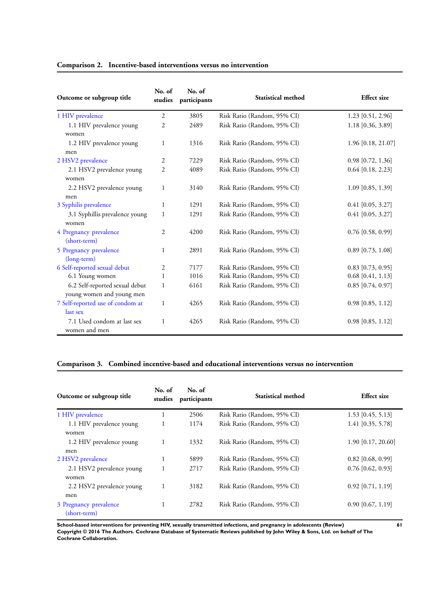|  | Comparison 2. Incentive-based interventions versus no intervention |  |  |
|--|--------------------------------------------------------------------|--|--|
|  |                                                                    |  |  |

| Outcome or subgroup title                                   | No. of<br>studies | No. of<br>participants | Statistical method          | <b>Effect</b> size  |
|-------------------------------------------------------------|-------------------|------------------------|-----------------------------|---------------------|
| 1 HIV prevalence                                            | 2                 | 3805                   | Risk Ratio (Random, 95% CI) | 1.23 [0.51, 2.96]   |
| 1.1 HIV prevalence young<br>women                           | $\mathfrak{2}$    | 2489                   | Risk Ratio (Random, 95% CI) | 1.18 [0.36, 3.89]   |
| 1.2 HIV prevalence young<br>men                             | $\mathbf{1}$      | 1316                   | Risk Ratio (Random, 95% CI) | 1.96 [0.18, 21.07]  |
| 2 HSV2 prevalence                                           | $\mathfrak{2}$    | 7229                   | Risk Ratio (Random, 95% CI) | $0.98$ [0.72, 1.36] |
| 2.1 HSV2 prevalence young<br>women                          | $\overline{2}$    | 4089                   | Risk Ratio (Random, 95% CI) | $0.64$ [0.18, 2.23] |
| 2.2 HSV2 prevalence young<br>men                            | $\mathbf{1}$      | 3140                   | Risk Ratio (Random, 95% CI) | $1.09$ [0.85, 1.39] |
| 3 Syphilis prevalence                                       | 1                 | 1291                   | Risk Ratio (Random, 95% CI) | $0.41$ [0.05, 3.27] |
| 3.1 Syphillis prevalence young<br>women                     | $\mathbf{1}$      | 1291                   | Risk Ratio (Random, 95% CI) | $0.41$ [0.05, 3.27] |
| 4 Pregnancy prevalence<br>(short-term)                      | $\overline{2}$    | 4200                   | Risk Ratio (Random, 95% CI) | $0.76$ [0.58, 0.99] |
| 5 Pregnancy prevalence<br>(long-term)                       | $\mathbf{1}$      | 2891                   | Risk Ratio (Random, 95% CI) | $0.89$ [0.73, 1.08] |
| 6 Self-reported sexual debut                                | 2                 | 7177                   | Risk Ratio (Random, 95% CI) | $0.83$ [0.73, 0.95] |
| 6.1 Young women                                             | 1                 | 1016                   | Risk Ratio (Random, 95% CI) | $0.68$ [0.41, 1.13] |
| 6.2 Self-reported sexual debut<br>young women and young men | $\mathbf{1}$      | 6161                   | Risk Ratio (Random, 95% CI) | $0.85$ [0.74, 0.97] |
| 7 Self-reported use of condom at<br>last sex                | 1                 | 4265                   | Risk Ratio (Random, 95% CI) | $0.98$ [0.85, 1.12] |
| 7.1 Used condom at last sex<br>women and men                | 1                 | 4265                   | Risk Ratio (Random, 95% CI) | $0.98$ [0.85, 1.12] |

### **Comparison 3. Combined incentive-based and educational interventions versus no intervention**

| Outcome or subgroup title              | No. of<br>studies | No. of<br>participants | Statistical method          | <b>Effect size</b>   |
|----------------------------------------|-------------------|------------------------|-----------------------------|----------------------|
| 1 HIV prevalence                       |                   | 2506                   | Risk Ratio (Random, 95% CI) | $1.53$ [0.45, 5.13]  |
| 1.1 HIV prevalence young<br>women      | 1                 | 1174                   | Risk Ratio (Random, 95% CI) | 1.41 [0.35, 5.78]    |
| 1.2 HIV prevalence young<br>men        | 1                 | 1332                   | Risk Ratio (Random, 95% CI) | $1.90$ [0.17, 20.60] |
| 2 HSV2 prevalence                      | 1                 | 5899                   | Risk Ratio (Random, 95% CI) | $0.82$ [0.68, 0.99]  |
| 2.1 HSV2 prevalence young<br>women     | 1                 | 2717                   | Risk Ratio (Random, 95% CI) | $0.76$ [0.62, 0.93]  |
| 2.2 HSV2 prevalence young<br>men       | 1                 | 3182                   | Risk Ratio (Random, 95% CI) | $0.92$ [0.71, 1.19]  |
| 3 Pregnancy prevalence<br>(short-term) | 1                 | 2782                   | Risk Ratio (Random, 95% CI) | $0.90$ [0.67, 1.19]  |

**School-based interventions for preventing HIV, sexually transmitted infections, and pregnancy in adolescents (Review) 61 Copyright © 2016 The Authors. Cochrane Database of Systematic Reviews published by John Wiley & Sons, Ltd. on behalf of The Cochrane Collaboration.**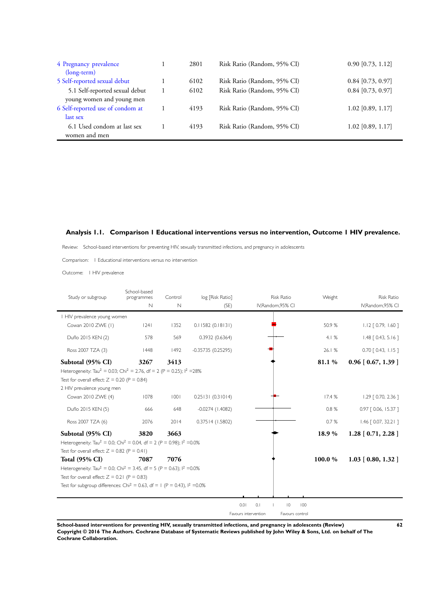| 4 Pregnancy prevalence<br>$(long-term)$                     | 2801 | Risk Ratio (Random, 95% CI) | $0.90$ [0.73, 1.12] |
|-------------------------------------------------------------|------|-----------------------------|---------------------|
| 5 Self-reported sexual debut                                | 6102 | Risk Ratio (Random, 95% CI) | $0.84$ [0.73, 0.97] |
| 5.1 Self-reported sexual debut<br>young women and young men | 6102 | Risk Ratio (Random, 95% CI) | $0.84$ [0.73, 0.97] |
| 6 Self-reported use of condom at<br>last sex                | 4193 | Risk Ratio (Random, 95% CI) | $1.02$ [0.89, 1.17] |
| 6.1 Used condom at last sex<br>women and men                | 4193 | Risk Ratio (Random, 95% CI) | $1.02$ [0.89, 1.17] |

### **Analysis 1.1. Comparison 1 Educational interventions versus no intervention, Outcome 1 HIV prevalence.**

Review: School-based interventions for preventing HIV, sexually transmitted infections, and pregnancy in adolescents

Comparison: 1 Educational interventions versus no intervention

Outcome: 1 HIV prevalence

| Study or subgroup                                                                                        | School-based<br>programmes | Control     | log [Risk Ratio]    |                      | Risk Ratio            | Weight | <b>Risk Ratio</b>           |
|----------------------------------------------------------------------------------------------------------|----------------------------|-------------|---------------------|----------------------|-----------------------|--------|-----------------------------|
|                                                                                                          | $\mathbb N$                | $\mathbb N$ | (SE)                |                      | IV,Random,95% CI      |        | IV, Random, 95% CI          |
| I HIV prevalence young women                                                                             |                            |             |                     |                      |                       |        |                             |
| Cowan 2010 ZWE (1)                                                                                       | 24                         | 1352        | 0.11582(0.18131)    |                      |                       | 50.9%  | $1.12$ $[0.79, 1.60]$       |
| Duflo 2015 KEN (2)                                                                                       | 578                        | 569         | 0.3932(0.6364)      |                      |                       | 4.1%   | $1.48$ $[0.43, 5.16]$       |
| Ross 2007 TZA (3)                                                                                        | 1448                       | 1492        | $-0.35735(0.25295)$ |                      |                       | 26.1%  | $0.70$ $[0.43, 1.15]$       |
| Subtotal (95% CI)                                                                                        | 3267                       | 3413        |                     |                      |                       | 81.1 % | $0.96$ [ 0.67, 1.39 ]       |
| Heterogeneity: Tau <sup>2</sup> = 0.03; Chi <sup>2</sup> = 2.76, df = 2 (P = 0.25); $1^2$ = 28%          |                            |             |                     |                      |                       |        |                             |
| Test for overall effect: $Z = 0.20$ (P = 0.84)                                                           |                            |             |                     |                      |                       |        |                             |
| 2 HIV prevalence young men                                                                               |                            |             |                     |                      |                       |        |                             |
| Cowan 2010 ZWE (4)                                                                                       | 1078                       | 00          | 0.25131(0.31014)    |                      |                       | 17.4 % | $1.29$ $[0.70, 2.36]$       |
| Duflo 2015 KEN (5)                                                                                       | 666                        | 648         | $-0.0274$ (1.4082)  |                      |                       | 0.8 %  | 0.97 [ 0.06, 15.37 ]        |
| Ross 2007 TZA (6)                                                                                        | 2076                       | 2014        | $0.37514$ (1.5802)  |                      |                       | 0.7%   | $1.46$ $[0.07, 32.21]$      |
| Subtotal (95% CI)                                                                                        | 3820                       | 3663        |                     |                      |                       | 18.9%  | $1.28 \mid 0.71, 2.28 \mid$ |
| Heterogeneity: Tau <sup>2</sup> = 0.0; Chi <sup>2</sup> = 0.04, df = 2 (P = 0.98); $I^2$ = 0.0%          |                            |             |                     |                      |                       |        |                             |
| Test for overall effect: $Z = 0.82$ (P = 0.41)                                                           |                            |             |                     |                      |                       |        |                             |
| <b>Total (95% CI)</b>                                                                                    | 7087                       | 7076        |                     |                      |                       | 100.0% | $1.03$ [ 0.80, 1.32 ]       |
| Heterogeneity: Tau <sup>2</sup> = 0.0; Chi <sup>2</sup> = 3.45, df = 5 (P = 0.63); l <sup>2</sup> = 0.0% |                            |             |                     |                      |                       |        |                             |
| Test for overall effect: $Z = 0.21$ (P = 0.83)                                                           |                            |             |                     |                      |                       |        |                             |
| Test for subgroup differences: Chi <sup>2</sup> = 0.63, df = 1 (P = 0.43), $1^2$ = 0.0%                  |                            |             |                     |                      |                       |        |                             |
|                                                                                                          |                            |             |                     |                      |                       |        |                             |
|                                                                                                          |                            |             |                     | 0.1<br>0.01          | $\overline{0}$<br>100 |        |                             |
|                                                                                                          |                            |             |                     | Favours intervention | Favours control       |        |                             |

**School-based interventions for preventing HIV, sexually transmitted infections, and pregnancy in adolescents (Review) 62 Copyright © 2016 The Authors. Cochrane Database of Systematic Reviews published by John Wiley & Sons, Ltd. on behalf of The Cochrane Collaboration.**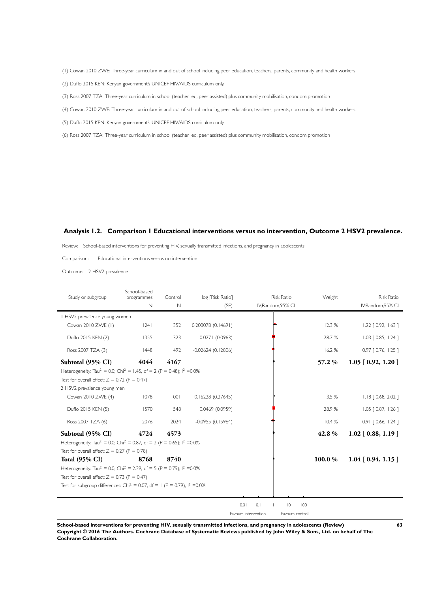<span id="page-65-0"></span>(1) Cowan 2010 ZWE: Three-year curriculum in and out of school including peer education, teachers, parents, community and health workers

(2) Duflo 2015 KEN: Kenyan government's UNICEF HIV/AIDS curriculum only.

(3) Ross 2007 TZA: Three-year curriculum in school (teacher led, peer assisted) plus community mobilisation, condom promotion

(4) Cowan 2010 ZWE: Three-year curriculum in and out of school including peer education, teachers, parents, community and health workers

(5) Duflo 2015 KEN: Kenyan government's UNICEF HIV/AIDS curriculum only.

(6) Ross 2007 TZA: Three-year curriculum in school (teacher led, peer assisted) plus community mobilisation, condom promotion

#### **Analysis 1.2. Comparison 1 Educational interventions versus no intervention, Outcome 2 HSV2 prevalence.**

Review: School-based interventions for preventing HIV, sexually transmitted infections, and pregnancy in adolescents

Comparison: 1 Educational interventions versus no intervention

Outcome: 2 HSV2 prevalence

| Study or subgroup                                                                                        | School-based<br>programmes | Control     | log [Risk Ratio]    | <b>Risk Ratio</b>                       | Weight | <b>Risk Ratio</b>     |
|----------------------------------------------------------------------------------------------------------|----------------------------|-------------|---------------------|-----------------------------------------|--------|-----------------------|
|                                                                                                          | $\mathbb N$                | $\mathbb N$ | (SE)                | IV,Random,95% CI                        |        | IV, Random, 95% CI    |
| HSV2 prevalence young women                                                                              |                            |             |                     |                                         |        |                       |
| Cowan 2010 ZWE (1)                                                                                       | 24                         | 1352        | 0.200078(0.14691)   |                                         | 12.3 % | $1.22$ $[0.92, 1.63]$ |
| Duflo 2015 KEN (2)                                                                                       | 1355                       | 1323        | 0.0271(0.0963)      |                                         | 28.7%  | $1.03$ $[0.85, 1.24]$ |
| Ross 2007 TZA (3)                                                                                        | 448                        | 1492        | $-0.02624(0.12806)$ |                                         | 16.2%  | $0.97$ $[0.76, 1.25]$ |
| Subtotal (95% CI)                                                                                        | 4044                       | 4167        |                     |                                         | 57.2 % | $1.05$ [ 0.92, 1.20 ] |
| Heterogeneity: Tau <sup>2</sup> = 0.0; Chi <sup>2</sup> = 1.45, df = 2 (P = 0.48); l <sup>2</sup> = 0.0% |                            |             |                     |                                         |        |                       |
| Test for overall effect: $Z = 0.72$ (P = 0.47)                                                           |                            |             |                     |                                         |        |                       |
| 2 HSV2 prevalence young men                                                                              |                            |             |                     |                                         |        |                       |
| Cowan 2010 ZWE (4)                                                                                       | 1078                       | 1001        | 0.16228 (0.27645)   |                                         | 3.5 %  | $1.18$ $[0.68, 2.02]$ |
| Duflo 2015 KEN (5)                                                                                       | 1570                       | 1548        | 0.0469 (0.0959)     |                                         | 28.9%  | $1.05$ $[0.87, 1.26]$ |
| Ross 2007 TZA (6)                                                                                        | 2076                       | 2024        | $-0.0955(0.15964)$  |                                         | 10.4%  | $0.91$ $[0.66, 1.24]$ |
| Subtotal (95% CI)                                                                                        | 4724                       | 4573        |                     |                                         | 42.8%  | $1.02$ [ 0.88, 1.19 ] |
| Heterogeneity: Tau <sup>2</sup> = 0.0; Chi <sup>2</sup> = 0.87, df = 2 (P = 0.65); l <sup>2</sup> = 0.0% |                            |             |                     |                                         |        |                       |
| Test for overall effect: $Z = 0.27$ (P = 0.78)                                                           |                            |             |                     |                                         |        |                       |
| <b>Total (95% CI)</b>                                                                                    | 8768                       | 8740        |                     |                                         | 100.0% | $1.04$ [ 0.94, 1.15 ] |
| Heterogeneity: Tau <sup>2</sup> = 0.0; Chi <sup>2</sup> = 2.39, df = 5 (P = 0.79); l <sup>2</sup> = 0.0% |                            |             |                     |                                         |        |                       |
| Test for overall effect: $Z = 0.73$ (P = 0.47)                                                           |                            |             |                     |                                         |        |                       |
| Test for subgroup differences: Chi <sup>2</sup> = 0.07, df = 1 (P = 0.79), $1^2$ = 0.0%                  |                            |             |                     |                                         |        |                       |
|                                                                                                          |                            |             |                     |                                         |        |                       |
|                                                                                                          |                            |             |                     | 0.1<br>0.01<br>$\overline{0}$<br>100    |        |                       |
|                                                                                                          |                            |             |                     | Favours intervention<br>Favours control |        |                       |

**School-based interventions for preventing HIV, sexually transmitted infections, and pregnancy in adolescents (Review) 63 Copyright © 2016 The Authors. Cochrane Database of Systematic Reviews published by John Wiley & Sons, Ltd. on behalf of The Cochrane Collaboration.**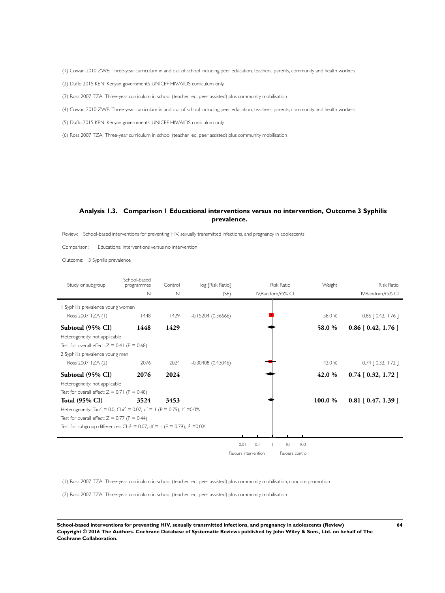<span id="page-66-0"></span>(1) Cowan 2010 ZWE: Three-year curriculum in and out of school including peer education, teachers, parents, community and health workers

(2) Duflo 2015 KEN: Kenyan government's UNICEF HIV/AIDS curriculum only.

(3) Ross 2007 TZA: Three-year curriculum in school (teacher led, peer assisted) plus community mobilisation

(4) Cowan 2010 ZWE: Three-year curriculum in and out of school including peer education, teachers, parents, community and health workers

(5) Duflo 2015 KEN: Kenyan government's UNICEF HIV/AIDS curriculum only.

(6) Ross 2007 TZA: Three-year curriculum in school (teacher led, peer assisted) plus community mobilisation

#### **Analysis 1.3. Comparison 1 Educational interventions versus no intervention, Outcome 3 Syphilis prevalence.**

Review: School-based interventions for preventing HIV, sexually transmitted infections, and pregnancy in adolescents

Comparison: 1 Educational interventions versus no intervention

Outcome: 3 Syphilis prevalence

| Study or subgroup                                                                                        | School-based<br>programmes<br>N | Control<br>$\mathbb N$ | log [Risk Ratio]<br>(SE) |                      | <b>Risk Ratio</b><br>IV, Random, 95% CI | Weight  | <b>Risk Ratio</b><br>IV, Random, 95% CI |
|----------------------------------------------------------------------------------------------------------|---------------------------------|------------------------|--------------------------|----------------------|-----------------------------------------|---------|-----------------------------------------|
| Syphillis prevalence young women                                                                         |                                 |                        |                          |                      |                                         |         |                                         |
| Ross 2007 TZA (1)                                                                                        | 1448                            | 1429                   | $-0.15204(0.36666)$      |                      |                                         | 58.0 %  | $0.86$ $[0.42, 1.76]$                   |
| Subtotal (95% CI)                                                                                        | 1448                            | 1429                   |                          |                      |                                         | 58.0 %  | $0.86$ [ $0.42$ , 1.76 ]                |
| Heterogeneity: not applicable                                                                            |                                 |                        |                          |                      |                                         |         |                                         |
| Test for overall effect: $Z = 0.41$ (P = 0.68)                                                           |                                 |                        |                          |                      |                                         |         |                                         |
| 2 Syphillis prevalence young men                                                                         |                                 |                        |                          |                      |                                         |         |                                         |
| Ross 2007 TZA (2)                                                                                        | 2076                            | 2024                   | $-0.30408(0.43046)$      |                      |                                         | 42.0 %  | $0.74$ $[0.32, 1.72]$                   |
| Subtotal (95% CI)                                                                                        | 2076                            | 2024                   |                          |                      |                                         | 42.0 %  | $0.74$ [ 0.32, 1.72 ]                   |
| Heterogeneity: not applicable                                                                            |                                 |                        |                          |                      |                                         |         |                                         |
| Test for overall effect: $Z = 0.71$ (P = 0.48)                                                           |                                 |                        |                          |                      |                                         |         |                                         |
| <b>Total (95% CI)</b>                                                                                    | 3524                            | 3453                   |                          |                      |                                         | 100.0 % | $0.81$ [ $0.47, 1.39$ ]                 |
| Heterogeneity: Tau <sup>2</sup> = 0.0; Chi <sup>2</sup> = 0.07, df = 1 (P = 0.79); l <sup>2</sup> = 0.0% |                                 |                        |                          |                      |                                         |         |                                         |
| Test for overall effect: $Z = 0.77$ (P = 0.44)                                                           |                                 |                        |                          |                      |                                         |         |                                         |
| Test for subgroup differences: Chi <sup>2</sup> = 0.07, df = 1 (P = 0.79), $1^2$ = 0.0%                  |                                 |                        |                          |                      |                                         |         |                                         |
|                                                                                                          |                                 |                        |                          |                      |                                         |         |                                         |
|                                                                                                          |                                 |                        |                          | 0.1<br>0.01          | $\overline{0}$<br>100                   |         |                                         |
|                                                                                                          |                                 |                        |                          | Favours intervention | Favours control                         |         |                                         |

(1) Ross 2007 TZA: Three-year curriculum in school (teacher led, peer assisted) plus community mobilisation, condom promotion

(2) Ross 2007 TZA: Three-year curriculum in school (teacher led, peer assisted) plus community mobilisation

**School-based interventions for preventing HIV, sexually transmitted infections, and pregnancy in adolescents (Review) 64 Copyright © 2016 The Authors. Cochrane Database of Systematic Reviews published by John Wiley & Sons, Ltd. on behalf of The Cochrane Collaboration.**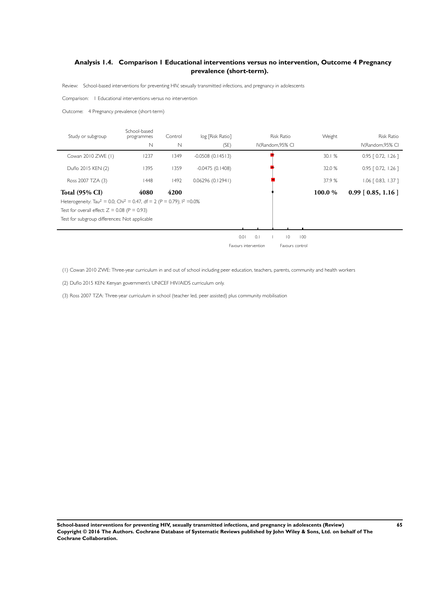### **Analysis 1.4. Comparison 1 Educational interventions versus no intervention, Outcome 4 Pregnancy prevalence (short-term).**

Review: School-based interventions for preventing HIV, sexually transmitted infections, and pregnancy in adolescents

Comparison: 1 Educational interventions versus no intervention

Outcome: 4 Pregnancy prevalence (short-term)

| Study or subgroup                                                                                                                                                                                                                    | School-based<br>programmes<br>$\mathbb N$ | Control<br>N | log [Risk Ratio]<br>(SE) | <b>Risk Ratio</b><br>IV.Random.95% CI | Weight | <b>Risk Ratio</b><br>IV, Random, 95% CI |
|--------------------------------------------------------------------------------------------------------------------------------------------------------------------------------------------------------------------------------------|-------------------------------------------|--------------|--------------------------|---------------------------------------|--------|-----------------------------------------|
| Cowan 2010 ZWE (1)                                                                                                                                                                                                                   | 1237                                      | 1349         | $-0.0508(0.14513)$       |                                       | 30.1%  | $0.95$ $[0.72, 1.26]$                   |
| Duflo 2015 KEN (2)                                                                                                                                                                                                                   | 1395                                      | 1359         | $-0.0475(0.1408)$        |                                       | 32.0 % | $0.95$ $[0.72, 1.26]$                   |
| Ross 2007 TZA (3)                                                                                                                                                                                                                    | 1448                                      | 1492         | 0.06296(0.12941)         |                                       | 37.9 % | $1.06$ $[0.83, 1.37]$                   |
| <b>Total (95% CI)</b><br>Heterogeneity: Tau <sup>2</sup> = 0.0; Chi <sup>2</sup> = 0.47, df = 2 (P = 0.79); l <sup>2</sup> = 0.0%<br>Test for overall effect: $Z = 0.08$ (P = 0.93)<br>Test for subgroup differences: Not applicable | 4080                                      | 4200         |                          |                                       | 100.0% | $0.99$ [ 0.85, 1.16 ]                   |
|                                                                                                                                                                                                                                      |                                           |              |                          | 0.01<br>0.1<br>$\overline{0}$         | 100    |                                         |

Favours intervention Favours control

(1) Cowan 2010 ZWE: Three-year curriculum in and out of school including peer education, teachers, parents, community and health workers

(2) Duflo 2015 KEN: Kenyan government's UNICEF HIV/AIDS curriculum only.

(3) Ross 2007 TZA: Three-year curriculum in school (teacher led, peer assisted) plus community mobilisation

**School-based interventions for preventing HIV, sexually transmitted infections, and pregnancy in adolescents (Review) 65 Copyright © 2016 The Authors. Cochrane Database of Systematic Reviews published by John Wiley & Sons, Ltd. on behalf of The Cochrane Collaboration.**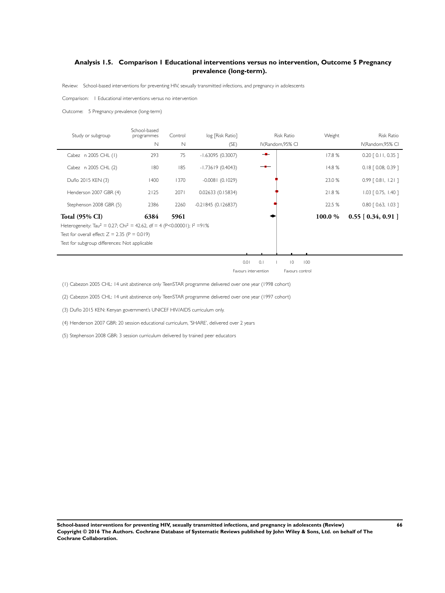### <span id="page-68-0"></span>**Analysis 1.5. Comparison 1 Educational interventions versus no intervention, Outcome 5 Pregnancy prevalence (long-term).**

Review: School-based interventions for preventing HIV, sexually transmitted infections, and pregnancy in adolescents

Comparison: 1 Educational interventions versus no intervention

Outcome: 5 Pregnancy prevalence (long-term)

| Study or subgroup                                                                                 | School-based<br>programmes<br>$\mathbb N$ | Control<br>N | log [Risk Ratio]<br>(SE) |             | Risk Ratio<br>IV, Random, 95% CI | Weight  | <b>Risk Ratio</b><br>IV, Random, 95% CI |
|---------------------------------------------------------------------------------------------------|-------------------------------------------|--------------|--------------------------|-------------|----------------------------------|---------|-----------------------------------------|
|                                                                                                   |                                           |              |                          |             |                                  |         |                                         |
| Cabez n 2005 CHL (1)                                                                              | 293                                       | 75           | $-1.63095(0.3007)$       |             |                                  | 17.8 %  | $0.20$ $\lceil 0.11, 0.35 \rceil$       |
| Cabez n 2005 CHL (2)                                                                              | 180                                       | 185          | $-1.73619(0.4043)$       |             |                                  | 14.8%   | $0.18$ $[0.08, 0.39]$                   |
| Duflo 2015 KEN (3)                                                                                | 1400                                      | 1370         | $-0.008$ $(0.1029)$      |             |                                  | 23.0 %  | $0.99$ $[0.81, 1.21]$                   |
| Henderson 2007 GBR (4)                                                                            | 2125                                      | 2071         | 0.02633(0.15834)         |             |                                  | 21.8%   | $1.03$ $[0.75, 1.40]$                   |
| Stephenson 2008 GBR (5)                                                                           | 2386                                      | 2260         | $-0.21845(0.126837)$     |             |                                  | 22.5 %  | $0.80$ $[0.63, 1.03]$                   |
| <b>Total (95% CI)</b>                                                                             | 6384                                      | 5961         |                          |             |                                  | 100.0 % | $0.55$ [ $0.34$ , $0.91$ ]              |
| Heterogeneity: Tau <sup>2</sup> = 0.27; Chi <sup>2</sup> = 42.62, df = 4 (P<0.00001); $1^2$ = 91% |                                           |              |                          |             |                                  |         |                                         |
| Test for overall effect: $Z = 2.35$ (P = 0.019)                                                   |                                           |              |                          |             |                                  |         |                                         |
| Test for subgroup differences: Not applicable                                                     |                                           |              |                          |             |                                  |         |                                         |
|                                                                                                   |                                           |              |                          |             |                                  |         |                                         |
|                                                                                                   |                                           |              |                          | 0.1<br>0.01 | 100<br>$\overline{0}$            |         |                                         |

Favours intervention Favours control

(1) Cabezon 2005 CHL: 14 unit abstinence only TeenSTAR programme delivered over one year (1998 cohor t)

(2) Cabezon 2005 CHL: 14 unit abstinence only TeenSTAR programme delivered over one year (1997 cohort)

(3) Duflo 2015 KEN: Kenyan government's UNICEF HIV/AIDS curriculum only.

(4) Henderson 2007 GBR: 20 session educational curriculum, 'SHARE', delivered over 2 years

(5) Stephenson 2008 GBR: 3 session curriculum delivered by trained peer educators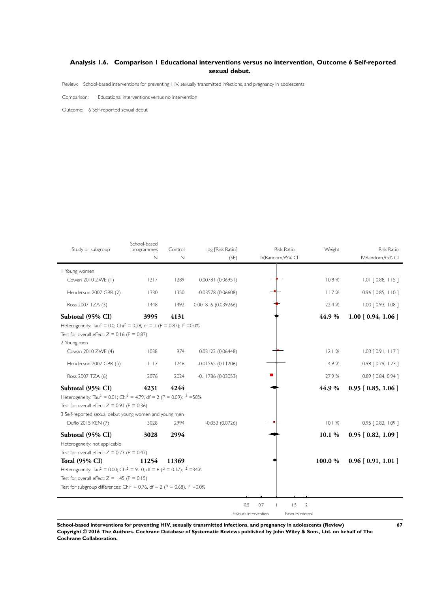### <span id="page-69-0"></span>**Analysis 1.6. Comparison 1 Educational interventions versus no intervention, Outcome 6 Self-reported sexual debut.**

Review: School-based interventions for preventing HIV, sexually transmitted infections, and pregnancy in adolescents

Comparison: 1 Educational interventions versus no intervention

Outcome: 6 Self-reported sexual debut

| Study or subgroup                                                                               | School-based<br>programmes | Control     | log [Risk Ratio]    | <b>Risk Ratio</b>                       | Weight | <b>Risk Ratio</b>        |
|-------------------------------------------------------------------------------------------------|----------------------------|-------------|---------------------|-----------------------------------------|--------|--------------------------|
|                                                                                                 | N                          | $\mathbb N$ | (SE)                | IV,Random,95% CI                        |        | IV, Random, 95% CI       |
| I Young women                                                                                   |                            |             |                     |                                         |        |                          |
| Cowan 2010 ZWE (1)                                                                              | 1217                       | 1289        | 0.00781(0.06951)    |                                         | 10.8%  | $1.01$ $[0.88, 1.15]$    |
| Henderson 2007 GBR (2)                                                                          | 1330                       | 1350        | $-0.03578(0.06608)$ |                                         | 11.7%  | 0.96 [ 0.85, 1.10 ]      |
| Ross 2007 TZA (3)                                                                               | 1448                       | 1492        | 0.001816 (0.039266) |                                         | 22.4 % | $1.00$ $[0.93, 1.08]$    |
| Subtotal (95% CI)                                                                               | 3995                       | 4131        |                     |                                         | 44.9%  | $1.00$ [ 0.94, 1.06 ]    |
| Heterogeneity: Tau <sup>2</sup> = 0.0; Chi <sup>2</sup> = 0.28, df = 2 (P = 0.87); $1^2$ = 0.0% |                            |             |                     |                                         |        |                          |
| Test for overall effect: $Z = 0.16$ (P = 0.87)                                                  |                            |             |                     |                                         |        |                          |
| 2 Young men                                                                                     |                            |             |                     |                                         |        |                          |
| Cowan 2010 ZWE (4)                                                                              | 1038                       | 974         | 0.03122 (0.06448)   |                                         | 12.1%  | $1.03$ $[0.91, 1.17]$    |
| Henderson 2007 GBR (5)                                                                          | 1117                       | 1246        | $-0.01565(0.11206)$ |                                         | 4.9%   | 0.98 [ 0.79, 1.23 ]      |
| Ross 2007 TZA (6)                                                                               | 2076                       | 2024        | $-0.11786(0.03053)$ |                                         | 27.9%  | 0.89 [ 0.84, 0.94 ]      |
| Subtotal (95% CI)                                                                               | 4231                       | 4244        |                     |                                         | 44.9%  | $0.95$ [ $0.85$ , 1.06 ] |
| Heterogeneity: Tau <sup>2</sup> = 0.01; Chi <sup>2</sup> = 4.79, df = 2 (P = 0.09); $1^2$ =58%  |                            |             |                     |                                         |        |                          |
| Test for overall effect: $Z = 0.91$ (P = 0.36)                                                  |                            |             |                     |                                         |        |                          |
| 3 Self-reported sexual debut young women and young men                                          |                            |             |                     |                                         |        |                          |
| Duflo 2015 KEN (7)                                                                              | 3028                       | 2994        | $-0.053(0.0726)$    |                                         | 10.1%  | 0.95 [ 0.82, 1.09 ]      |
| Subtotal (95% CI)                                                                               | 3028                       | 2994        |                     |                                         | 10.1%  | $0.95$ [ 0.82, 1.09 ]    |
| Heterogeneity: not applicable                                                                   |                            |             |                     |                                         |        |                          |
| Test for overall effect: $Z = 0.73$ (P = 0.47)                                                  |                            |             |                     |                                         |        |                          |
| <b>Total (95% CI)</b>                                                                           | 11254                      | 11369       |                     |                                         | 100.0% | $0.96$ [ $0.91, 1.01$ ]  |
| Heterogeneity: Tau <sup>2</sup> = 0.00; Chi <sup>2</sup> = 9.10, df = 6 (P = 0.17); $1^2$ =34%  |                            |             |                     |                                         |        |                          |
| Test for overall effect: $Z = 1.45$ (P = 0.15)                                                  |                            |             |                     |                                         |        |                          |
| Test for subgroup differences: Chi <sup>2</sup> = 0.76, df = 2 (P = 0.68), $1^2$ = 0.0%         |                            |             |                     |                                         |        |                          |
|                                                                                                 |                            |             |                     |                                         |        |                          |
|                                                                                                 |                            |             |                     | 0.7<br>1.5<br>0.5<br>$\overline{2}$     |        |                          |
|                                                                                                 |                            |             |                     | Favours intervention<br>Favours control |        |                          |

**School-based interventions for preventing HIV, sexually transmitted infections, and pregnancy in adolescents (Review) 67 Copyright © 2016 The Authors. Cochrane Database of Systematic Reviews published by John Wiley & Sons, Ltd. on behalf of The Cochrane Collaboration.**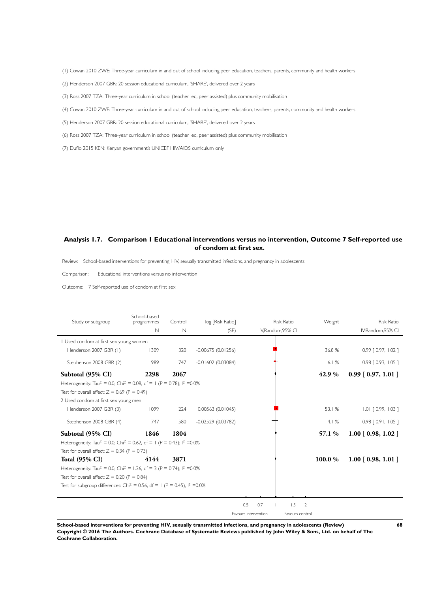- (1) Cowan 2010 ZWE: Three-year curriculum in and out of school including peer education, teachers, parents, community and health workers
- (2) Henderson 2007 GBR: 20 session educational curriculum, 'SHARE', delivered over 2 years
- (3) Ross 2007 TZA: Three-year curriculum in school (teacher led, peer assisted) plus community mobilisation
- (4) Cowan 2010 ZWE: Three-year curriculum in and out of school including peer education, teachers, parents, community and health workers
- (5) Henderson 2007 GBR: 20 session educational curriculum, 'SHARE', delivered over 2 years
- (6) Ross 2007 TZA: Three-year curriculum in school (teacher led, peer assisted) plus community mobilisation
- (7) Duflo 2015 KEN: Kenyan government's UNICEF HIV/AIDS curriculum only

#### **Analysis 1.7. Comparison 1 Educational interventions versus no intervention, Outcome 7 Self-reported use of condom at first sex.**

Review: School-based interventions for preventing HIV, sexually transmitted infections, and pregnancy in adolescents

Comparison: 1 Educational interventions versus no intervention

Outcome: 7 Self-reported use of condom at first sex

| Study or subgroup                                                                                        | School-based<br>programmes | Control     | log [Risk Ratio]    |                      | <b>Risk Ratio</b>   | Weight  | <b>Risk Ratio</b>     |
|----------------------------------------------------------------------------------------------------------|----------------------------|-------------|---------------------|----------------------|---------------------|---------|-----------------------|
|                                                                                                          | N                          | $\mathbb N$ | (SE)                |                      | IV, Random, 95% CI  |         | IV,Random,95% CI      |
| I Used condom at first sex young women                                                                   |                            |             |                     |                      |                     |         |                       |
| Henderson 2007 GBR (1)                                                                                   | 1309                       | 1320        | $-0.00675(0.01256)$ |                      |                     | 36.8%   | $0.99$ $[0.97, 1.02]$ |
| Stephenson 2008 GBR (2)                                                                                  | 989                        | 747         | $-0.01602(0.03084)$ |                      |                     | 6.1%    | 0.98 [ 0.93, 1.05 ]   |
| Subtotal (95% CI)                                                                                        | 2298                       | 2067        |                     |                      |                     | 42.9 %  | $0.99$ [ 0.97, 1.01 ] |
| Heterogeneity: Tau <sup>2</sup> = 0.0; Chi <sup>2</sup> = 0.08, df = 1 (P = 0.78); l <sup>2</sup> = 0.0% |                            |             |                     |                      |                     |         |                       |
| Test for overall effect: $Z = 0.69$ (P = 0.49)                                                           |                            |             |                     |                      |                     |         |                       |
| 2 Used condom at first sex young men                                                                     |                            |             |                     |                      |                     |         |                       |
| Henderson 2007 GBR (3)                                                                                   | 1099                       | 1224        | 0.00563(0.01045)    |                      |                     | 53.1 %  | $1.01$ $[0.99, 1.03]$ |
| Stephenson 2008 GBR (4)                                                                                  | 747                        | 580         | $-0.02529(0.03782)$ |                      |                     | 4.1%    | $0.98$ $[0.91, 1.05]$ |
| Subtotal (95% CI)                                                                                        | 1846                       | 1804        |                     |                      |                     | 57.1 %  | $1.00$ [ 0.98, 1.02 ] |
| Heterogeneity: Tau <sup>2</sup> = 0.0; Chi <sup>2</sup> = 0.62, df = 1 (P = 0.43); $1^2$ = 0.0%          |                            |             |                     |                      |                     |         |                       |
| Test for overall effect: $Z = 0.34$ (P = 0.73)                                                           |                            |             |                     |                      |                     |         |                       |
| Total $(95\% \text{ CI})$                                                                                | 4144                       | 3871        |                     |                      |                     | 100.0 % | $1.00$ [ 0.98, 1.01 ] |
| Heterogeneity: Tau <sup>2</sup> = 0.0; Chi <sup>2</sup> = 1.26, df = 3 (P = 0.74); l <sup>2</sup> = 0.0% |                            |             |                     |                      |                     |         |                       |
| Test for overall effect: $Z = 0.20$ (P = 0.84)                                                           |                            |             |                     |                      |                     |         |                       |
| Test for subgroup differences: Chi <sup>2</sup> = 0.56, df = 1 (P = 0.45), $1^2$ = 0.0%                  |                            |             |                     |                      |                     |         |                       |
|                                                                                                          |                            |             |                     |                      |                     |         |                       |
|                                                                                                          |                            |             |                     | 0.7<br>0.5           | 1.5<br><sup>2</sup> |         |                       |
|                                                                                                          |                            |             |                     | Favours intervention | Favours control     |         |                       |

**School-based interventions for preventing HIV, sexually transmitted infections, and pregnancy in adolescents (Review) 68 Copyright © 2016 The Authors. Cochrane Database of Systematic Reviews published by John Wiley & Sons, Ltd. on behalf of The Cochrane Collaboration.**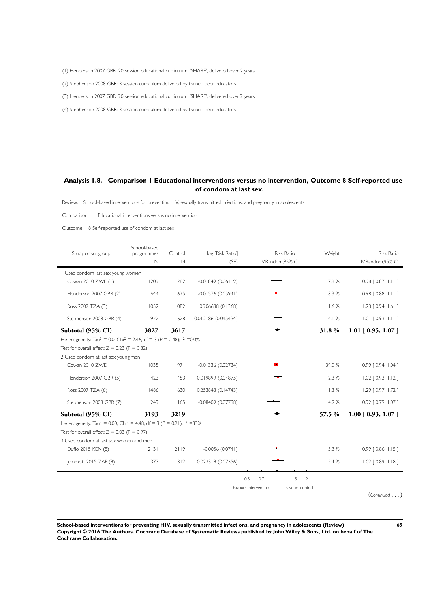- <span id="page-71-0"></span>(1) Henderson 2007 GBR: 20 session educational curriculum, 'SHARE', delivered over 2 years
- (2) Stephenson 2008 GBR: 3 session curriculum delivered by trained peer educators
- (3) Henderson 2007 GBR: 20 session educational curriculum, 'SHARE', delivered over 2 years
- (4) Stephenson 2008 GBR: 3 session curriculum delivered by trained peer educators

#### **Analysis 1.8. Comparison 1 Educational interventions versus no intervention, Outcome 8 Self-reported use of condom at last sex.**

Review: School-based interventions for preventing HIV, sexually transmitted infections, and pregnancy in adolescents

Comparison: 1 Educational interventions versus no intervention

Outcome: 8 Self-reported use of condom at last sex

| Study or subgroup                                                                                        | School-based<br>programmes | Control     | log [Risk Ratio]    | Risk Ratio                              | Weight | <b>Risk Ratio</b>     |
|----------------------------------------------------------------------------------------------------------|----------------------------|-------------|---------------------|-----------------------------------------|--------|-----------------------|
|                                                                                                          | $\mathbb N$                | $\mathbb N$ | (SE)                | IV, Random, 95% CI                      |        | IV, Random, 95% CI    |
| I Used condom last sex young women                                                                       |                            |             |                     |                                         |        |                       |
| Cowan 2010 ZWE (1)                                                                                       | 1209                       | 1282        | $-0.01849(0.06119)$ |                                         | 7.8 %  | 0.98 [ 0.87, 1.11 ]   |
| Henderson 2007 GBR (2)                                                                                   | 644                        | 625         | $-0.01576(0.05941)$ |                                         | 8.3 %  | $0.98$ $[0.88, 1.11]$ |
| Ross 2007 TZA (3)                                                                                        | 1052                       | 1082        | 0.206638 (0.1368)   |                                         | 1.6%   | $1.23$ $[0.94, 1.61]$ |
| Stephenson 2008 GBR (4)                                                                                  | 922                        | 628         | 0.012186 (0.045434) |                                         | 14.1%  | $1.01$ $[0.93, 1.11]$ |
| Subtotal (95% CI)                                                                                        | 3827                       | 3617        |                     |                                         | 31.8%  | $1.01$ [ 0.95, 1.07 ] |
| Heterogeneity: Tau <sup>2</sup> = 0.0; Chi <sup>2</sup> = 2.46, df = 3 (P = 0.48); l <sup>2</sup> = 0.0% |                            |             |                     |                                         |        |                       |
| Test for overall effect: $Z = 0.23$ (P = 0.82)                                                           |                            |             |                     |                                         |        |                       |
| 2 Used condom at last sex young men                                                                      |                            |             |                     |                                         |        |                       |
| Cowan 2010 ZWE                                                                                           | 1035                       | 971         | $-0.01336(0.02734)$ |                                         | 39.0 % | 0.99 [ 0.94, 1.04 ]   |
| Henderson 2007 GBR (5)                                                                                   | 423                        | 453         | 0.019899 (0.04875)  |                                         | 12.3 % | $1.02$ [ 0.93, 1.12 ] |
| Ross 2007 TZA (6)                                                                                        | 1486                       | 1630        | 0.253843 (0.14743)  |                                         | 1.3%   | 1.29 [ 0.97, 1.72 ]   |
| Stephenson 2008 GBR (7)                                                                                  | 249                        | 165         | $-0.08409(0.07738)$ |                                         | 4.9%   | $0.92$ $[0.79, 1.07]$ |
| Subtotal (95% CI)                                                                                        | 3193                       | 3219        |                     |                                         | 57.5 % | $1.00$ [ 0.93, 1.07 ] |
| Heterogeneity: Tau <sup>2</sup> = 0.00; Chi <sup>2</sup> = 4.48, df = 3 (P = 0.21); l <sup>2</sup> =33%  |                            |             |                     |                                         |        |                       |
| Test for overall effect: $Z = 0.03$ (P = 0.97)                                                           |                            |             |                     |                                         |        |                       |
| 3 Used condom at last sex women and men                                                                  |                            |             |                     |                                         |        |                       |
| Duflo 2015 KEN (8)                                                                                       | 2131                       | 2119        | $-0.0056(0.0741)$   |                                         | 5.3 %  | $0.99$ $[0.86, 1.15]$ |
| Jemmott 2015 ZAF (9)                                                                                     | 377                        | 312         | 0.023319 (0.07356)  |                                         | 5.4 %  | $1.02$ $[0.89, 1.18]$ |
|                                                                                                          |                            |             |                     | 0.5<br>0.7<br>1.5<br>$\overline{2}$     |        |                       |
|                                                                                                          |                            |             |                     | Favours intervention<br>Favours control |        |                       |
|                                                                                                          |                            |             |                     |                                         |        |                       |

(*Continued* ... )

**School-based interventions for preventing HIV, sexually transmitted infections, and pregnancy in adolescents (Review) 69 Copyright © 2016 The Authors. Cochrane Database of Systematic Reviews published by John Wiley & Sons, Ltd. on behalf of The Cochrane Collaboration.**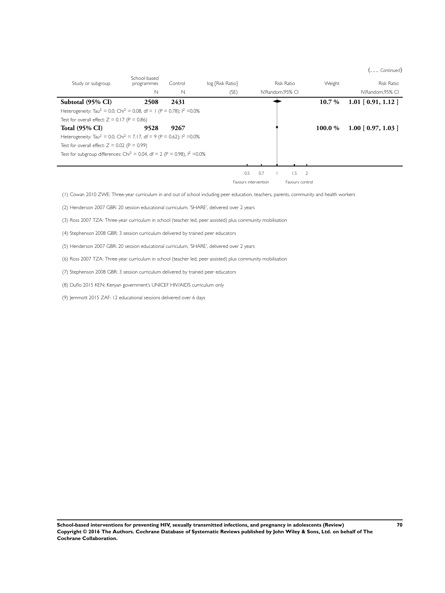(... *Continued*)

| Study or subgroup                                                                                        | School-based<br>programmes | Control     | log [Risk Ratio] |                      | <b>Risk Ratio</b>  | Weight   | <b>Risk Ratio</b>     |
|----------------------------------------------------------------------------------------------------------|----------------------------|-------------|------------------|----------------------|--------------------|----------|-----------------------|
|                                                                                                          | $\mathbb N$                | $\mathbb N$ | (SE)             |                      | IV, Random, 95% CI |          | IV, Random, 95% CI    |
| Subtotal (95% CI)                                                                                        | 2508                       | 2431        |                  |                      |                    | $10.7\%$ | $1.01$ [ 0.91, 1.12 ] |
| Heterogeneity: Tau <sup>2</sup> = 0.0; Chi <sup>2</sup> = 0.08, df = 1 (P = 0.78); l <sup>2</sup> = 0.0% |                            |             |                  |                      |                    |          |                       |
| Test for overall effect: $Z = 0.17$ (P = 0.86)                                                           |                            |             |                  |                      |                    |          |                       |
| Total $(95\% \text{ CI})$                                                                                | 9528                       | 9267        |                  |                      |                    | 100.0 %  | $1.00$ [ 0.97, 1.03 ] |
| Heterogeneity: Tau <sup>2</sup> = 0.0; Chi <sup>2</sup> = 7.17, df = 9 (P = 0.62); l <sup>2</sup> = 0.0% |                            |             |                  |                      |                    |          |                       |
| Test for overall effect: $Z = 0.02$ (P = 0.99)                                                           |                            |             |                  |                      |                    |          |                       |
| Test for subgroup differences: Chi <sup>2</sup> = 0.04, df = 2 (P = 0.98), $1^2$ = 0.0%                  |                            |             |                  |                      |                    |          |                       |
|                                                                                                          |                            |             |                  |                      |                    |          |                       |
|                                                                                                          |                            |             | 0.5              | 0.7                  | $1.5 \t 2$         |          |                       |
|                                                                                                          |                            |             |                  | Favours intervention | Favours control    |          |                       |

(1) Cowan 2010 ZWE: Three-year curriculum in and out of school including peer education, teachers, parents, community and health workers

(2) Henderson 2007 GBR: 20 session educational curriculum, 'SHARE', delivered over 2 years

(3) Ross 2007 TZA: Three-year curriculum in school (teacher led, peer assisted) plus community mobilisation

(4) Stephenson 2008 GBR: 3 session curriculum delivered by trained peer educators

(5) Henderson 2007 GBR: 20 session educational curriculum, 'SHARE', delivered over 2 years

(6) Ross 2007 TZA: Three-year curriculum in school (teacher led, peer assisted) plus community mobilisation

(7) Stephenson 2008 GBR: 3 session curriculum delivered by trained peer educators

(8) Duflo 2015 KEN: Kenyan government's UNICEF HIV/AIDS curriculum only

(9) Jemmott 2015 ZAF: 12 educational sessions delivered over 6 days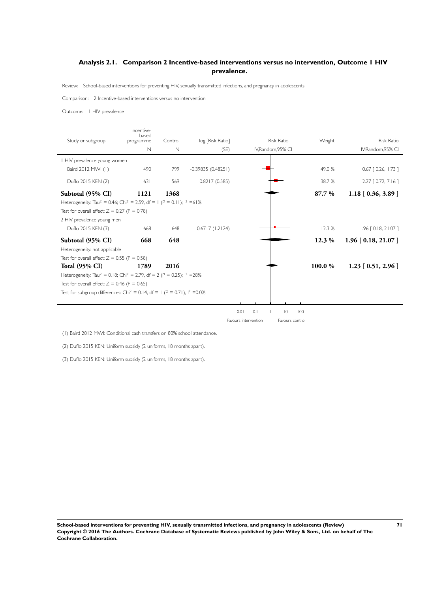# **Analysis 2.1. Comparison 2 Incentive-based interventions versus no intervention, Outcome 1 HIV prevalence.**

Review: School-based interventions for preventing HIV, sexually transmitted infections, and pregnancy in adolescents

Comparison: 2 Incentive-based interventions versus no intervention

Outcome: 1 HIV prevalence

| Study or subgroup                                                                               | Incentive-<br>based<br>programme | Control | log [Risk Ratio]    | <b>Risk Ratio</b>                    | Weight  | <b>Risk Ratio</b>      |
|-------------------------------------------------------------------------------------------------|----------------------------------|---------|---------------------|--------------------------------------|---------|------------------------|
|                                                                                                 | N                                | N       | (SE)                | IV, Random, 95% CI                   |         | IV, Random, 95% CI     |
| HIV prevalence young women                                                                      |                                  |         |                     |                                      |         |                        |
| Baird 2012 MWI (1)                                                                              | 490                              | 799     | $-0.39835(0.48251)$ |                                      | 49.0 %  | $0.67$ [ 0.26, 1.73 ]  |
| Duflo 2015 KEN (2)                                                                              | 631                              | 569     | 0.8217(0.585)       |                                      | 38.7 %  | $2.27$ [ 0.72, 7.16 ]  |
| Subtotal (95% CI)                                                                               | 1121                             | 1368    |                     |                                      | 87.7 %  | $1.18$ [ 0.36, 3.89 ]  |
| Heterogeneity: Tau <sup>2</sup> = 0.46; Chi <sup>2</sup> = 2.59, df = 1 (P = 0.11); $1^2$ =61%  |                                  |         |                     |                                      |         |                        |
| Test for overall effect: $Z = 0.27$ (P = 0.78)                                                  |                                  |         |                     |                                      |         |                        |
| 2 HIV prevalence young men                                                                      |                                  |         |                     |                                      |         |                        |
| Duflo 2015 KEN (3)                                                                              | 668                              | 648     | 0.6717(1.2124)      |                                      | 12.3%   | $1.96$ $[0.18, 21.07]$ |
| Subtotal (95% CI)                                                                               | 668                              | 648     |                     |                                      | 12.3%   | $1.96$ [ 0.18, 21.07 ] |
| Heterogeneity: not applicable                                                                   |                                  |         |                     |                                      |         |                        |
| Test for overall effect: $Z = 0.55$ (P = 0.58)                                                  |                                  |         |                     |                                      |         |                        |
| <b>Total (95% CI)</b>                                                                           | 1789                             | 2016    |                     |                                      | 100.0 % | $1.23$ [ 0.51, 2.96 ]  |
| Heterogeneity: Tau <sup>2</sup> = 0.18; Chi <sup>2</sup> = 2.79, df = 2 (P = 0.25); $1^2$ = 28% |                                  |         |                     |                                      |         |                        |
| Test for overall effect: $Z = 0.46$ (P = 0.65)                                                  |                                  |         |                     |                                      |         |                        |
| Test for subgroup differences: Chi <sup>2</sup> = 0.14, df = 1 (P = 0.71), $1^2$ =0.0%          |                                  |         |                     |                                      |         |                        |
|                                                                                                 |                                  |         |                     |                                      |         |                        |
|                                                                                                 |                                  |         |                     | 0.01<br>0.1<br>100<br>$\overline{0}$ |         |                        |

Favours intervention Favours control

(1) Baird 2012 MWI: Conditional cash transfers on 80% school attendance.

(2) Duflo 2015 KEN: Uniform subsidy (2 uniforms, 18 months apart).

(3) Duflo 2015 KEN: Uniform subsidy (2 uniforms, 18 months apart).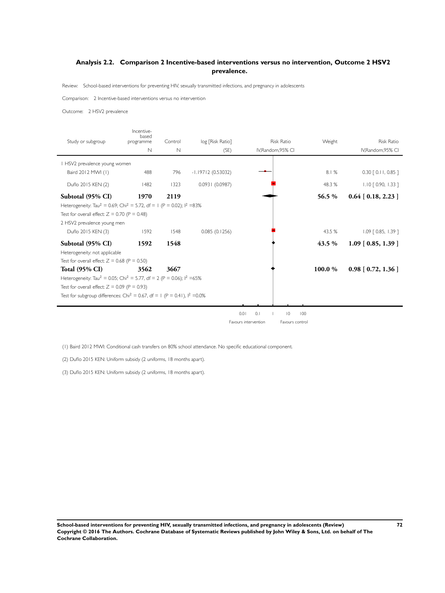# **Analysis 2.2. Comparison 2 Incentive-based interventions versus no intervention, Outcome 2 HSV2 prevalence.**

Review: School-based interventions for preventing HIV, sexually transmitted infections, and pregnancy in adolescents

Comparison: 2 Incentive-based interventions versus no intervention

Outcome: 2 HSV2 prevalence

| Study or subgroup                                                                                                                                                                                     | Incentive-<br>based<br>programme<br>N | Control<br>$\mathbb N$ | log [Risk Ratio]<br>(SE) | IV, Random, 95% CI                  | <b>Risk Ratio</b>                         | Weight | <b>Risk Ratio</b><br>IV, Random, 95% CI |
|-------------------------------------------------------------------------------------------------------------------------------------------------------------------------------------------------------|---------------------------------------|------------------------|--------------------------|-------------------------------------|-------------------------------------------|--------|-----------------------------------------|
| I HSV2 prevalence young women                                                                                                                                                                         |                                       |                        |                          |                                     |                                           |        |                                         |
| Baird 2012 MWI (1)                                                                                                                                                                                    | 488                                   | 796                    | $-1.19712(0.53032)$      |                                     |                                           | 8.1%   | $0.30$ $[0.11, 0.85]$                   |
| Duflo 2015 KEN (2)                                                                                                                                                                                    | 1482                                  | 1323                   | 0.0931 (0.0987)          |                                     |                                           | 48.3 % | $1.10$ $[0.90, 1.33]$                   |
| Subtotal (95% CI)                                                                                                                                                                                     | 1970                                  | 2119                   |                          |                                     |                                           | 56.5 % | $0.64$ [ $0.18$ , 2.23 ]                |
| Heterogeneity: Tau <sup>2</sup> = 0.69; Chi <sup>2</sup> = 5.72, df = 1 (P = 0.02); $1^2$ =83%<br>Test for overall effect: $Z = 0.70$ (P = 0.48)<br>2 HSV2 prevalence young men<br>Duflo 2015 KEN (3) | 1592                                  | 1548                   | 0.085(0.1256)            |                                     |                                           | 43.5 % | 1.09 [ 0.85, 1.39 ]                     |
| Subtotal (95% CI)<br>Heterogeneity: not applicable<br>Test for overall effect: $Z = 0.68$ (P = 0.50)                                                                                                  | 1592                                  | 1548                   |                          |                                     |                                           | 43.5 % | $1.09$ [ 0.85, 1.39 ]                   |
| <b>Total (95% CI)</b>                                                                                                                                                                                 | 3562                                  | 3667                   |                          |                                     |                                           | 100.0% | $0.98$ [ 0.72, 1.36 ]                   |
| Heterogeneity: Tau <sup>2</sup> = 0.05; Chi <sup>2</sup> = 5.77, df = 2 (P = 0.06); $1^2$ =65%                                                                                                        |                                       |                        |                          |                                     |                                           |        |                                         |
| Test for overall effect: $Z = 0.09$ (P = 0.93)                                                                                                                                                        |                                       |                        |                          |                                     |                                           |        |                                         |
| Test for subgroup differences: Chi <sup>2</sup> = 0.67, df = 1 (P = 0.41), $1^2$ = 0.0%                                                                                                               |                                       |                        |                          |                                     |                                           |        |                                         |
|                                                                                                                                                                                                       |                                       |                        |                          | 0.1<br>0.01<br>Favours intervention | 100<br>$\overline{10}$<br>Favours control |        |                                         |

(1) Baird 2012 MWI: Conditional cash transfers on 80% school attendance. No specific educational component.

(2) Duflo 2015 KEN: Uniform subsidy (2 uniforms, 18 months apart).

(3) Duflo 2015 KEN: Uniform subsidy (2 uniforms, 18 months apart).

**School-based interventions for preventing HIV, sexually transmitted infections, and pregnancy in adolescents (Review) 72 Copyright © 2016 The Authors. Cochrane Database of Systematic Reviews published by John Wiley & Sons, Ltd. on behalf of The Cochrane Collaboration.**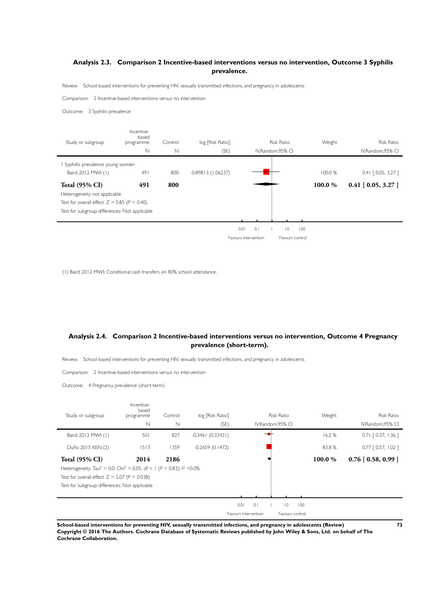### **Analysis 2.3. Comparison 2 Incentive-based interventions versus no intervention, Outcome 3 Syphilis prevalence.**

Review: School-based interventions for preventing HIV, sexually transmitted infections, and pregnancy in adolescents

Comparison: 2 Incentive-based interventions versus no intervention

Outcome: 3 Syphilis prevalence



(1) Baird 2012 MWI: Conditional cash transfers on 80% school attendance.

### **Analysis 2.4. Comparison 2 Incentive-based interventions versus no intervention, Outcome 4 Pregnancy prevalence (short-term).**

Review: School-based interventions for preventing HIV, sexually transmitted infections, and pregnancy in adolescents

Comparison: 2 Incentive-based interventions versus no intervention

Outcome: 4 Pregnancy prevalence (short-term)

| Study or subgroup                                                                                        | Incentive-<br>based<br>programme<br>$\mathbb N$ | Control<br>$\mathbb N$ | log [Risk Ratio]<br>(SE) |                      |     | <b>Risk Ratio</b><br>IV, Random, 95% CI |                 | Weight  | <b>Risk Ratio</b><br>IV, Random, 95% CI |
|----------------------------------------------------------------------------------------------------------|-------------------------------------------------|------------------------|--------------------------|----------------------|-----|-----------------------------------------|-----------------|---------|-----------------------------------------|
| Baird 2012 MWI (1)                                                                                       | 501                                             | 827                    | $-0.3461(0.33421)$       |                      |     |                                         |                 | 16.2%   | $0.71$ $[0.37, 1.36]$                   |
| Duflo 2015 KEN (2)                                                                                       | 1513                                            | 1359                   | $-0.2659(0.1472)$        |                      |     |                                         |                 | 83.8%   | $0.77$ $[0.57, 1.02]$                   |
| <b>Total (95% CI)</b>                                                                                    | 2014                                            | 2186                   |                          |                      |     |                                         |                 | 100.0 % | $0.76$ [ 0.58, 0.99 ]                   |
| Heterogeneity: Tau <sup>2</sup> = 0.0; Chi <sup>2</sup> = 0.05, df = 1 (P = 0.83); l <sup>2</sup> = 0.0% |                                                 |                        |                          |                      |     |                                         |                 |         |                                         |
| Test for overall effect: $Z = 2.07$ (P = 0.038)                                                          |                                                 |                        |                          |                      |     |                                         |                 |         |                                         |
| Test for subgroup differences: Not applicable                                                            |                                                 |                        |                          |                      |     |                                         |                 |         |                                         |
|                                                                                                          |                                                 |                        |                          |                      |     |                                         |                 |         |                                         |
|                                                                                                          |                                                 |                        |                          | 0.01                 | 0.1 | $\overline{0}$                          | 100             |         |                                         |
|                                                                                                          |                                                 |                        |                          | Favours intervention |     |                                         | Favours control |         |                                         |

**School-based interventions for preventing HIV, sexually transmitted infections, and pregnancy in adolescents (Review) 73 Copyright © 2016 The Authors. Cochrane Database of Systematic Reviews published by John Wiley & Sons, Ltd. on behalf of The Cochrane Collaboration.**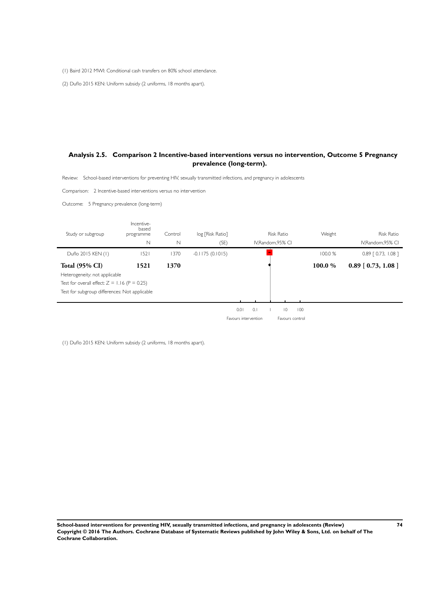(1) Baird 2012 MWI: Conditional cash transfers on 80% school attendance.

(2) Duflo 2015 KEN: Uniform subsidy (2 uniforms, 18 months apart).

### **Analysis 2.5. Comparison 2 Incentive-based interventions versus no intervention, Outcome 5 Pregnancy prevalence (long-term).**

Review: School-based interventions for preventing HIV, sexually transmitted infections, and pregnancy in adolescents

Comparison: 2 Incentive-based interventions versus no intervention

Outcome: 5 Pregnancy prevalence (long-term)



(1) Duflo 2015 KEN: Uniform subsidy (2 uniforms, 18 months apart).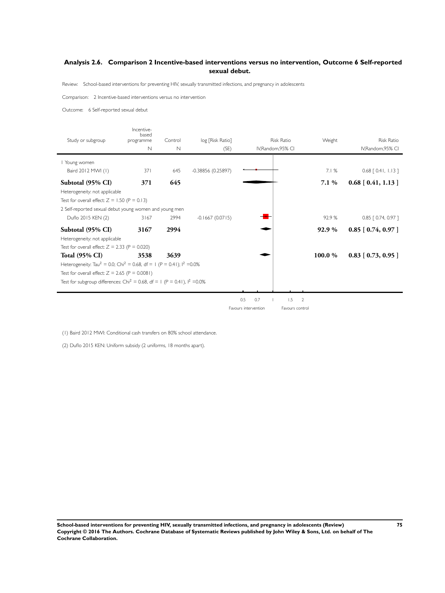# **Analysis 2.6. Comparison 2 Incentive-based interventions versus no intervention, Outcome 6 Self-reported sexual debut.**

Review: School-based interventions for preventing HIV, sexually transmitted infections, and pregnancy in adolescents

Comparison: 2 Incentive-based interventions versus no intervention

Outcome: 6 Self-reported sexual debut

| Study or subgroup                                                                                             | Incentive-<br>based<br>programme<br>$\mathbb N$ | Control<br>N | log [Risk Ratio]<br>(SE) |     |                      | <b>Risk Ratio</b><br>IV, Random, 95% CI | Weight  | <b>Risk Ratio</b><br>IV, Random, 95% CI |
|---------------------------------------------------------------------------------------------------------------|-------------------------------------------------|--------------|--------------------------|-----|----------------------|-----------------------------------------|---------|-----------------------------------------|
| Young women                                                                                                   |                                                 |              |                          |     |                      |                                         |         |                                         |
| Baird 2012 MWI (1)                                                                                            | 371                                             | 645          | $-0.38856(0.25897)$      |     |                      |                                         | 7.1%    | $0.68$ [ $0.41$ , $1.13$ ]              |
| Subtotal (95% CI)                                                                                             | 371                                             | 645          |                          |     |                      |                                         | $7.1\%$ | $0.68$ [ $0.41$ , 1.13 ]                |
| Heterogeneity: not applicable                                                                                 |                                                 |              |                          |     |                      |                                         |         |                                         |
| Test for overall effect: $Z = 1.50$ (P = 0.13)                                                                |                                                 |              |                          |     |                      |                                         |         |                                         |
| 2 Self-reported sexual debut young women and young men                                                        |                                                 |              |                          |     |                      |                                         |         |                                         |
| Duflo 2015 KEN (2)                                                                                            | 3167                                            | 2994         | $-0.1667(0.0715)$        |     |                      |                                         | 92.9%   | $0.85$ $[0.74, 0.97]$                   |
| Subtotal (95% CI)                                                                                             | 3167                                            | 2994         |                          |     |                      |                                         | 92.9%   | $0.85$ [ $0.74$ , $0.97$ ]              |
| Heterogeneity: not applicable                                                                                 |                                                 |              |                          |     |                      |                                         |         |                                         |
| Test for overall effect: $Z = 2.33$ (P = 0.020)                                                               |                                                 |              |                          |     |                      |                                         |         |                                         |
| <b>Total (95% CI)</b>                                                                                         | 3538                                            | 3639         |                          |     |                      |                                         | 100.0%  | $0.83$ [ 0.73, 0.95 ]                   |
| Heterogeneity: Tau <sup>2</sup> = 0.0; Chi <sup>2</sup> = 0.68, df = 1 (P = 0.41); $\mid$ <sup>2</sup> = 0.0% |                                                 |              |                          |     |                      |                                         |         |                                         |
| Test for overall effect: $Z = 2.65$ (P = 0.0081)                                                              |                                                 |              |                          |     |                      |                                         |         |                                         |
| Test for subgroup differences: Chi <sup>2</sup> = 0.68, df = 1 (P = 0.41), $1^2$ = 0.0%                       |                                                 |              |                          |     |                      |                                         |         |                                         |
|                                                                                                               |                                                 |              |                          |     |                      |                                         |         |                                         |
|                                                                                                               |                                                 |              |                          | 0.5 | 0.7                  | 1.5<br>2                                |         |                                         |
|                                                                                                               |                                                 |              |                          |     | Favours intervention | Favours control                         |         |                                         |

(1) Baird 2012 MWI: Conditional cash transfers on 80% school attendance.

(2) Duflo 2015 KEN: Uniform subsidy (2 uniforms, 18 months apart).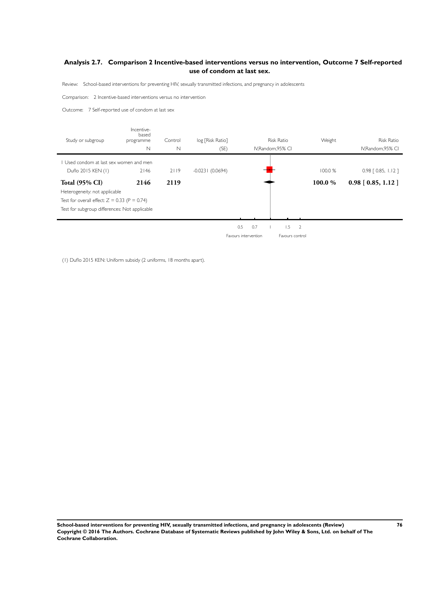### **Analysis 2.7. Comparison 2 Incentive-based interventions versus no intervention, Outcome 7 Self-reported use of condom at last sex.**

Review: School-based interventions for preventing HIV, sexually transmitted infections, and pregnancy in adolescents

Comparison: 2 Incentive-based interventions versus no intervention

Outcome: 7 Self-reported use of condom at last sex



(1) Duflo 2015 KEN: Uniform subsidy (2 uniforms, 18 months apart).

**School-based interventions for preventing HIV, sexually transmitted infections, and pregnancy in adolescents (Review) 76 Copyright © 2016 The Authors. Cochrane Database of Systematic Reviews published by John Wiley & Sons, Ltd. on behalf of The Cochrane Collaboration.**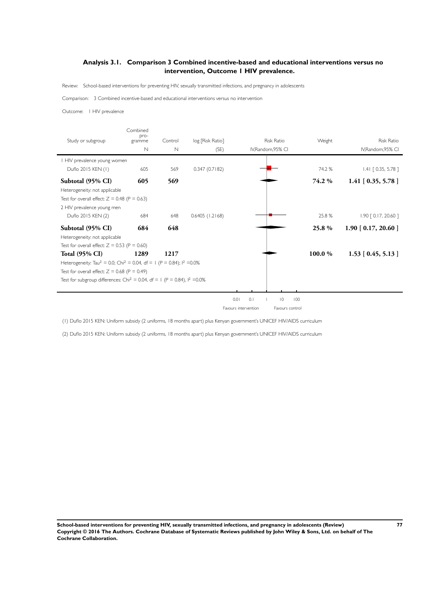## **Analysis 3.1. Comparison 3 Combined incentive-based and educational interventions versus no intervention, Outcome 1 HIV prevalence.**

Review: School-based interventions for preventing HIV, sexually transmitted infections, and pregnancy in adolescents

Comparison: 3 Combined incentive-based and educational interventions versus no intervention

Outcome: 1 HIV prevalence

| Study or subgroup                                                                               | Combined<br>pro-<br>gramme<br>$\mathbb N$ | Control<br>N | log [Risk Ratio]<br>(SE) | <b>Risk Ratio</b><br>IV, Random, 95% CI | Weight | <b>Risk Ratio</b><br>IV, Random, 95% CI |
|-------------------------------------------------------------------------------------------------|-------------------------------------------|--------------|--------------------------|-----------------------------------------|--------|-----------------------------------------|
| I HIV prevalence young women                                                                    |                                           |              |                          |                                         |        |                                         |
| Duflo 2015 KEN (1)                                                                              | 605                                       | 569          | 0.347(0.7182)            |                                         | 74.2 % | $1.41$ $[0.35, 5.78]$                   |
| Subtotal (95% CI)                                                                               | 605                                       | 569          |                          |                                         | 74.2 % | $1.41$ [ 0.35, 5.78 ]                   |
| Heterogeneity: not applicable                                                                   |                                           |              |                          |                                         |        |                                         |
| Test for overall effect: $Z = 0.48$ (P = 0.63)                                                  |                                           |              |                          |                                         |        |                                         |
| 2 HIV prevalence young men                                                                      |                                           |              |                          |                                         |        |                                         |
| Duflo 2015 KEN (2)                                                                              | 684                                       | 648          | $0.6405$ (1.2168)        |                                         | 25.8 % | 1.90 [ 0.17, 20.60 ]                    |
| Subtotal (95% CI)                                                                               | 684                                       | 648          |                          |                                         | 25.8 % | $1.90$ [ 0.17, 20.60 ]                  |
| Heterogeneity: not applicable                                                                   |                                           |              |                          |                                         |        |                                         |
| Test for overall effect: $Z = 0.53$ (P = 0.60)                                                  |                                           |              |                          |                                         |        |                                         |
| <b>Total (95% CI)</b>                                                                           | 1289                                      | 1217         |                          |                                         | 100.0% | $1.53$ [ 0.45, 5.13 ]                   |
| Heterogeneity: Tau <sup>2</sup> = 0.0; Chi <sup>2</sup> = 0.04, df = 1 (P = 0.84); $1^2$ = 0.0% |                                           |              |                          |                                         |        |                                         |
| Test for overall effect: $Z = 0.68$ (P = 0.49)                                                  |                                           |              |                          |                                         |        |                                         |
| Test for subgroup differences: Chi <sup>2</sup> = 0.04, df = 1 (P = 0.84), $1^2$ = 0.0%         |                                           |              |                          |                                         |        |                                         |
|                                                                                                 |                                           |              |                          |                                         |        |                                         |
|                                                                                                 |                                           |              |                          | 0.01<br>0.1<br>$\overline{10}$<br>100   |        |                                         |

Favours intervention Favours control

(1) Duflo 2015 KEN: Uniform subsidy (2 uniforms, 18 months apar t) plus Kenyan government's UNICEF HIV/AIDS curriculum

(2) Duflo 2015 KEN: Uniform subsidy (2 uniforms, 18 months apar t) plus Kenyan government's UNICEF HIV/AIDS curriculum

**School-based interventions for preventing HIV, sexually transmitted infections, and pregnancy in adolescents (Review) 77 Copyright © 2016 The Authors. Cochrane Database of Systematic Reviews published by John Wiley & Sons, Ltd. on behalf of The Cochrane Collaboration.**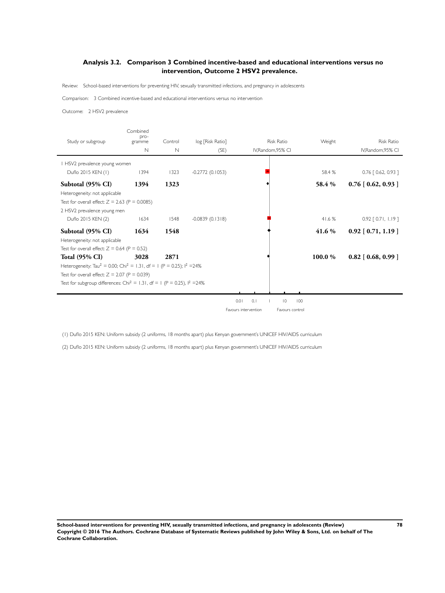## **Analysis 3.2. Comparison 3 Combined incentive-based and educational interventions versus no intervention, Outcome 2 HSV2 prevalence.**

Review: School-based interventions for preventing HIV, sexually transmitted infections, and pregnancy in adolescents

Comparison: 3 Combined incentive-based and educational interventions versus no intervention

Outcome: 2 HSV2 prevalence

| Study or subgroup                                                                              | Combined<br>pro-<br>gramme<br>$\mathbb N$ | Control<br>$\mathbb N$ | log [Risk Ratio]<br>(SE) | <b>Risk Ratio</b><br>IV, Random, 95% CI | Weight        | <b>Risk Ratio</b><br>IV, Random, 95% CI |
|------------------------------------------------------------------------------------------------|-------------------------------------------|------------------------|--------------------------|-----------------------------------------|---------------|-----------------------------------------|
| HSV2 prevalence young women                                                                    |                                           |                        |                          |                                         |               |                                         |
| Duflo 2015 KEN (1)                                                                             | 1394                                      | 1323                   | $-0.2772(0.1053)$        |                                         | 58.4 %        | $0.76$ $[0.62, 0.93]$                   |
| Subtotal (95% CI)                                                                              | 1394                                      | 1323                   |                          |                                         | <b>58.4</b> % | $0.76$ [ 0.62, 0.93 ]                   |
| Heterogeneity: not applicable                                                                  |                                           |                        |                          |                                         |               |                                         |
| Test for overall effect: $Z = 2.63$ (P = 0.0085)                                               |                                           |                        |                          |                                         |               |                                         |
| 2 HSV2 prevalence young men                                                                    |                                           |                        |                          |                                         |               |                                         |
| Duflo 2015 KEN (2)                                                                             | 1634                                      | 1548                   | $-0.0839(0.1318)$        |                                         | 41.6%         | $0.92$ [ 0.71, 1.19 ]                   |
| Subtotal (95% CI)                                                                              | 1634                                      | 1548                   |                          |                                         | 41.6 %        | $0.92$ [ 0.71, 1.19 ]                   |
| Heterogeneity: not applicable                                                                  |                                           |                        |                          |                                         |               |                                         |
| Test for overall effect: $Z = 0.64$ (P = 0.52)                                                 |                                           |                        |                          |                                         |               |                                         |
| <b>Total (95% CI)</b>                                                                          | 3028                                      | 2871                   |                          |                                         | 100.0 %       | $0.82$ [ 0.68, 0.99 ]                   |
| Heterogeneity: Tau <sup>2</sup> = 0.00; Chi <sup>2</sup> = 1.31, df = 1 (P = 0.25); $1^2$ =24% |                                           |                        |                          |                                         |               |                                         |
| Test for overall effect: $Z = 2.07$ (P = 0.039)                                                |                                           |                        |                          |                                         |               |                                         |
| Test for subgroup differences: Chi <sup>2</sup> = 1.31, df = 1 (P = 0.25), $1^2$ =24%          |                                           |                        |                          |                                         |               |                                         |
|                                                                                                |                                           |                        |                          |                                         |               |                                         |
|                                                                                                |                                           |                        |                          | 0.01<br>0.1<br>$\overline{0}$<br>100    |               |                                         |

Favours intervention Favours control

(1) Duflo 2015 KEN: Uniform subsidy (2 uniforms, 18 months apart) plus Kenyan government's UNICEF HIV/AIDS curriculum

(2) Duflo 2015 KEN: Uniform subsidy (2 uniforms, 18 months apar t) plus Kenyan government's UNICEF HIV/AIDS curriculum

**School-based interventions for preventing HIV, sexually transmitted infections, and pregnancy in adolescents (Review) 78 Copyright © 2016 The Authors. Cochrane Database of Systematic Reviews published by John Wiley & Sons, Ltd. on behalf of The Cochrane Collaboration.**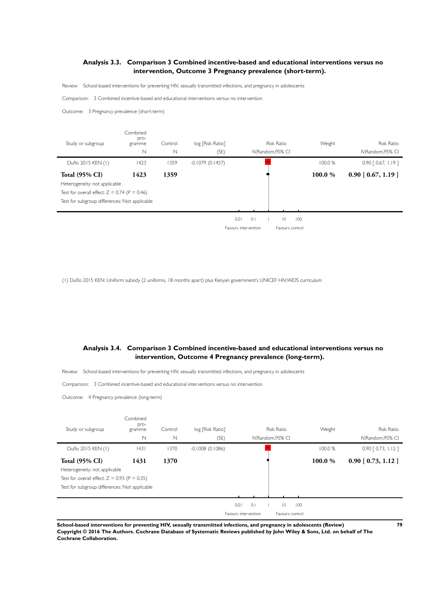### **Analysis 3.3. Comparison 3 Combined incentive-based and educational interventions versus no intervention, Outcome 3 Pregnancy prevalence (short-term).**

Review: School-based interventions for preventing HIV, sexually transmitted infections, and pregnancy in adolescents

Comparison: 3 Combined incentive-based and educational interventions versus no intervention

Outcome: 3 Pregnancy prevalence (short-term)

| Study or subgroup                              | Combined<br>pro-<br>gramme<br>$\mathbb N$ | Control<br>N | log [Risk Ratio]<br>(SE) | <b>Risk Ratio</b><br>IV.Random.95% CI   | Weight  | <b>Risk Ratio</b><br>IV.Random.95% CI |
|------------------------------------------------|-------------------------------------------|--------------|--------------------------|-----------------------------------------|---------|---------------------------------------|
| Duflo 2015 KEN (1)                             | 1423                                      | 1359         | $-0.1079(0.1457)$        |                                         | 100.0 % | $0.90$ $[0.67, 1.19]$                 |
| <b>Total (95% CI)</b>                          | 1423                                      | 1359         |                          |                                         | 100.0%  | $0.90$ [ 0.67, 1.19 ]                 |
| Heterogeneity: not applicable                  |                                           |              |                          |                                         |         |                                       |
| Test for overall effect: $Z = 0.74$ (P = 0.46) |                                           |              |                          |                                         |         |                                       |
| Test for subgroup differences: Not applicable  |                                           |              |                          |                                         |         |                                       |
|                                                |                                           |              |                          |                                         |         |                                       |
|                                                |                                           |              |                          | 0.01<br>0.1<br>$\overline{0}$           | 100     |                                       |
|                                                |                                           |              |                          | Favours intervention<br>Favours control |         |                                       |

(1) Duflo 2015 KEN: Uniform subsidy (2 uniforms, 18 months apart) plus Kenyan government's UNICEF HIV/AIDS curriculum

## **Analysis 3.4. Comparison 3 Combined incentive-based and educational interventions versus no intervention, Outcome 4 Pregnancy prevalence (long-term).**

Review: School-based interventions for preventing HIV, sexually transmitted infections, and pregnancy in adolescents

Comparison: 3 Combined incentive-based and educational interventions versus no intervention

Outcome: 4 Pregnancy prevalence (long-term)

| Study or subgroup                              | Combined<br>pro-<br>gramme<br>N | Control<br>N | log [Risk Ratio]<br>(SE) |                      | <b>Risk Ratio</b><br>IV, Random, 95% CI | Weight    | <b>Risk Ratio</b><br>IV, Random, 95% CI |
|------------------------------------------------|---------------------------------|--------------|--------------------------|----------------------|-----------------------------------------|-----------|-----------------------------------------|
| Duflo 2015 KEN (1)                             | 43                              | 1370         | $-0.1008(0.1086)$        |                      |                                         | 100.0%    | $0.90$ $[0.73, 1.12]$                   |
| <b>Total (95% CI)</b>                          | 1431                            | 1370         |                          |                      |                                         | 100.0 $%$ | $0.90$ [ 0.73, 1.12 ]                   |
| Heterogeneity: not applicable                  |                                 |              |                          |                      |                                         |           |                                         |
| Test for overall effect: $Z = 0.93$ (P = 0.35) |                                 |              |                          |                      |                                         |           |                                         |
| Test for subgroup differences: Not applicable  |                                 |              |                          |                      |                                         |           |                                         |
|                                                |                                 |              |                          |                      |                                         |           |                                         |
|                                                |                                 |              |                          | 0.1<br>0.01          | $\overline{0}$                          | 100       |                                         |
|                                                |                                 |              |                          | Favours intervention | Favours control                         |           |                                         |

**School-based interventions for preventing HIV, sexually transmitted infections, and pregnancy in adolescents (Review) 79 Copyright © 2016 The Authors. Cochrane Database of Systematic Reviews published by John Wiley & Sons, Ltd. on behalf of The Cochrane Collaboration.**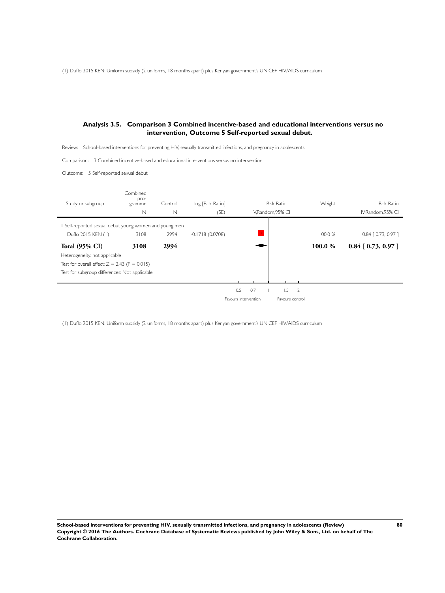(1) Duflo 2015 KEN: Uniform subsidy (2 uniforms, 18 months apart) plus Kenyan government's UNICEF HIV/AIDS curriculum

### **Analysis 3.5. Comparison 3 Combined incentive-based and educational interventions versus no intervention, Outcome 5 Self-reported sexual debut.**

Review: School-based interventions for preventing HIV, sexually transmitted infections, and pregnancy in adolescents

Comparison: 3 Combined incentive-based and educational interventions versus no intervention

Outcome: 5 Self-reported sexual debut

| Study or subgroup                                    | Combined<br>pro-<br>gramme<br>$\mathbb N$ | Control<br>$\mathbb N$ | log [Risk Ratio]<br>(SE) |                      |     | <b>Risk Ratio</b><br>IV, Random, 95% CI | Weight | <b>Risk Ratio</b><br>IV, Random, 95% CI |
|------------------------------------------------------|-------------------------------------------|------------------------|--------------------------|----------------------|-----|-----------------------------------------|--------|-----------------------------------------|
| Self-reported sexual debut young women and young men |                                           |                        |                          |                      |     |                                         |        |                                         |
| Duflo 2015 KEN (1)                                   | 3108                                      | 2994                   | $-0.1718(0.0708)$        |                      |     |                                         | 100.0% | $0.84$ $[0.73, 0.97]$                   |
| <b>Total (95% CI)</b>                                | 3108                                      | 2994                   |                          |                      |     |                                         | 100.0% | $0.84$ [ 0.73, 0.97 ]                   |
| Heterogeneity: not applicable                        |                                           |                        |                          |                      |     |                                         |        |                                         |
| Test for overall effect: $Z = 2.43$ (P = 0.015)      |                                           |                        |                          |                      |     |                                         |        |                                         |
| Test for subgroup differences: Not applicable        |                                           |                        |                          |                      |     |                                         |        |                                         |
|                                                      |                                           |                        |                          |                      |     |                                         |        |                                         |
|                                                      |                                           |                        |                          | 0.5                  | 0.7 | $1.5 \t 2$                              |        |                                         |
|                                                      |                                           |                        |                          | Favours intervention |     | Favours control                         |        |                                         |

(1) Duflo 2015 KEN: Uniform subsidy (2 uniforms, 18 months apar t) plus Kenyan government's UNICEF HIV/AIDS curriculum

**School-based interventions for preventing HIV, sexually transmitted infections, and pregnancy in adolescents (Review) 80 Copyright © 2016 The Authors. Cochrane Database of Systematic Reviews published by John Wiley & Sons, Ltd. on behalf of The Cochrane Collaboration.**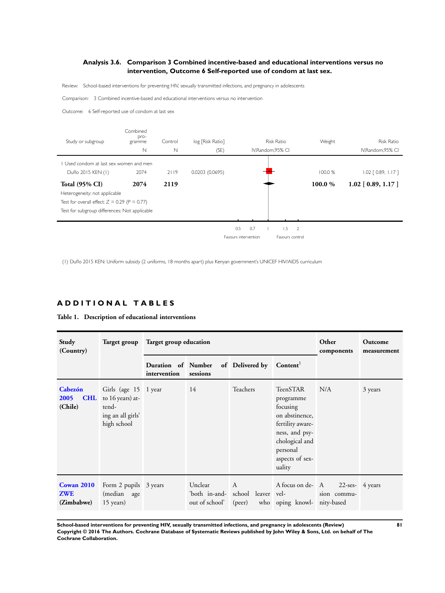### **Analysis 3.6. Comparison 3 Combined incentive-based and educational interventions versus no intervention, Outcome 6 Self-reported use of condom at last sex.**

Review: School-based interventions for preventing HIV, sexually transmitted infections, and pregnancy in adolescents

Comparison: 3 Combined incentive-based and educational interventions versus no intervention

Outcome: 6 Self-reported use of condom at last sex



(1) Duflo 2015 KEN: Uniform subsidy (2 uniforms, 18 months apar t) plus Kenyan government's UNICEF HIV/AIDS curriculum

# **A D D I T I O N A L T A B L E S**

### **Table 1. Description of educational interventions**

| Study<br>(Country)                       |                                                                                       | Target group Target group education |                                                                     | Other<br>components               | Outcome<br>measurement                                                                                                                               |                                                 |         |
|------------------------------------------|---------------------------------------------------------------------------------------|-------------------------------------|---------------------------------------------------------------------|-----------------------------------|------------------------------------------------------------------------------------------------------------------------------------------------------|-------------------------------------------------|---------|
|                                          |                                                                                       | intervention                        | Duration of Number of Delivered by Content <sup>1</sup><br>sessions |                                   |                                                                                                                                                      |                                                 |         |
| Cabezón<br><b>CHL</b><br>2005<br>(Chile) | Girls (age 15 1 year<br>to 16 years) at-<br>tend-<br>ing an all girls'<br>high school |                                     | 14                                                                  | Teachers                          | TeenSTAR<br>programme<br>focusing<br>on abstinence,<br>fertility aware-<br>ness, and psy-<br>chological and<br>personal<br>aspects of sex-<br>uality | N/A                                             | 3 years |
| Cowan 2010<br><b>ZWE</b><br>(Zimbabwe)   | Form 2 pupils 3 years<br>(median age<br>15 years)                                     |                                     | Unclear<br>both in-and-<br>out of school'                           | A<br>school leaver vel-<br>(peer) | who oping knowl- nity-based                                                                                                                          | A focus on de- A 22-ses- 4 years<br>sion commu- |         |

**School-based interventions for preventing HIV, sexually transmitted infections, and pregnancy in adolescents (Review) 81 Copyright © 2016 The Authors. Cochrane Database of Systematic Reviews published by John Wiley & Sons, Ltd. on behalf of The Cochrane Collaboration.**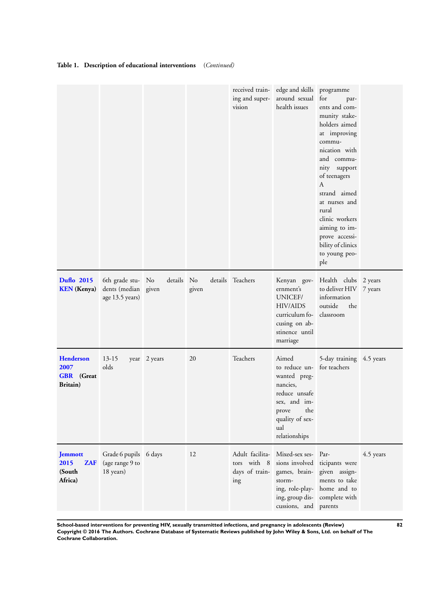## **Table 1. Description of educational interventions** (*Continued)*

|                                                           |                                                             |              |       | received train-<br>ing and super-<br>vision             | edge and skills<br>around sexual<br>health issues                                                                                              | programme<br>for<br>par-<br>ents and com-<br>munity stake-<br>holders aimed<br>at improving<br>commu-<br>nication with<br>and commu-<br>nity support<br>of teenagers<br>A<br>strand aimed<br>at nurses and<br>rural<br>clinic workers<br>aiming to im-<br>prove accessi-<br>bility of clinics<br>to young peo-<br>ple |           |
|-----------------------------------------------------------|-------------------------------------------------------------|--------------|-------|---------------------------------------------------------|------------------------------------------------------------------------------------------------------------------------------------------------|-----------------------------------------------------------------------------------------------------------------------------------------------------------------------------------------------------------------------------------------------------------------------------------------------------------------------|-----------|
| <b>Duflo</b> 2015<br><b>KEN</b> (Kenya)                   | 6th grade stu- No<br>dents (median given<br>age 13.5 years) | details No   | given | details Teachers                                        | Kenyan gov-<br>ernment's<br><b>UNICEF/</b><br><b>HIV/AIDS</b><br>curriculum fo-<br>cusing on ab-<br>stinence until<br>marriage                 | Health clubs 2 years<br>to deliver HIV 7 years<br>information<br>outside<br>the<br>classroom                                                                                                                                                                                                                          |           |
| <b>Henderson</b><br>2007<br><b>GBR</b> (Great<br>Britain) | $13-15$<br>olds                                             | year 2 years | 20    | Teachers                                                | Aimed<br>to reduce un-<br>wanted preg-<br>nancies,<br>reduce unsafe<br>sex, and im-<br>prove<br>the<br>quality of sex-<br>ual<br>relationships | 5-day training 4.5 years<br>for teachers                                                                                                                                                                                                                                                                              |           |
| <b>Jemmott</b><br>2015<br><b>ZAF</b><br>(South<br>Africa) | Grade 6 pupils 6 days<br>(age range 9 to<br>18 years)       |              | 12    | Adult facilita-<br>tors with 8<br>days of train-<br>ing | Mixed-sex ses-<br>sions involved<br>games, brain-<br>storm-<br>ing, role-play-<br>ing, group dis-<br>cussions, and                             | Par-<br>ticipants were<br>given assign-<br>ments to take<br>home and to<br>complete with<br>parents                                                                                                                                                                                                                   | 4.5 years |

**School-based interventions for preventing HIV, sexually transmitted infections, and pregnancy in adolescents (Review) 82 Copyright © 2016 The Authors. Cochrane Database of Systematic Reviews published by John Wiley & Sons, Ltd. on behalf of The Cochrane Collaboration.**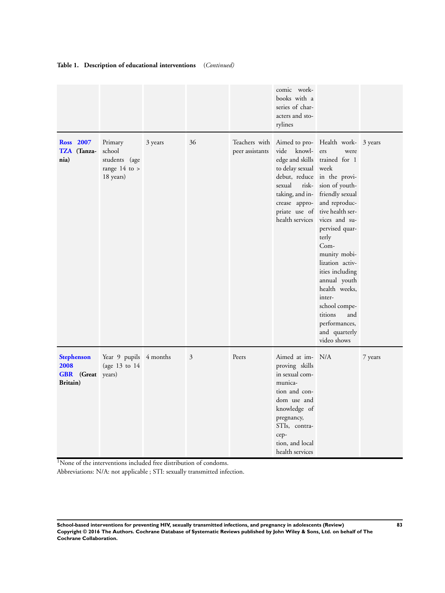|  | Table 1. Description of educational interventions (Continued) |  |
|--|---------------------------------------------------------------|--|
|--|---------------------------------------------------------------|--|

|                                                                   |                                                                      |         |    |                                  | comic work-<br>books with a<br>series of char-<br>acters and sto-<br>rylines                                                                                                                 |                                                                                                                                                                                                                                                                                                                                                                                                                              |         |
|-------------------------------------------------------------------|----------------------------------------------------------------------|---------|----|----------------------------------|----------------------------------------------------------------------------------------------------------------------------------------------------------------------------------------------|------------------------------------------------------------------------------------------------------------------------------------------------------------------------------------------------------------------------------------------------------------------------------------------------------------------------------------------------------------------------------------------------------------------------------|---------|
| <b>Ross</b> 2007<br>TZA (Tanza-<br>nia)                           | Primary<br>school<br>students (age<br>range $14$ to $>$<br>18 years) | 3 years | 36 | Teachers with<br>peer assistants | vide<br>knowl-<br>edge and skills<br>to delay sexual<br>debut, reduce<br>risk-<br>sexual<br>taking, and in-<br>crease appro-<br>health services                                              | Aimed to pro- Health work- 3 years<br>ers<br>were<br>trained for 1<br>week<br>in the provi-<br>sion of youth-<br>friendly sexual<br>and reproduc-<br>priate use of tive health ser-<br>vices and su-<br>pervised quar-<br>terly<br>Com-<br>munity mobi-<br>lization activ-<br>ities including<br>annual youth<br>health weeks,<br>inter-<br>school compe-<br>titions<br>and<br>performances,<br>and quarterly<br>video shows |         |
| <b>Stephenson</b><br>2008<br><b>GBR</b> (Great years)<br>Britain) | Year 9 pupils 4 months<br>(age 13 to 14                              |         | 3  | Peers                            | Aimed at im- N/A<br>proving skills<br>in sexual com-<br>munica-<br>tion and con-<br>dom use and<br>knowledge of<br>pregnancy,<br>STIs, contra-<br>cep-<br>tion, and local<br>health services |                                                                                                                                                                                                                                                                                                                                                                                                                              | 7 years |

<sup>1</sup>None of the interventions included free distribution of condoms.

Abbreviations: N/A: not applicable ; STI: sexually transmitted infection.

**School-based interventions for preventing HIV, sexually transmitted infections, and pregnancy in adolescents (Review) 83 Copyright © 2016 The Authors. Cochrane Database of Systematic Reviews published by John Wiley & Sons, Ltd. on behalf of The Cochrane Collaboration.**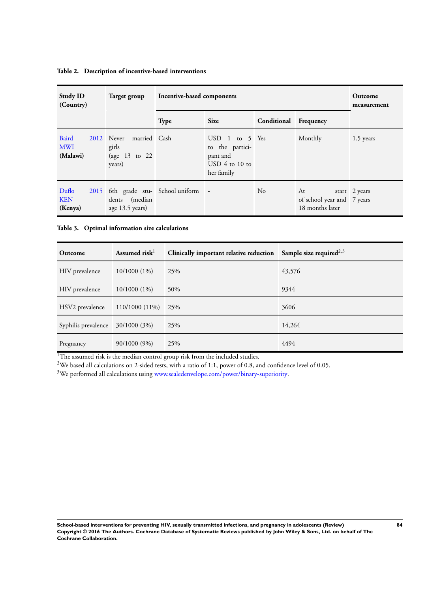### **Table 2. Description of incentive-based interventions**

| <b>Study ID</b><br>(Country)           | Target group                                                          | Incentive-based components |                                                                                                                         |                | Outcome<br>measurement                              |                 |
|----------------------------------------|-----------------------------------------------------------------------|----------------------------|-------------------------------------------------------------------------------------------------------------------------|----------------|-----------------------------------------------------|-----------------|
|                                        |                                                                       | <b>Type</b>                | <b>Size</b>                                                                                                             | Conditional    | Frequency                                           |                 |
| Baird<br><b>MWI</b><br>(Malawi)        | married Cash<br>2012 Never<br>girls<br>(age $13$ to $22$<br>years)    |                            | $USD \quad 1 \quad \text{to} \quad 5 \quad \text{Yes}$<br>to the partici-<br>pant and<br>$USD 4$ to 10 to<br>her family |                | Monthly                                             | 1.5 years       |
| Duflo<br>2015<br><b>KEN</b><br>(Kenya) | 6th grade stu-School uniform<br>(median<br>dents<br>age $13.5$ years) |                            | $\overline{a}$                                                                                                          | N <sub>o</sub> | At<br>of school year and 7 years<br>18 months later | start $2$ years |

## **Table 3. Optimal information size calculations**

| <b>Outcome</b>      | Assumed risk $1$ | Clinically important relative reduction Sample size required <sup>2,3</sup> |        |
|---------------------|------------------|-----------------------------------------------------------------------------|--------|
| HIV prevalence      | $10/1000(1\%)$   | 25%                                                                         | 43,576 |
| HIV prevalence      | $10/1000(1\%)$   | 50%                                                                         | 9344   |
| HSV2 prevalence     | 110/1000 (11%)   | 25%                                                                         | 3606   |
| Syphilis prevalence | 30/1000(3%)      | 25%                                                                         | 14,264 |
| Pregnancy           | 90/1000 (9%)     | 25%                                                                         | 4494   |

<sup>1</sup>The assumed risk is the median control group risk from the included studies.

<sup>2</sup>We based all calculations on 2-sided tests, with a ratio of 1:1, power of 0.8, and confidence level of 0.05.

<sup>3</sup>We performed all calculations using [www.sealedenvelope.com/power/binary-superiority](http://www.sealedenvelope.com/power/binary-superiority).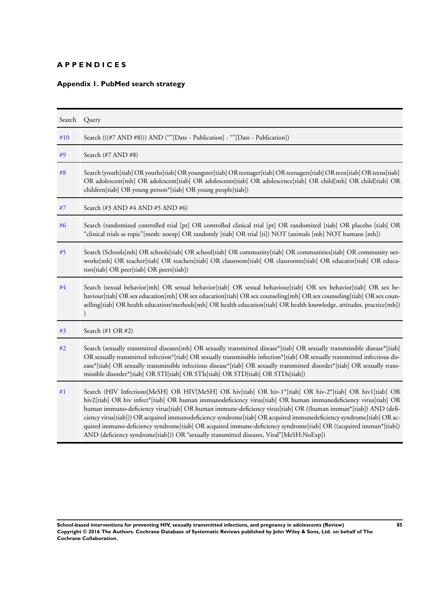# **A P P E N D I C E S**

# **Appendix 1. PubMed search strategy**

| Search | Query                                                                                                                                                                                                                                                                                                                                                                                                                                                                                                                                                                                                                                                                             |
|--------|-----------------------------------------------------------------------------------------------------------------------------------------------------------------------------------------------------------------------------------------------------------------------------------------------------------------------------------------------------------------------------------------------------------------------------------------------------------------------------------------------------------------------------------------------------------------------------------------------------------------------------------------------------------------------------------|
| #10    | Search (((#7 AND #8))) AND (""[Date - Publication] : ""[Date - Publication])                                                                                                                                                                                                                                                                                                                                                                                                                                                                                                                                                                                                      |
| #9     | Search (#7 AND #8)                                                                                                                                                                                                                                                                                                                                                                                                                                                                                                                                                                                                                                                                |
| #8     | Search (youth [tiab] OR youths [tiab] OR youngster [tiab] OR teenager [tiab] OR teenagers [tiab] OR teen [tiab] OR teens [tiab]<br>OR adolescent[mh] OR adolescent[tiab] OR adolescents[tiab] OR adolescence[tiab] OR child[mh] OR child[tiab] OR<br>children[tiab] OR young person*[tiab] OR young people[tiab])                                                                                                                                                                                                                                                                                                                                                                 |
| #7     | Search (#3 AND #4 AND #5 AND #6)                                                                                                                                                                                                                                                                                                                                                                                                                                                                                                                                                                                                                                                  |
| #6     | Search (randomized controlled trial [pt] OR controlled clinical trial [pt] OR randomized [tiab] OR placebo [tiab] OR<br>"clinical trials as topic"[mesh: noexp] OR randomly [tiab] OR trial [ti]) NOT (animals [mh] NOT humans [mh])                                                                                                                                                                                                                                                                                                                                                                                                                                              |
| #5     | Search (Schools[mh] OR schools[tiab] OR school[tiab] OR community[tiab] OR communities[tiab] OR community net-<br>works[mh] OR teacher[tiab] OR teachers[tiab] OR classroom[tiab] OR classrooms[tiab] OR educator[tiab] OR educa-<br>tors[tiab] OR peer[tiab] OR peers[tiab])                                                                                                                                                                                                                                                                                                                                                                                                     |
| #4     | Search (sexual behavior[mh] OR sexual behavior[tiab] OR sexual behaviour[tiab] OR sex behavior[tiab] OR sex be-<br>haviour[tiab] OR sex education[mh] OR sex education[tiab] OR sex counseling[mh] OR sex counseling[tiab] OR sex coun-<br>selling[tiab] OR health education/methods[mh] OR health education[tiab] OR health knowledge, attitudes, practice[mh])<br>$\mathcal{L}$                                                                                                                                                                                                                                                                                                 |
| #3     | Search $(\#1 \text{ OR } \#2)$                                                                                                                                                                                                                                                                                                                                                                                                                                                                                                                                                                                                                                                    |
| #2     | Search (sexually transmitted diseases[mh] OR sexually transmitted disease*[tiab] OR sexually transmissible disease*[tiab]<br>OR sexually transmitted infection*[tiab] OR sexually transmissible infection*[tiab] OR sexually transmitted infectious dis-<br>ease*[tiab] OR sexually transmissible infectious disease*[tiab] OR sexually transmitted disorder*[tiab] OR sexually trans-<br>missible disorder*[tiab] OR STI[tiab] OR STIs[tiab] OR STD[tiab] OR STDs[tiab])                                                                                                                                                                                                         |
| #1     | Search (HIV Infections[MeSH] OR HIV[MeSH] OR hiv[tiab] OR hiv-1*[tiab] OR hiv-2*[tiab] OR hivI[tiab] OR<br>hiv2[tiab] OR hiv infect*[tiab] OR human immunodeficiency virus[tiab] OR human immunedeficiency virus[tiab] OR<br>human immuno-deficiency virus[tiab] OR human immune-deficiency virus[tiab] OR ((human immun*[tiab]) AND (defi-<br>ciency virus[tiab])) OR acquired immunodeficiency syndrome[tiab] OR acquired immunedeficiency syndrome[tiab] OR ac-<br>quired immuno-deficiency syndrome[tiab] OR acquired immune-deficiency syndrome[tiab] OR ((acquired immun*[tiab])<br>AND (deficiency syndrome[tiab])) OR "sexually transmitted diseases, Viral"[MeSH:NoExp]) |

**School-based interventions for preventing HIV, sexually transmitted infections, and pregnancy in adolescents (Review) 85 Copyright © 2016 The Authors. Cochrane Database of Systematic Reviews published by John Wiley & Sons, Ltd. on behalf of The Cochrane Collaboration.**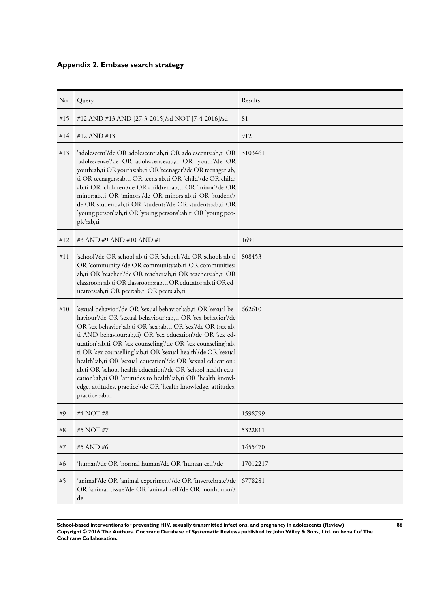# **Appendix 2. Embase search strategy**

| No  | Query                                                                                                                                                                                                                                                                                                                                                                                                                                                                                                                                                                                                                                                                                     | Results  |
|-----|-------------------------------------------------------------------------------------------------------------------------------------------------------------------------------------------------------------------------------------------------------------------------------------------------------------------------------------------------------------------------------------------------------------------------------------------------------------------------------------------------------------------------------------------------------------------------------------------------------------------------------------------------------------------------------------------|----------|
| #15 | #12 AND #13 AND [27-3-2015]/sd NOT [7-4-2016]/sd                                                                                                                                                                                                                                                                                                                                                                                                                                                                                                                                                                                                                                          | 81       |
| #14 | #12 AND #13                                                                                                                                                                                                                                                                                                                                                                                                                                                                                                                                                                                                                                                                               | 912      |
| #13 | 'adolescent'/de OR adolescent:ab,ti OR adolescents:ab,ti OR 3103461<br>'adolescence'/de OR adolescence:ab,ti OR 'youth'/de OR<br>youth:ab,ti OR youths:ab,ti OR 'teenager'/de OR teenager:ab,<br>ti OR teenagers:ab,ti OR teens:ab,ti OR 'child'/de OR child:<br>ab,ti OR 'children'/de OR children:ab,ti OR 'minor'/de OR<br>minor:ab,ti OR 'minors'/de OR minors:ab,ti OR 'student'/<br>de OR student:ab,ti OR 'students'/de OR students:ab,ti OR<br>'young person':ab,ti OR 'young persons':ab,ti OR 'young peo-<br>ple':ab,ti                                                                                                                                                         |          |
| #12 | #3 AND #9 AND #10 AND #11                                                                                                                                                                                                                                                                                                                                                                                                                                                                                                                                                                                                                                                                 | 1691     |
| #11 | 'school'/de OR school:ab,ti OR 'schools'/de OR schools:ab,ti<br>OR 'community'/de OR community:ab,ti OR communities:<br>ab,ti OR 'teacher'/de OR teacher:ab,ti OR teachers:ab,ti OR<br>classroom:ab,ti OR classrooms:ab,ti OR educator:ab,ti OR ed-<br>ucators:ab,ti OR peer:ab,ti OR peers:ab,ti                                                                                                                                                                                                                                                                                                                                                                                         | 808453   |
| #10 | 'sexual behavior'/de OR 'sexual behavior':ab,ti OR 'sexual be-<br>haviour'/de OR 'sexual behaviour':ab,ti OR 'sex behavior'/de<br>OR 'sex behavior':ab,ti OR 'sex':ab,ti OR 'sex'/de OR (sex:ab,<br>ti AND behaviour:ab,ti) OR 'sex education'/de OR 'sex ed-<br>ucation':ab,ti OR 'sex counseling'/de OR 'sex counseling':ab,<br>ti OR 'sex counselling':ab,ti OR 'sexual health'/de OR 'sexual<br>health':ab,ti OR 'sexual education'/de OR 'sexual education':<br>ab, ti OR 'school health education'/de OR 'school health edu-<br>cation':ab,ti OR 'attitudes to health':ab,ti OR 'health knowl-<br>edge, attitudes, practice'/de OR 'health knowledge, attitudes,<br>practice':ab,ti | 662610   |
| #9  | #4 NOT #8                                                                                                                                                                                                                                                                                                                                                                                                                                                                                                                                                                                                                                                                                 | 1598799  |
| #8  | #5 NOT #7                                                                                                                                                                                                                                                                                                                                                                                                                                                                                                                                                                                                                                                                                 | 5322811  |
| #7  | #5 AND #6                                                                                                                                                                                                                                                                                                                                                                                                                                                                                                                                                                                                                                                                                 | 1455470  |
| #6  | 'human'/de OR 'normal human'/de OR 'human cell'/de                                                                                                                                                                                                                                                                                                                                                                                                                                                                                                                                                                                                                                        | 17012217 |
| #5  | 'animal'/de OR 'animal experiment'/de OR 'invertebrate'/de<br>OR 'animal tissue'/de OR 'animal cell'/de OR 'nonhuman'/<br>de                                                                                                                                                                                                                                                                                                                                                                                                                                                                                                                                                              | 6778281  |

**School-based interventions for preventing HIV, sexually transmitted infections, and pregnancy in adolescents (Review) 86 Copyright © 2016 The Authors. Cochrane Database of Systematic Reviews published by John Wiley & Sons, Ltd. on behalf of The Cochrane Collaboration.**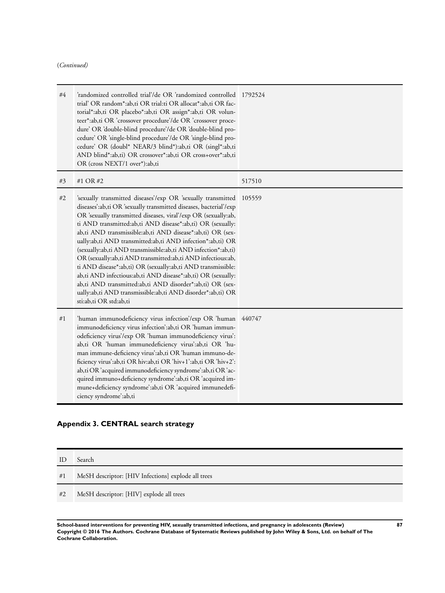### (*Continued)*

| #4 | 'randomized controlled trial'/de OR 'randomized controlled 1792524<br>trial' OR random*:ab,ti OR trial:ti OR allocat*:ab,ti OR fac-<br>torial*:ab,ti OR placebo*:ab,ti OR assign*:ab,ti OR volun-<br>teer*:ab,ti OR 'crossover procedure'/de OR 'crossover proce-<br>dure' OR 'double-blind procedure'/de OR 'double-blind pro-<br>cedure' OR 'single-blind procedure'/de OR 'single-blind pro-<br>cedure' OR (doubl* NEAR/3 blind*):ab,ti OR (singl*:ab,ti<br>AND blind*:ab,ti) OR crossover*:ab,ti OR cross+over*:ab,ti<br>OR (cross NEXT/1 over*):ab,ti                                                                                                                                                                                                                                                               |        |
|----|--------------------------------------------------------------------------------------------------------------------------------------------------------------------------------------------------------------------------------------------------------------------------------------------------------------------------------------------------------------------------------------------------------------------------------------------------------------------------------------------------------------------------------------------------------------------------------------------------------------------------------------------------------------------------------------------------------------------------------------------------------------------------------------------------------------------------|--------|
| #3 | #1 OR #2                                                                                                                                                                                                                                                                                                                                                                                                                                                                                                                                                                                                                                                                                                                                                                                                                 | 517510 |
| #2 | 'sexually transmitted diseases'/exp OR 'sexually transmitted<br>diseases':ab,ti OR 'sexually transmitted diseases, bacterial'/exp<br>OR 'sexually transmitted diseases, viral'/exp OR (sexually:ab,<br>ti AND transmitted:ab,ti AND disease*:ab,ti) OR (sexually:<br>ab, ti AND transmissible: ab, ti AND disease*: ab, ti) OR (sex-<br>ually:ab,ti AND transmitted:ab,ti AND infection*:ab,ti) OR<br>(sexually:ab,ti AND transmissible:ab,ti AND infection*:ab,ti)<br>OR (sexually:ab,ti AND transmitted:ab,ti AND infectious:ab,<br>ti AND disease*:ab,ti) OR (sexually:ab,ti AND transmissible:<br>ab,ti AND infectious:ab,ti AND disease*:ab,ti) OR (sexually:<br>ab,ti AND transmitted:ab,ti AND disorder*:ab,ti) OR (sex-<br>ually:ab,ti AND transmissible:ab,ti AND disorder*:ab,ti) OR<br>sti:ab,ti OR std:ab,ti | 105559 |
| #1 | 'human immunodeficiency virus infection'/exp OR 'human<br>immunodeficiency virus infection':ab,ti OR 'human immun-<br>odeficiency virus'/exp OR 'human immunodeficiency virus':<br>ab,ti OR 'human immunedeficiency virus':ab,ti OR 'hu-<br>man immune-deficiency virus':ab,ti OR 'human immuno-de-<br>ficiency virus':ab,ti OR hiv:ab,ti OR 'hiv+1':ab,ti OR 'hiv+2':<br>ab, ti OR 'acquired immunodeficiency syndrome':ab, ti OR 'ac-<br>quired immuno+deficiency syndrome':ab,ti OR 'acquired im-<br>mune+deficiency syndrome':ab,ti OR 'acquired immunedefi-<br>ciency syndrome':ab,ti                                                                                                                                                                                                                               | 440747 |

# **Appendix 3. CENTRAL search strategy**

| ID | Search                                              |
|----|-----------------------------------------------------|
| #1 | MeSH descriptor: [HIV Infections] explode all trees |
| #2 | MeSH descriptor: [HIV] explode all trees            |

**School-based interventions for preventing HIV, sexually transmitted infections, and pregnancy in adolescents (Review) 87 Copyright © 2016 The Authors. Cochrane Database of Systematic Reviews published by John Wiley & Sons, Ltd. on behalf of The Cochrane Collaboration.**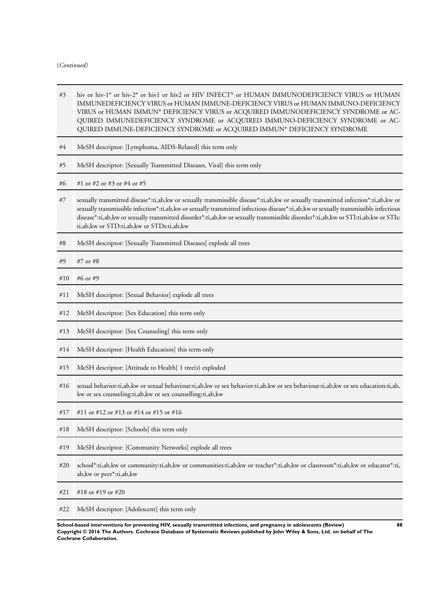#### (*Continued)*

- #3 hiv or hiv-1\* or hiv-2\* or hiv1 or hiv2 or HIV INFECT\* or HUMAN IMMUNODEFICIENCY VIRUS or HUMAN IMMUNEDEFICIENCY VIRUS or HUMAN IMMUNE-DEFICIENCY VIRUS or HUMAN IMMUNO-DEFICIENCY VIRUS or HUMAN IMMUN\* DEFICIENCY VIRUS or ACQUIRED IMMUNODEFICIENCY SYNDROME or AC-QUIRED IMMUNEDEFICIENCY SYNDROME or ACQUIRED IMMUNO-DEFICIENCY SYNDROME or AC-QUIRED IMMUNE-DEFICIENCY SYNDROME or ACQUIRED IMMUN\* DEFICIENCY SYNDROME
- #4 MeSH descriptor: [Lymphoma, AIDS-Related] this term only
- #5 MeSH descriptor: [Sexually Transmitted Diseases, Viral] this term only

#6 #1 or #2 or #3 or #4 or #5

- #7 sexually transmitted disease\*:ti,ab,kw or sexually transmissible disease\*:ti,ab,kw or sexually transmitted infection\*:ti,ab,kw or sexually transmissible infection\*:ti,ab,kw or sexually transmitted infectious disease\*:ti,ab,kw or sexually transmissible infectious disease\*:ti,ab,kw or sexually transmitted disorder\*:ti,ab,kw or sexually transmissible disorder\*:ti,ab,kw or STI:ti,ab,kw or STIs: ti,ab,kw or STD:ti,ab,kw or STDs:ti,ab,kw
- #8 MeSH descriptor: [Sexually Transmitted Diseases] explode all trees
- #9 #7 or #8
- #10 #6 or #9
- #11 MeSH descriptor: [Sexual Behavior] explode all trees
- #12 MeSH descriptor: [Sex Education] this term only
- #13 MeSH descriptor: [Sex Counseling] this term only
- #14 MeSH descriptor: [Health Education] this term only
- #15 MeSH descriptor: [Attitude to Health] 1 tree(s) exploded
- #16 sexual behavior:ti,ab,kw or sexual behaviour:ti,ab,kw or sex behavior:ti,ab,kw or sex behaviour:ti,ab,kw or sex education:ti,ab, kw or sex counseling:ti,ab,kw or sex counselling:ti,ab,kw
- #17 #11 or #12 or #13 or #14 or #15 or #16
- #18 MeSH descriptor: [Schools] this term only
- #19 MeSH descriptor: [Community Networks] explode all trees
- #20 school\*:ti,ab,kw or community:ti,ab,kw or communities:ti,ab,kw or teacher\*:ti,ab,kw or classroom\*:ti,ab,kw or educator\*:ti, ab,kw or peer\*:ti,ab,kw

#21 #18 or #19 or #20

#22 MeSH descriptor: [Adolescent] this term only

**School-based interventions for preventing HIV, sexually transmitted infections, and pregnancy in adolescents (Review) 88 Copyright © 2016 The Authors. Cochrane Database of Systematic Reviews published by John Wiley & Sons, Ltd. on behalf of The Cochrane Collaboration.**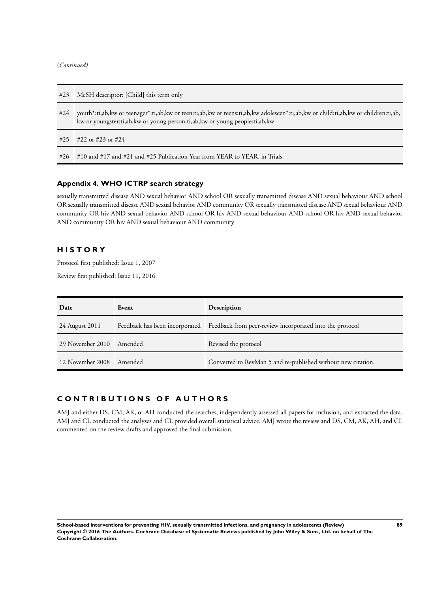(*Continued)*

| #23 | MeSH descriptor: [Child] this term only                                                                                                                                                                            |
|-----|--------------------------------------------------------------------------------------------------------------------------------------------------------------------------------------------------------------------|
| #24 | youth*:ti,ab,kw or teenager*:ti,ab,kw or teen:ti,ab,kw or teens:ti,ab,kw adolescen*:ti,ab,kw or child:ti,ab,kw or children:ti,ab,<br>kw or youngster:ti,ab, kw or young person:ti,ab, kw or young people:ti,ab, kw |
| #25 | #22 or #23 or #24                                                                                                                                                                                                  |
| #26 | #10 and #17 and #21 and #25 Publication Year from YEAR to YEAR, in Trials                                                                                                                                          |

### **Appendix 4. WHO ICTRP search strategy**

sexually transmitted disease AND sexual behavior AND school OR sexually transmitted disease AND sexual behaviour AND school OR sexually transmitted disease AND sexual behavior AND community OR sexually transmitted disease AND sexual behaviour AND community OR hiv AND sexual behavior AND school OR hiv AND sexual behaviour AND school OR hiv AND sexual behavior AND community OR hiv AND sexual behaviour AND community

# **H I S T O R Y**

Protocol first published: Issue 1, 2007

Review first published: Issue 11, 2016

| Date                     | Event | Description                                                                             |
|--------------------------|-------|-----------------------------------------------------------------------------------------|
| 24 August 2011           |       | Feedback has been incorporated Feedback from peer-review incorporated into the protocol |
| 29 November 2010 Amended |       | Revised the protocol                                                                    |
| 12 November 2008 Amended |       | Converted to RevMan 5 and re-published without new citation.                            |

# **C O N T R I B U T I O N S O F A U T H O R S**

AMJ and either DS, CM, AK, or AH conducted the searches, independently assessed all papers for inclusion, and extracted the data. AMJ and CL conducted the analyses and CL provided overall statistical advice. AMJ wrote the review and DS, CM, AK, AH, and CL commented on the review drafts and approved the final submission.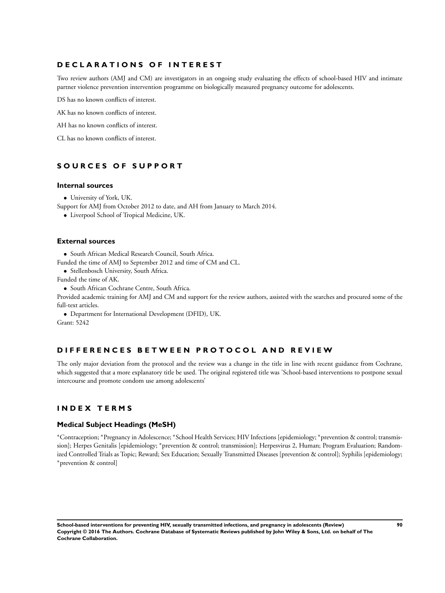### **D E C L A R A T I O N S O F I N T E R E S T**

Two review authors (AMJ and CM) are investigators in an ongoing study evaluating the effects of school-based HIV and intimate partner violence prevention intervention programme on biologically measured pregnancy outcome for adolescents.

DS has no known conflicts of interest.

AK has no known conflicts of interest.

AH has no known conflicts of interest.

CL has no known conflicts of interest.

## **S O U R C E S O F S U P P O R T**

#### **Internal sources**

• University of York, UK.

Support for AMJ from October 2012 to date, and AH from January to March 2014.

• Liverpool School of Tropical Medicine, UK.

#### **External sources**

• South African Medical Research Council, South Africa.

Funded the time of AMJ to September 2012 and time of CM and CL.

• Stellenbosch University, South Africa.

Funded the time of AK.

• South African Cochrane Centre, South Africa.

Provided academic training for AMJ and CM and support for the review authors, assisted with the searches and procured some of the full-text articles.

• Department for International Development (DFID), UK. Grant: 5242

# **D I F F E R E N C E S B E T W E E N P R O T O C O L A N D R E V I E W**

The only major deviation from the protocol and the review was a change in the title in line with recent guidance from Cochrane, which suggested that a more explanatory title be used. The original registered title was 'School-based interventions to postpone sexual intercourse and promote condom use among adolescents'

# **I N D E X T E R M S**

#### **Medical Subject Headings (MeSH)**

<sup>∗</sup>Contraception; <sup>∗</sup>Pregnancy in Adolescence; <sup>∗</sup> School Health Services; HIV Infections [epidemiology; <sup>∗</sup>prevention & control; transmission]; Herpes Genitalis [epidemiology; \*prevention & control; transmission]; Herpesvirus 2, Human; Program Evaluation; Randomized Controlled Trials as Topic; Reward; Sex Education; Sexually Transmitted Diseases [prevention & control]; Syphilis [epidemiology; <sup>∗</sup>prevention & control]